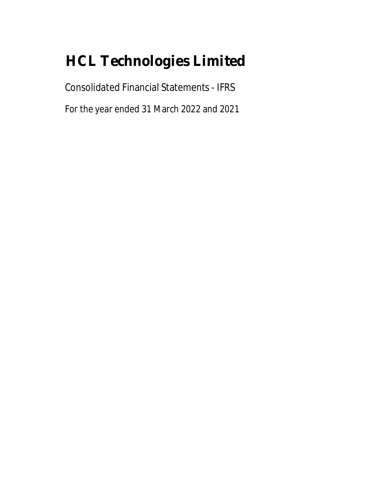Consolidated Financial Statements - IFRS

For the year ended 31 March 2022 and 2021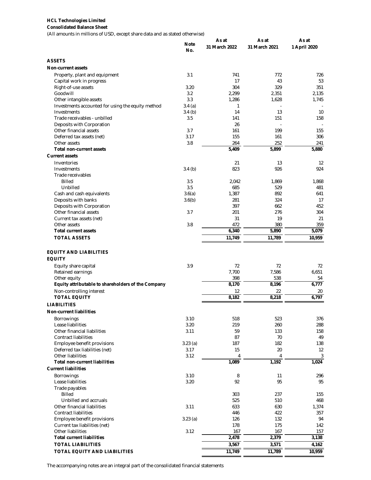#### **Consolidated Balance Sheet**

(All amounts in millions of USD, except share data and as stated otherwise)

|                                                     |                    | As at          | As at          | As at        |
|-----------------------------------------------------|--------------------|----------------|----------------|--------------|
|                                                     | <b>Note</b><br>No. | 31 March 2022  | 31 March 2021  | 1 April 2020 |
| <b>ASSETS</b>                                       |                    |                |                |              |
| <b>Non-current assets</b>                           |                    |                |                |              |
| Property, plant and equipment                       | 3.1                | 741            | 772            | 726          |
| Capital work in progress                            |                    | 17             | 43             | 53           |
| Right-of-use assets                                 | 3.20               | 304            | 329            | 351          |
| Goodwill                                            | 3.2                | 2,299          | 2,351          | 2,135        |
| Other intangible assets                             | 3.3                | 1,286          | 1,628          | 1,745        |
| Investments accounted for using the equity method   | 3.4(a)             | 1              |                |              |
| Investments                                         | 3.4(b)             | 14             | 13             | 10           |
| Trade receivables - unbilled                        | 3.5                | 141            | 151            | 158          |
| Deposits with Corporation                           |                    | 26             |                |              |
| Other financial assets                              | 3.7                | 161            | 199            | 155          |
| Deferred tax assets (net)                           | 3.17               | 155            | 161            | 306          |
| Other assets                                        | 3.8                | 264            | 252            | 241          |
| <b>Total non-current assets</b>                     |                    | 5,409          | 5,899          | 5,880        |
| <b>Current assets</b>                               |                    |                |                |              |
| Inventories                                         |                    | 21             | 13             | 12           |
| Investments                                         | 3.4(h)             | 823            | 926            | 924          |
| Trade receivables                                   |                    |                |                |              |
| <b>Billed</b>                                       | 3.5                | 2,042          | 1,869          | 1,868        |
| Unbilled                                            | 3.5                | 685            | 529            | 481          |
| Cash and cash equivalents                           | 3.6(a)             | 1,387          | 892            | 641<br>17    |
| Deposits with banks                                 | 3.6(b)             | 281<br>397     | 324            | 452          |
| Deposits with Corporation<br>Other financial assets | 3.7                | 201            | 662<br>276     | 304          |
| Current tax assets (net)                            |                    | 31             | 19             | 21           |
| Other assets                                        | 3.8                | 472            | 380            | 359          |
| <b>Total current assets</b>                         |                    | 6,340          | 5,890          | 5,079        |
| <b>TOTAL ASSETS</b>                                 |                    | 11,749         | 11,789         | 10,959       |
|                                                     |                    |                |                |              |
| <b>EQUITY AND LIABILITIES</b>                       |                    |                |                |              |
| <b>EQUITY</b>                                       |                    |                |                |              |
| Equity share capital                                | 3.9                | 72             | 72             | 72           |
| Retained earnings                                   |                    | 7,700          | 7,586          | 6,651        |
| Other equity                                        |                    | 398            | 538            | 54           |
| Equity attributable to shareholders of the Company  |                    | 8,170          | 8,196          | 6,777        |
| Non-controlling interest                            |                    | 12             | 22             | 20           |
| <b>TOTAL EQUITY</b>                                 |                    | 8,182          | 8,218          | 6,797        |
| <b>LIABILITIES</b>                                  |                    |                |                |              |
| <b>Non-current liabilities</b>                      |                    |                |                |              |
| <b>Borrowings</b>                                   | 3.10               | 518            | 523            | 376          |
| Lease liabilities                                   | 3.20               | 219            | 260            | 288          |
| Other financial liabilities                         | 3.11               | 59             | 133            | 158          |
| <b>Contract liabilities</b>                         |                    | 87             | 70             | 49           |
| Employee benefit provisions                         | 3.23(a)            | 187            | 182            | 138          |
| Deferred tax liabilities (net)                      | 3.17               | 15             | 20             | 12           |
| Other liabilities                                   | 3.12               | $\overline{4}$ | $\overline{4}$ | $\mathbf{3}$ |
| <b>Total non-current liabilities</b>                |                    | 1,089          | 1,192          | 1,024        |
| <b>Current liabilities</b>                          |                    |                |                |              |
| Borrowings                                          | 3.10               | 8              | 11             | 296          |
| Lease liabilities                                   | 3.20               | 92             | 95             | 95           |
| Trade payables                                      |                    |                |                |              |
| <b>Billed</b>                                       |                    | 303            | 237            | 155          |
| Unbilled and accruals                               |                    | 525            | 510            | 468          |
| Other financial liabilities                         | 3.11               | 633            | 630            | 1,374        |
| <b>Contract liabilities</b>                         |                    | 446            | 422            | 357          |
| Employee benefit provisions                         | 3.23(a)            | 126            | 132            | 94           |
| Current tax liabilities (net)                       |                    | 178            | 175            | 142          |
| Other liabilities                                   | 3.12               | 167            | 167            | 157          |
| <b>Total current liabilities</b>                    |                    | 2,478          | 2,379          | 3,138        |
| <b>TOTAL LIABILITIES</b>                            |                    | 3,567          | 3,571          | 4,162        |
| <b>TOTAL EQUITY AND LIABILITIES</b>                 |                    | 11,749         | 11,789         | 10,959       |
|                                                     |                    |                |                |              |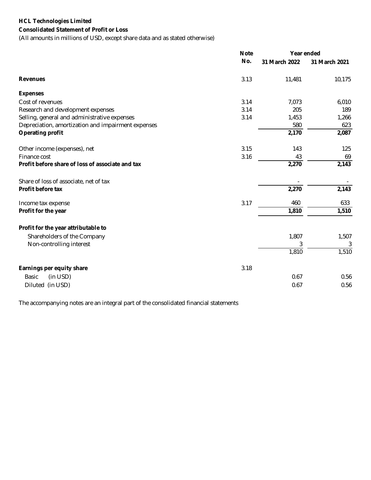### **HCL Technologies Limited Consolidated Statement of Profit or Loss**

(All amounts in millions of USD, except share data and as stated otherwise)

|                                                    | <b>Note</b> | Year ended    |               |  |
|----------------------------------------------------|-------------|---------------|---------------|--|
|                                                    | No.         | 31 March 2022 | 31 March 2021 |  |
| <b>Revenues</b>                                    | 3.13        | 11,481        | 10,175        |  |
| <b>Expenses</b>                                    |             |               |               |  |
| Cost of revenues                                   | 3.14        | 7,073         | 6,010         |  |
| Research and development expenses                  | 3.14        | 205           | 189           |  |
| Selling, general and administrative expenses       | 3.14        | 1,453         | 1,266         |  |
| Depreciation, amortization and impairment expenses |             | 580           | 623           |  |
| <b>Operating profit</b>                            |             | 2,170         | 2,087         |  |
| Other income (expenses), net                       | 3.15        | 143           | 125           |  |
| Finance cost                                       | 3.16        | 43            | 69            |  |
| Profit before share of loss of associate and tax   |             | 2,270         | 2,143         |  |
| Share of loss of associate, net of tax             |             |               |               |  |
| Profit before tax                                  |             | 2,270         | 2,143         |  |
| Income tax expense                                 | 3.17        | 460           | 633           |  |
| Profit for the year                                |             | 1,810         | 1,510         |  |
| Profit for the year attributable to                |             |               |               |  |
| Shareholders of the Company                        |             | 1,807         | 1,507         |  |
| Non-controlling interest                           |             | 3             | 3             |  |
|                                                    |             | 1,810         | 1,510         |  |
| Earnings per equity share                          | 3.18        |               |               |  |
| (in USD)<br>Basic                                  |             | 0.67          | 0.56          |  |
| Diluted (in USD)                                   |             | 0.67          | 0.56          |  |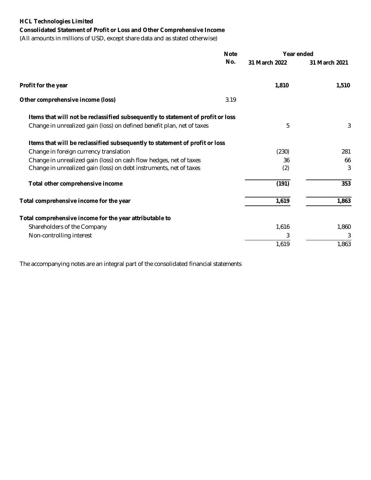**Consolidated Statement of Profit or Loss and Other Comprehensive Income**

(All amounts in millions of USD, except share data and as stated otherwise)

|                                                                                 | <b>Note</b> | Year ended    |               |
|---------------------------------------------------------------------------------|-------------|---------------|---------------|
|                                                                                 | No.         | 31 March 2022 | 31 March 2021 |
| Profit for the year                                                             |             | 1,810         | 1,510         |
| Other comprehensive income (loss)                                               | 3.19        |               |               |
| Items that will not be reclassified subsequently to statement of profit or loss |             |               |               |
| Change in unrealized gain (loss) on defined benefit plan, net of taxes          |             | 5             | 3             |
| Items that will be reclassified subsequently to statement of profit or loss     |             |               |               |
| Change in foreign currency translation                                          |             | (230)         | 281           |
| Change in unrealized gain (loss) on cash flow hedges, net of taxes              |             | 36            | 66            |
| Change in unrealized gain (loss) on debt instruments, net of taxes              |             | (2)           | 3             |
| Total other comprehensive income                                                |             | (191)         | 353           |
| Total comprehensive income for the year                                         |             | 1,619         | 1,863         |
| Total comprehensive income for the year attributable to                         |             |               |               |
| Shareholders of the Company                                                     |             | 1,616         | 1,860         |
| Non-controlling interest                                                        |             | 3             | 3             |
|                                                                                 |             | 1,619         | 1,863         |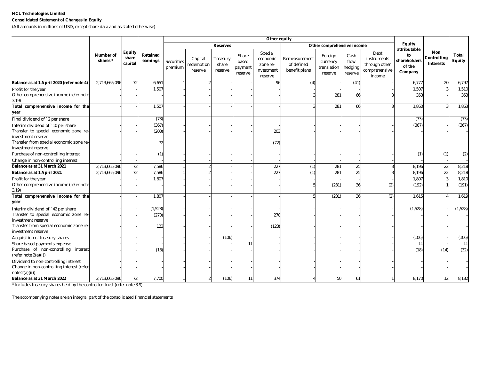#### **Consolidated Statement of Changes in Equity**

(All amounts in millions of USD, except share data and as stated otherwise)

|                                                                                                     |                       |                                   |                             | Other equity          |                                  |                              |                                      |                                                          |                                              |                                               |                                    |                                                                 |                                                         |                                               |                        |
|-----------------------------------------------------------------------------------------------------|-----------------------|-----------------------------------|-----------------------------|-----------------------|----------------------------------|------------------------------|--------------------------------------|----------------------------------------------------------|----------------------------------------------|-----------------------------------------------|------------------------------------|-----------------------------------------------------------------|---------------------------------------------------------|-----------------------------------------------|------------------------|
|                                                                                                     |                       |                                   |                             | <b>Reserves</b>       |                                  |                              |                                      | Other comprehensive income                               |                                              |                                               | Equity                             |                                                                 |                                                         |                                               |                        |
|                                                                                                     | Number of<br>shares * | <b>Equity</b><br>share<br>capital | <b>Retained</b><br>earnings | Securities<br>premium | Capital<br>redemption<br>reserve | Treasury<br>share<br>reserve | Share<br>based<br>payment<br>reserve | Special<br>economic<br>zone re-<br>investment<br>reserve | Remeasurement<br>of defined<br>benefit plans | Foreign<br>currency<br>translation<br>reserve | Cash<br>flow<br>hedging<br>reserve | Debt<br>instruments<br>through other<br>comprehensive<br>income | attributable<br>to<br>shareholders<br>of the<br>Company | <b>Non</b><br>Controlling<br><b>Interests</b> | Total<br><b>Equity</b> |
| Balance as at 1 April 2020 (refer note 4)                                                           | 2,713,665,096         | 72                                | 6,651                       |                       |                                  |                              |                                      | 96                                                       | (4)                                          |                                               | (41)                               |                                                                 | 6,777                                                   | 20                                            | 6,797                  |
| Profit for the year<br>Other comprehensive income (refer note<br>3.19                               |                       |                                   | 1,507                       |                       |                                  |                              |                                      |                                                          |                                              | 281                                           | 66                                 |                                                                 | 1,507<br>353                                            |                                               | 1,510<br>353           |
| Total comprehensive income for the<br>year                                                          |                       |                                   | 1,507                       |                       |                                  |                              |                                      |                                                          |                                              | 281                                           | 66                                 |                                                                 | 1,860                                                   |                                               | 1,863                  |
| Final dividend of `2 per share                                                                      |                       |                                   | (73)                        |                       |                                  |                              |                                      |                                                          |                                              |                                               |                                    |                                                                 | (73)                                                    |                                               | (73)                   |
| Interim dividend of `10 per share<br>Transfer to special economic zone re-<br>investment reserve    |                       |                                   | (367)<br>(203)              |                       |                                  |                              |                                      | 203                                                      |                                              |                                               |                                    |                                                                 | (367)                                                   |                                               | (367)                  |
| Transfer from special economic zone re-<br>investment reserve                                       |                       |                                   | 72                          |                       |                                  |                              |                                      | (72)                                                     |                                              |                                               |                                    |                                                                 |                                                         |                                               |                        |
| Purchase of non-controlling interest<br>Change in non-controlling interest                          |                       |                                   | (1)                         |                       |                                  |                              |                                      |                                                          |                                              |                                               |                                    |                                                                 | (1)                                                     | (1)                                           | (2)                    |
| Balance as at 31 March 2021                                                                         | 2,713,665,096         | 72                                | 7,586                       |                       |                                  |                              |                                      | 227                                                      | (1)                                          | 281                                           | 25                                 | 3                                                               | 8,196                                                   | 22                                            | 8,218                  |
| Balance as at 1 April 2021                                                                          | 2,713,665,096         | 72                                | 7,586                       |                       |                                  |                              |                                      | 227                                                      | (1)                                          | 281                                           | 25                                 |                                                                 | 8,196                                                   | $\overline{22}$                               | 8,218                  |
| Profit for the year                                                                                 |                       |                                   | 1,807                       |                       |                                  |                              |                                      |                                                          |                                              |                                               |                                    |                                                                 | 1,807                                                   |                                               | 1,810                  |
| Other comprehensive income (refer note<br>3.19                                                      |                       |                                   |                             |                       |                                  |                              |                                      |                                                          |                                              | (231)                                         | 36                                 | (2)                                                             | (192)                                                   |                                               | (191)                  |
| Total comprehensive income for the<br>year                                                          |                       |                                   | 1,807                       |                       |                                  |                              |                                      |                                                          |                                              | (231)                                         | 36                                 | (2)                                                             | 1,615                                                   |                                               | 1,619                  |
| Interim dividend of `42 per share                                                                   |                       |                                   | (1,528)                     |                       |                                  |                              |                                      |                                                          |                                              |                                               |                                    |                                                                 | (1,528)                                                 |                                               | (1,528)                |
| Transfer to special economic zone re-<br>investment reserve                                         |                       |                                   | (270)                       |                       |                                  |                              |                                      | 270                                                      |                                              |                                               |                                    |                                                                 |                                                         |                                               |                        |
| Transfer from special economic zone re-<br>investment reserve                                       |                       |                                   | 123                         |                       |                                  |                              |                                      | (123)                                                    |                                              |                                               |                                    |                                                                 |                                                         |                                               |                        |
| Acquisition of treasury shares                                                                      |                       |                                   |                             |                       |                                  | (106)                        |                                      |                                                          |                                              |                                               |                                    |                                                                 | (106)                                                   |                                               | (106)                  |
| Share based payments expense                                                                        |                       |                                   |                             |                       |                                  |                              |                                      |                                                          |                                              |                                               |                                    |                                                                 | -11                                                     |                                               | 11                     |
| Purchase of non-controlling interest<br>(refer note 2(a)(i))                                        |                       |                                   | (18)                        |                       |                                  |                              |                                      |                                                          |                                              |                                               |                                    |                                                                 | (18)                                                    | (14)                                          | (32)                   |
| Dividend to non-controlling interest<br>Change in non-controlling interest (refer<br>note 2(a)(ii)) |                       |                                   |                             |                       |                                  |                              |                                      |                                                          |                                              |                                               |                                    |                                                                 |                                                         |                                               |                        |
| Balance as at 31 March 2022                                                                         | 2,713,665,096         | 72                                | 7,700                       |                       |                                  | (106)                        | 11                                   | 374                                                      |                                              | 50                                            | 61                                 |                                                                 | 8,170                                                   | 12                                            | 8,182                  |

\* Includes treasury shares held by the controlled trust (refer note 3.9)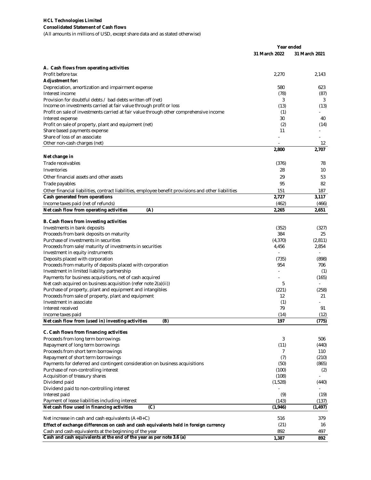**Consolidated Statement of Cash flows**

(All amounts in millions of USD, except share data and as stated otherwise)

|                                                                                                      | Year ended    |                |
|------------------------------------------------------------------------------------------------------|---------------|----------------|
|                                                                                                      | 31 March 2022 | 31 March 2021  |
|                                                                                                      |               |                |
| A. Cash flows from operating activities<br>Profit before tax                                         | 2,270         | 2,143          |
| <b>Adjustment for:</b>                                                                               |               |                |
| Depreciation, amortization and impairment expense                                                    | 580           | 623            |
| Interest income                                                                                      | (78)          | (87)           |
| Provision for doubtful debts / bad debts written off (net)                                           | 3             | 3              |
| Income on investments carried at fair value through profit or loss                                   | (13)          | (13)           |
| Profit on sale of investments carried at fair value through other comprehensive income               | (1)           |                |
| Interest expense<br>Profit on sale of property, plant and equipment (net)                            | 30<br>(2)     | 40<br>(14)     |
| Share based payments expense                                                                         | 11            |                |
| Share of loss of an associate                                                                        |               |                |
| Other non-cash charges (net)                                                                         |               | 12             |
|                                                                                                      | 2,800         | 2,707          |
| Net change in                                                                                        |               |                |
| Trade receivables                                                                                    | (376)         | 78             |
| Inventories                                                                                          | 28            | 10             |
| Other financial assets and other assets                                                              | 29            | 53             |
| Trade payables                                                                                       | 95            | 82             |
| Other financial liabilities, contract liabilities, employee benefit provisions and other liabilities | 151           | 187            |
| Cash generated from operations                                                                       | 2,727         | 3,117          |
| Income taxes paid (net of refunds)                                                                   | (462)         | (466)<br>2,651 |
| (A)<br>Net cash flow from operating activities                                                       | 2,265         |                |
| B. Cash flows from investing activities                                                              |               |                |
| Investments in bank deposits                                                                         | (352)         | (327)          |
| Proceeds from bank deposits on maturity                                                              | 384           | 25             |
| Purchase of investments in securities                                                                | (4,370)       | (2,811)        |
| Proceeds from sale/maturity of investments in securities<br>Investment in equity instruments         | 4,456         | 2,854          |
| Deposits placed with corporation                                                                     | (735)         | (898)          |
| Proceeds from maturity of deposits placed with corporation                                           | 954           | 706            |
| Investment in limited liability partnership                                                          |               | (1)            |
| Payments for business acquisitions, net of cash acquired                                             |               | (165)          |
| Net cash acquired on business acquisition (refer note 2(a)(ii))                                      | 5             |                |
| Purchase of property, plant and equipment and intangibles                                            | (221)         | (258)          |
| Proceeds from sale of property, plant and equipment                                                  | 12            | 21             |
| Investment in associate<br>Interest received                                                         | (1)<br>79     | 91             |
| Income taxes paid                                                                                    | (14)          | (12)           |
| Net cash flow from (used in) investing activities<br>(B)                                             | 197           | (775)          |
|                                                                                                      |               |                |
| C. Cash flows from financing activities                                                              |               |                |
| Proceeds from long term borrowings                                                                   | 3             | 506            |
| Repayment of long term borrowings                                                                    | (11)          | (440)          |
| Proceeds from short term borrowings<br>Repayment of short term borrowings                            | 7<br>(7)      | 110<br>(210)   |
| Payments for deferred and contingent consideration on business acquisitions                          | (50)          | (865)          |
| Purchase of non-controlling interest                                                                 | (100)         | (2)            |
| Acquisition of treasury shares                                                                       | (108)         |                |
| Dividend paid                                                                                        | (1,528)       | (440)          |
| Dividend paid to non-controlling interest                                                            |               |                |
| Interest paid                                                                                        | (9)           | (19)           |
| Payment of lease liabilities including interest                                                      | (143)         | (137)          |
| Net cash flow used in financing activities<br>(C)                                                    | (1,946)       | (1, 497)       |
| Net increase in cash and cash equivalents $(A+B+C)$                                                  | 516           | 379            |
| Effect of exchange differences on cash and cash equivalents held in foreign currency                 | (21)          | 16             |
| Cash and cash equivalents at the beginning of the year                                               | 892           | 497            |
| Cash and cash equivalents at the end of the year as per note 3.6 (a)                                 | 1,387         | 892            |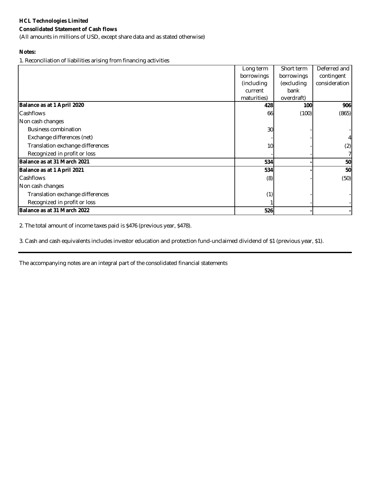### **Consolidated Statement of Cash flows**

(All amounts in millions of USD, except share data and as stated otherwise)

### **Notes:**

1. Reconciliation of liabilities arising from financing activities

|                                  | Long term   | Short term | Deferred and  |
|----------------------------------|-------------|------------|---------------|
|                                  | borrowings  | borrowings | contingent    |
|                                  | (including) | (excluding | consideration |
|                                  | current     | bank       |               |
|                                  | maturities) | overdraft) |               |
| Balance as at 1 April 2020       | 428         | 100        | 906           |
| Cashflows                        | 66          | (100)      | (865)         |
| Non cash changes                 |             |            |               |
| <b>Business combination</b>      | 30          |            |               |
| Exchange differences (net)       |             |            |               |
| Translation exchange differences | 10          |            | (2)           |
| Recognized in profit or loss     |             |            |               |
| Balance as at 31 March 2021      | 534         |            | 50            |
| Balance as at 1 April 2021       | 534         |            | 50            |
| Cashflows                        | (8)         |            | (50)          |
| Non cash changes                 |             |            |               |
| Translation exchange differences | (1)         |            |               |
| Recognized in profit or loss     |             |            |               |
| Balance as at 31 March 2022      | 526         |            |               |

2. The total amount of income taxes paid is \$476 (previous year, \$478).

3. Cash and cash equivalents includes investor education and protection fund-unclaimed dividend of \$1 (previous year, \$1).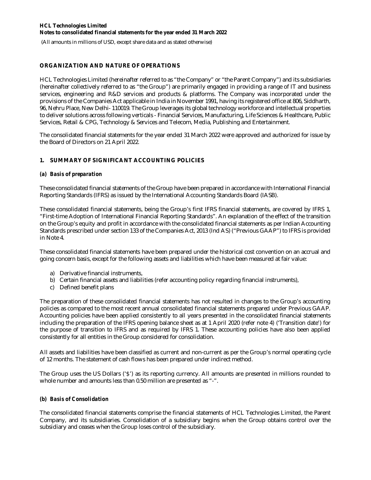(All amounts in millions of USD, except share data and as stated otherwise)

### **ORGANIZATION AND NATURE OF OPERATIONS**

HCL Technologies Limited (hereinafter referred to as "the Company" or "the Parent Company") and its subsidiaries (hereinafter collectively referred to as "the Group") are primarily engaged in providing a range of IT and business services, engineering and R&D services and products & platforms. The Company was incorporated under the provisions of the Companies Act applicable in India in November 1991, having its registered office at 806, Siddharth, 96, Nehru Place, New Delhi- 110019. The Group leverages its global technology workforce and intellectual properties to deliver solutions across following verticals - Financial Services, Manufacturing, Life Sciences & Healthcare, Public Services, Retail & CPG, Technology & Services and Telecom, Media, Publishing and Entertainment.

The consolidated financial statements for the year ended 31 March 2022 were approved and authorized for issue by the Board of Directors on 21 April 2022.

### **1. SUMMARY OF SIGNIFICANT ACCOUNTING POLICIES**

#### *(a) Basis of preparation*

These consolidated financial statements of the Group have been prepared in accordance with International Financial Reporting Standards (IFRS) as issued by the International Accounting Standards Board (IASB).

These consolidated financial statements, being the Group's first IFRS financial statements, are covered by IFRS 1, "First-time Adoption of International Financial Reporting Standards". An explanation of the effect of the transition on the Group's equity and profit in accordance with the consolidated financial statements as per Indian Accounting Standards prescribed under section 133 of the Companies Act, 2013 (Ind AS) ("Previous GAAP") to IFRS is provided in Note 4.

These consolidated financial statements have been prepared under the historical cost convention on an accrual and going concern basis, except for the following assets and liabilities which have been measured at fair value:

- a) Derivative financial instruments,
- b) Certain financial assets and liabilities (refer accounting policy regarding financial instruments),
- c) Defined benefit plans

The preparation of these consolidated financial statements has not resulted in changes to the Group's accounting policies as compared to the most recent annual consolidated financial statements prepared under Previous GAAP. Accounting policies have been applied consistently to all years presented in the consolidated financial statements including the preparation of the IFRS opening balance sheet as at 1 April 2020 (refer note 4) ('Transition date') for the purpose of transition to IFRS and as required by IFRS 1. These accounting policies have also been applied consistently for all entities in the Group considered for consolidation.

All assets and liabilities have been classified as current and non-current as per the Group's normal operating cycle of 12 months. The statement of cash flows has been prepared under indirect method.

The Group uses the US Dollars ('\$') as its reporting currency. All amounts are presented in millions rounded to whole number and amounts less than 0.50 million are presented as "-".

### *(b) Basis of Consolidation*

The consolidated financial statements comprise the financial statements of HCL Technologies Limited, the Parent Company, and its subsidiaries. Consolidation of a subsidiary begins when the Group obtains control over the subsidiary and ceases when the Group loses control of the subsidiary.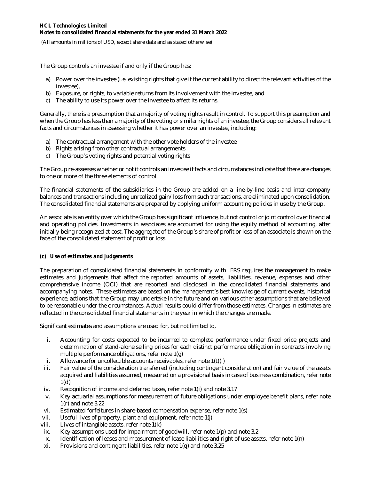(All amounts in millions of USD, except share data and as stated otherwise)

The Group controls an investee if and only if the Group has:

- a) Power over the investee (i.e. existing rights that give it the current ability to direct the relevant activities of the investee),
- b) Exposure, or rights, to variable returns from its involvement with the investee, and
- c) The ability to use its power over the investee to affect its returns.

Generally, there is a presumption that a majority of voting rights result in control. To support this presumption and when the Group has less than a majority of the voting or similar rights of an investee, the Group considers all relevant facts and circumstances in assessing whether it has power over an investee, including:

- a) The contractual arrangement with the other vote holders of the investee
- b) Rights arising from other contractual arrangements
- c) The Group's voting rights and potential voting rights

The Group re-assesses whether or not it controls an investee if facts and circumstances indicate that there are changes to one or more of the three elements of control.

The financial statements of the subsidiaries in the Group are added on a line-by-line basis and inter-company balances and transactions including unrealized gain/loss from such transactions, are eliminated upon consolidation. The consolidated financial statements are prepared by applying uniform accounting policies in use by the Group.

An associate is an entity over which the Group has significant influence, but not control or joint control over financial and operating policies. Investments in associates are accounted for using the equity method of accounting, after initially being recognized at cost. The aggregate of the Group's share of profit or loss of an associate is shown on the face of the consolidated statement of profit or loss.

### **(c)** *Use of estimates and judgements*

The preparation of consolidated financial statements in conformity with IFRS requires the management to make estimates and judgements that affect the reported amounts of assets, liabilities, revenue, expenses and other comprehensive income (OCI) that are reported and disclosed in the consolidated financial statements and accompanying notes. These estimates are based on the management's best knowledge of current events, historical experience, actions that the Group may undertake in the future and on various other assumptions that are believed to be reasonable under the circumstances. Actual results could differ from those estimates. Changes in estimates are reflected in the consolidated financial statements in the year in which the changes are made.

Significant estimates and assumptions are used for, but not limited to,

- i. Accounting for costs expected to be incurred to complete performance under fixed price projects and determination of stand-alone selling prices for each distinct performance obligation in contracts involving multiple performance obligations, refer note 1(g)
- ii. Allowance for uncollectible accounts receivables, refer note 1(t)(i)
- iii. Fair value of the consideration transferred (including contingent consideration) and fair value of the assets acquired and liabilities assumed, measured on a provisional basis in case of business combination, refer note 1(d)
- iv. Recognition of income and deferred taxes, refer note 1(i) and note 3.17
- v. Key actuarial assumptions for measurement of future obligations under employee benefit plans, refer note 1(r) and note 3.22
- vi. Estimated forfeitures in share-based compensation expense, refer note 1(s)
- vii. Useful lives of property, plant and equipment, refer note 1(j)
- viii. Lives of intangible assets, refer note 1(k)
- ix. Key assumptions used for impairment of goodwill, refer note 1(p) and note 3.2
- x. Identification of leases and measurement of lease liabilities and right of use assets, refer note 1(n)
- xi. Provisions and contingent liabilities, refer note 1(q) and note 3.25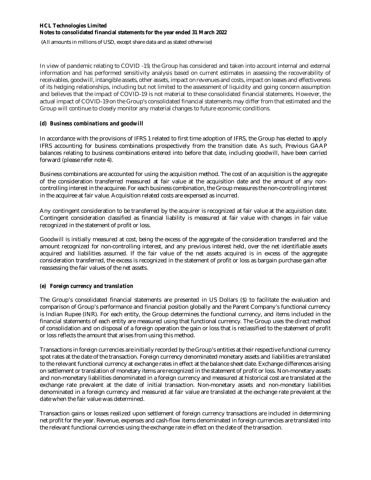(All amounts in millions of USD, except share data and as stated otherwise)

In view of pandemic relating to COVID -19, the Group has considered and taken into account internal and external information and has performed sensitivity analysis based on current estimates in assessing the recoverability of receivables, goodwill, intangible assets, other assets, impact on revenues and costs, impact on leases and effectiveness of its hedging relationships, including but not limited to the assessment of liquidity and going concern assumption and believes that the impact of COVID-19 is not material to these consolidated financial statements. However, the actual impact of COVID-19 on the Group's consolidated financial statements may differ from that estimated and the Group will continue to closely monitor any material changes to future economic conditions.

### *(d) Business combinations and goodwill*

In accordance with the provisions of IFRS 1 related to first time adoption of IFRS, the Group has elected to apply IFRS accounting for business combinations prospectively from the transition date. As such, Previous GAAP balances relating to business combinations entered into before that date, including goodwill, have been carried forward (please refer note 4).

Business combinations are accounted for using the acquisition method. The cost of an acquisition is the aggregate of the consideration transferred measured at fair value at the acquisition date and the amount of any noncontrolling interest in the acquiree. For each business combination, the Group measures the non-controlling interest in the acquiree at fair value. Acquisition related costs are expensed as incurred.

Any contingent consideration to be transferred by the acquirer is recognized at fair value at the acquisition date. Contingent consideration classified as financial liability is measured at fair value with changes in fair value recognized in the statement of profit or loss.

Goodwill is initially measured at cost, being the excess of the aggregate of the consideration transferred and the amount recognized for non-controlling interest, and any previous interest held, over the net identifiable assets acquired and liabilities assumed. If the fair value of the net assets acquired is in excess of the aggregate consideration transferred, the excess is recognized in the statement of profit or loss as bargain purchase gain after reassessing the fair values of the net assets.

### *(e) Foreign currency and translation*

The Group's consolidated financial statements are presented in US Dollars (\$) to facilitate the evaluation and comparison of Group's performance and financial position globally and the Parent Company's functional currency is Indian Rupee (INR). For each entity, the Group determines the functional currency, and items included in the financial statements of each entity are measured using that functional currency. The Group uses the direct method of consolidation and on disposal of a foreign operation the gain or loss that is reclassified to the statement of profit or loss reflects the amount that arises from using this method.

Transactions in foreign currencies are initially recorded by the Group's entities at their respective functional currency spot rates at the date of the transaction. Foreign currency denominated monetary assets and liabilities are translated to the relevant functional currency at exchange rates in effect at the balance sheet date. Exchange differences arising on settlement or translation of monetary items are recognized in the statement of profit or loss. Non-monetary assets and non-monetary liabilities denominated in a foreign currency and measured at historical cost are translated at the exchange rate prevalent at the date of initial transaction. Non-monetary assets and non-monetary liabilities denominated in a foreign currency and measured at fair value are translated at the exchange rate prevalent at the date when the fair value was determined.

Transaction gains or losses realized upon settlement of foreign currency transactions are included in determining net profit for the year. Revenue, expenses and cash-flow items denominated in foreign currencies are translated into the relevant functional currencies using the exchange rate in effect on the date of the transaction.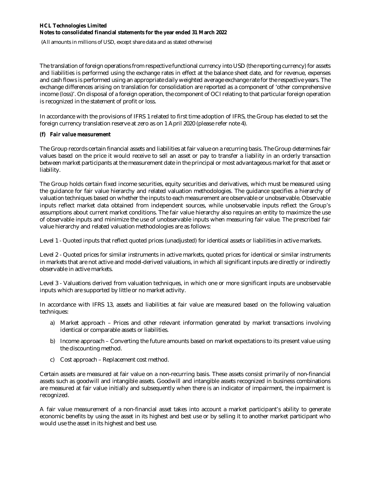(All amounts in millions of USD, except share data and as stated otherwise)

The translation of foreign operations from respective functional currency into USD (the reporting currency) for assets and liabilities is performed using the exchange rates in effect at the balance sheet date, and for revenue, expenses and cash flows is performed using an appropriate daily weighted average exchange rate for the respective years. The exchange differences arising on translation for consolidation are reported as a component of 'other comprehensive income (loss)'. On disposal of a foreign operation, the component of OCI relating to that particular foreign operation is recognized in the statement of profit or loss.

In accordance with the provisions of IFRS 1 related to first time adoption of IFRS, the Group has elected to set the foreign currency translation reserve at zero as on 1 April 2020 (please refer note 4).

### *(f) Fair value measurement*

The Group records certain financial assets and liabilities at fair value on a recurring basis. The Group determines fair values based on the price it would receive to sell an asset or pay to transfer a liability in an orderly transaction between market participants at the measurement date in the principal or most advantageous market for that asset or liability.

The Group holds certain fixed income securities, equity securities and derivatives, which must be measured using the guidance for fair value hierarchy and related valuation methodologies. The guidance specifies a hierarchy of valuation techniques based on whether the inputs to each measurement are observable or unobservable. Observable inputs reflect market data obtained from independent sources, while unobservable inputs reflect the Group's assumptions about current market conditions. The fair value hierarchy also requires an entity to maximize the use of observable inputs and minimize the use of unobservable inputs when measuring fair value. The prescribed fair value hierarchy and related valuation methodologies are as follows:

Level 1 - Quoted inputs that reflect quoted prices (unadjusted) for identical assets or liabilities in active markets.

Level 2 - Quoted prices for similar instruments in active markets, quoted prices for identical or similar instruments in markets that are not active and model-derived valuations, in which all significant inputs are directly or indirectly observable in active markets.

Level 3 - Valuations derived from valuation techniques, in which one or more significant inputs are unobservable inputs which are supported by little or no market activity.

In accordance with IFRS 13, assets and liabilities at fair value are measured based on the following valuation techniques:

- a) Market approach Prices and other relevant information generated by market transactions involving identical or comparable assets or liabilities.
- b) Income approach Converting the future amounts based on market expectations to its present value using the discounting method.
- c) Cost approach Replacement cost method.

Certain assets are measured at fair value on a non-recurring basis. These assets consist primarily of non-financial assets such as goodwill and intangible assets. Goodwill and intangible assets recognized in business combinations are measured at fair value initially and subsequently when there is an indicator of impairment, the impairment is recognized.

A fair value measurement of a non-financial asset takes into account a market participant's ability to generate economic benefits by using the asset in its highest and best use or by selling it to another market participant who would use the asset in its highest and best use.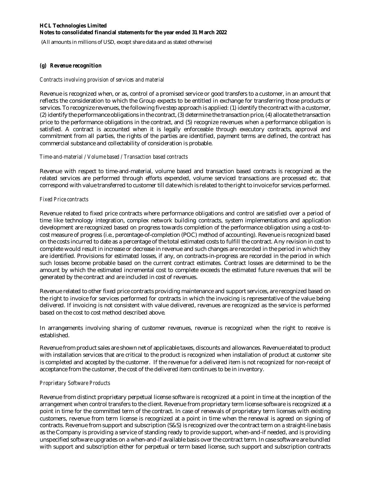(All amounts in millions of USD, except share data and as stated otherwise)

### *(g) Revenue recognition*

#### *Contracts involving provision of services and material*

Revenue is recognized when, or as, control of a promised service or good transfers to a customer, in an amount that reflects the consideration to which the Group expects to be entitled in exchange for transferring those products or services. To recognize revenues, the following five step approach is applied: (1) identify the contract with a customer, (2) identify the performance obligations in the contract, (3) determine the transaction price, (4) allocate the transaction price to the performance obligations in the contract, and (5) recognize revenues when a performance obligation is satisfied. A contract is accounted when it is legally enforceable through executory contracts, approval and commitment from all parties, the rights of the parties are identified, payment terms are defined, the contract has commercial substance and collectability of consideration is probable.

#### *Time-and-material / Volume based / Transaction based contracts*

Revenue with respect to time-and-material, volume based and transaction based contracts is recognized as the related services are performed through efforts expended, volume serviced transactions are processed etc. that correspond with value transferred to customer till date which is related to the right to invoice for services performed.

#### *Fixed Price contracts*

Revenue related to fixed price contracts where performance obligations and control are satisfied over a period of time like technology integration, complex network building contracts, system implementations and application development are recognized based on progress towards completion of the performance obligation using a cost-tocost measure of progress (i.e., percentage-of-completion (POC) method of accounting). Revenue is recognized based on the costs incurred to date as a percentage of the total estimated costs to fulfill the contract. Any revision in cost to complete would result in increase or decrease in revenue and such changes are recorded in the period in which they are identified. Provisions for estimated losses, if any, on contracts-in-progress are recorded in the period in which such losses become probable based on the current contract estimates. Contract losses are determined to be the amount by which the estimated incremental cost to complete exceeds the estimated future revenues that will be generated by the contract and are included in cost of revenues.

Revenue related to other fixed price contracts providing maintenance and support services, are recognized based on the right to invoice for services performed for contracts in which the invoicing is representative of the value being delivered. If invoicing is not consistent with value delivered, revenues are recognized as the service is performed based on the cost to cost method described above.

In arrangements involving sharing of customer revenues, revenue is recognized when the right to receive is established.

Revenue from product sales are shown net of applicable taxes, discounts and allowances. Revenue related to product with installation services that are critical to the product is recognized when installation of product at customer site is completed and accepted by the customer. If the revenue for a delivered item is not recognized for non-receipt of acceptance from the customer, the cost of the delivered item continues to be in inventory.

#### *Proprietary Software Products*

Revenue from distinct proprietary perpetual license software is recognized at a point in time at the inception of the arrangement when control transfers to the client. Revenue from proprietary term license software is recognized at a point in time for the committed term of the contract. In case of renewals of proprietary term licenses with existing customers, revenue from term license is recognized at a point in time when the renewal is agreed on signing of contracts. Revenue from support and subscription (S&S) is recognized over the contract term on a straight-line basis as the Company is providing a service of standing ready to provide support, when-and-if needed, and is providing unspecified software upgrades on a when-and-if available basis over the contract term. In case software are bundled with support and subscription either for perpetual or term based license, such support and subscription contracts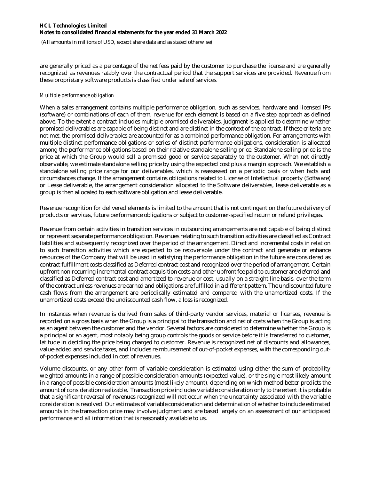(All amounts in millions of USD, except share data and as stated otherwise)

are generally priced as a percentage of the net fees paid by the customer to purchase the license and are generally recognized as revenues ratably over the contractual period that the support services are provided. Revenue from these proprietary software products is classified under sale of services.

#### *Multiple performance obligation*

When a sales arrangement contains multiple performance obligation, such as services, hardware and licensed IPs (software) or combinations of each of them, revenue for each element is based on a five step approach as defined above. To the extent a contract includes multiple promised deliverables, judgment is applied to determine whether promised deliverables are capable of being distinct and are distinct in the context of the contract. If these criteria are not met, the promised deliverables are accounted for as a combined performance obligation. For arrangements with multiple distinct performance obligations or series of distinct performance obligations, consideration is allocated among the performance obligations based on their relative standalone selling price. Standalone selling price is the price at which the Group would sell a promised good or service separately to the customer. When not directly observable, we estimate standalone selling price by using the expected cost plus a margin approach. We establish a standalone selling price range for our deliverables, which is reassessed on a periodic basis or when facts and circumstances change. If the arrangement contains obligations related to License of Intellectual property (Software) or Lease deliverable, the arrangement consideration allocated to the Software deliverables, lease deliverable as a group is then allocated to each software obligation and lease deliverable.

Revenue recognition for delivered elements is limited to the amount that is not contingent on the future delivery of products or services, future performance obligations or subject to customer-specified return or refund privileges.

Revenue from certain activities in transition services in outsourcing arrangements are not capable of being distinct or represent separate performance obligation. Revenues relating to such transition activities are classified as Contract liabilities and subsequently recognized over the period of the arrangement. Direct and incremental costs in relation to such transition activities which are expected to be recoverable under the contract and generate or enhance resources of the Company that will be used in satisfying the performance obligation in the future are considered as contract fulfillment costs classified as Deferred contract cost and recognized over the period of arrangement. Certain upfront non-recurring incremental contract acquisition costs and other upfront fee paid to customer are deferred and classified as Deferred contract cost and amortized to revenue or cost, usually on a straight line basis, over the term of the contract unless revenues are earned and obligations are fulfilled in a different pattern. The undiscounted future cash flows from the arrangement are periodically estimated and compared with the unamortized costs. If the unamortized costs exceed the undiscounted cash flow, a loss is recognized.

In instances when revenue is derived from sales of third-party vendor services, material or licenses, revenue is recorded on a gross basis when the Group is a principal to the transaction and net of costs when the Group is acting as an agent between the customer and the vendor. Several factors are considered to determine whether the Group is a principal or an agent, most notably being group controls the goods or service before it is transferred to customer, latitude in deciding the price being charged to customer. Revenue is recognized net of discounts and allowances, value-added and service taxes, and includes reimbursement of out-of-pocket expenses, with the corresponding outof-pocket expenses included in cost of revenues.

Volume discounts, or any other form of variable consideration is estimated using either the sum of probability weighted amounts in a range of possible consideration amounts (expected value), or the single most likely amount in a range of possible consideration amounts (most likely amount), depending on which method better predicts the amount of consideration realizable. Transaction price includes variable consideration only to the extent it is probable that a significant reversal of revenues recognized will not occur when the uncertainty associated with the variable consideration is resolved. Our estimates of variable consideration and determination of whether to include estimated amounts in the transaction price may involve judgment and are based largely on an assessment of our anticipated performance and all information that is reasonably available to us.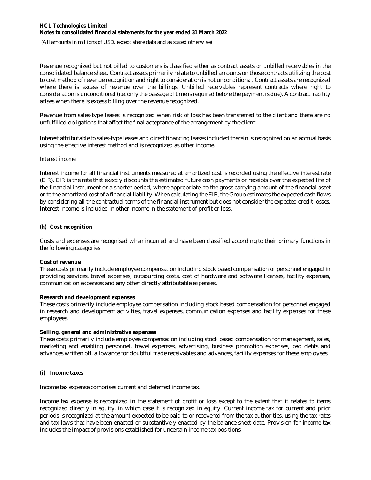(All amounts in millions of USD, except share data and as stated otherwise)

Revenue recognized but not billed to customers is classified either as contract assets or unbilled receivables in the consolidated balance sheet. Contract assets primarily relate to unbilled amounts on those contracts utilizing the cost to cost method of revenue recognition and right to consideration is not unconditional. Contract assets are recognized where there is excess of revenue over the billings. Unbilled receivables represent contracts where right to consideration is unconditional (i.e. only the passage of time is required before the payment is due). A contract liability arises when there is excess billing over the revenue recognized.

Revenue from sales-type leases is recognized when risk of loss has been transferred to the client and there are no unfulfilled obligations that affect the final acceptance of the arrangement by the client.

Interest attributable to sales-type leases and direct financing leases included therein is recognized on an accrual basis using the effective interest method and is recognized as other income.

#### *Interest income*

Interest income for all financial instruments measured at amortized cost is recorded using the effective interest rate (EIR). EIR is the rate that exactly discounts the estimated future cash payments or receipts over the expected life of the financial instrument or a shorter period, where appropriate, to the gross carrying amount of the financial asset or to the amortized cost of a financial liability. When calculating the EIR, the Group estimates the expected cash flows by considering all the contractual terms of the financial instrument but does not consider the expected credit losses. Interest income is included in other income in the statement of profit or loss.

### *(h) Cost recognition*

Costs and expenses are recognised when incurred and have been classified according to their primary functions in the following categories:

#### **Cost of revenue**

These costs primarily include employee compensation including stock based compensation of personnel engaged in providing services, travel expenses, outsourcing costs, cost of hardware and software licenses, facility expenses, communication expenses and any other directly attributable expenses.

### **Research and development expenses**

These costs primarily include employee compensation including stock based compensation for personnel engaged in research and development activities, travel expenses, communication expenses and facility expenses for these employees.

### **Selling, general and administrative expenses**

These costs primarily include employee compensation including stock based compensation for management, sales, marketing and enabling personnel, travel expenses, advertising, business promotion expenses, bad debts and advances written off, allowance for doubtful trade receivables and advances, facility expenses for these employees.

### *(i) Income taxes*

Income tax expense comprises current and deferred income tax.

Income tax expense is recognized in the statement of profit or loss except to the extent that it relates to items recognized directly in equity, in which case it is recognized in equity. Current income tax for current and prior periods is recognized at the amount expected to be paid to or recovered from the tax authorities, using the tax rates and tax laws that have been enacted or substantively enacted by the balance sheet date. Provision for income tax includes the impact of provisions established for uncertain income tax positions.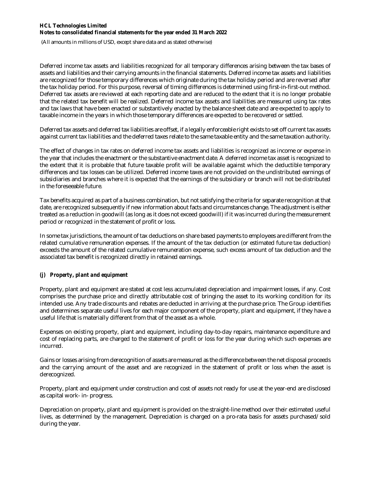(All amounts in millions of USD, except share data and as stated otherwise)

Deferred income tax assets and liabilities recognized for all temporary differences arising between the tax bases of assets and liabilities and their carrying amounts in the financial statements. Deferred income tax assets and liabilities are recognized for those temporary differences which originate during the tax holiday period and are reversed after the tax holiday period. For this purpose, reversal of timing differences is determined using first-in-first-out method. Deferred tax assets are reviewed at each reporting date and are reduced to the extent that it is no longer probable that the related tax benefit will be realized. Deferred income tax assets and liabilities are measured using tax rates and tax laws that have been enacted or substantively enacted by the balance sheet date and are expected to apply to taxable income in the years in which those temporary differences are expected to be recovered or settled.

Deferred tax assets and deferred tax liabilities are offset, if a legally enforceable right exists to set off current tax assets against current tax liabilities and the deferred taxes relate to the same taxable entity and the same taxation authority.

The effect of changes in tax rates on deferred income tax assets and liabilities is recognized as income or expense in the year that includes the enactment or the substantive enactment date. A deferred income tax asset is recognized to the extent that it is probable that future taxable profit will be available against which the deductible temporary differences and tax losses can be utilized. Deferred income taxes are not provided on the undistributed earnings of subsidiaries and branches where it is expected that the earnings of the subsidiary or branch will not be distributed in the foreseeable future.

Tax benefits acquired as part of a business combination, but not satisfying the criteria for separate recognition at that date, are recognized subsequently if new information about facts and circumstances change. The adjustment is either treated as a reduction in goodwill (as long as it does not exceed goodwill) if it was incurred during the measurement period or recognized in the statement of profit or loss.

In some tax jurisdictions, the amount of tax deductions on share based payments to employees are different from the related cumulative remuneration expenses. If the amount of the tax deduction (or estimated future tax deduction) exceeds the amount of the related cumulative remuneration expense, such excess amount of tax deduction and the associated tax benefit is recognized directly in retained earnings.

### *(j) Property, plant and equipment*

Property, plant and equipment are stated at cost less accumulated depreciation and impairment losses, if any. Cost comprises the purchase price and directly attributable cost of bringing the asset to its working condition for its intended use. Any trade discounts and rebates are deducted in arriving at the purchase price. The Group identifies and determines separate useful lives for each major component of the property, plant and equipment, if they have a useful life that is materially different from that of the asset as a whole.

Expenses on existing property, plant and equipment, including day-to-day repairs, maintenance expenditure and cost of replacing parts, are charged to the statement of profit or loss for the year during which such expenses are incurred.

Gains or losses arising from derecognition of assets are measured as the difference between the net disposal proceeds and the carrying amount of the asset and are recognized in the statement of profit or loss when the asset is derecognized.

Property, plant and equipment under construction and cost of assets not ready for use at the year-end are disclosed as capital work- in- progress.

Depreciation on property, plant and equipment is provided on the straight-line method over their estimated useful lives, as determined by the management. Depreciation is charged on a pro-rata basis for assets purchased/sold during the year.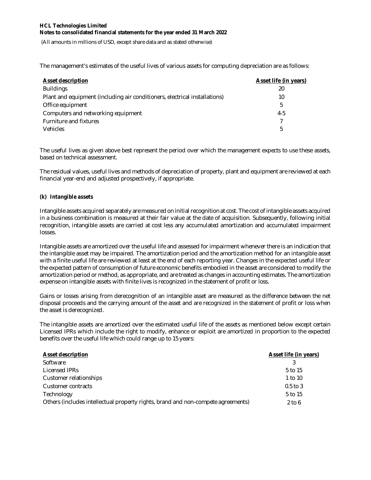(All amounts in millions of USD, except share data and as stated otherwise)

The management's estimates of the useful lives of various assets for computing depreciation are as follows:

| <b>Asset description</b>                                                   | <b>Asset life (in years)</b> |
|----------------------------------------------------------------------------|------------------------------|
| <b>Buildings</b>                                                           | 20                           |
| Plant and equipment (including air conditioners, electrical installations) | 10                           |
| Office equipment                                                           | 5                            |
| Computers and networking equipment                                         | $4-5$                        |
| Furniture and fixtures                                                     | 7                            |
| <b>Vehicles</b>                                                            | 5                            |

The useful lives as given above best represent the period over which the management expects to use these assets, based on technical assessment.

The residual values, useful lives and methods of depreciation of property, plant and equipment are reviewed at each financial year-end and adjusted prospectively, if appropriate.

### *(k) Intangible assets*

Intangible assets acquired separately are measured on initial recognition at cost. The cost of intangible assets acquired in a business combination is measured at their fair value at the date of acquisition. Subsequently, following initial recognition, intangible assets are carried at cost less any accumulated amortization and accumulated impairment losses.

Intangible assets are amortized over the useful life and assessed for impairment whenever there is an indication that the intangible asset may be impaired. The amortization period and the amortization method for an intangible asset with a finite useful life are reviewed at least at the end of each reporting year. Changes in the expected useful life or the expected pattern of consumption of future economic benefits embodied in the asset are considered to modify the amortization period or method, as appropriate, and are treated as changes in accounting estimates. The amortization expense on intangible assets with finite lives is recognized in the statement of profit or loss.

Gains or losses arising from derecognition of an intangible asset are measured as the difference between the net disposal proceeds and the carrying amount of the asset and are recognized in the statement of profit or loss when the asset is derecognized.

The intangible assets are amortized over the estimated useful life of the assets as mentioned below except certain Licensed IPRs which include the right to modify, enhance or exploit are amortized in proportion to the expected benefits over the useful life which could range up to 15 years:

| <b>Asset description</b>                                                         | Asset life (in years) |
|----------------------------------------------------------------------------------|-----------------------|
| Software                                                                         |                       |
| Licensed IPRs                                                                    | 5 to 15               |
| Customer relationships                                                           | 1 to 10               |
| Customer contracts                                                               | $0.5$ to 3            |
| Technology                                                                       | 5 to 15               |
| Others (includes intellectual property rights, brand and non-compete agreements) | $2$ to 6              |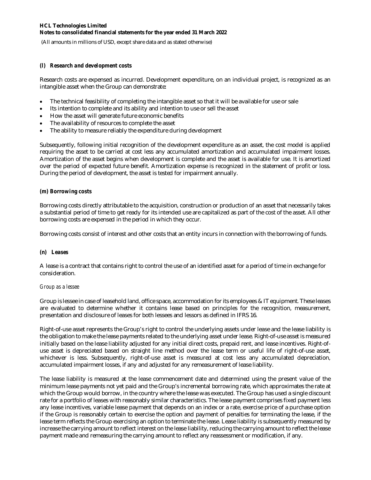(All amounts in millions of USD, except share data and as stated otherwise)

### *(l) Research and development costs*

Research costs are expensed as incurred. Development expenditure, on an individual project, is recognized as an intangible asset when the Group can demonstrate:

- The technical feasibility of completing the intangible asset so that it will be available for use or sale
- Its intention to complete and its ability and intention to use or sell the asset
- How the asset will generate future economic benefits
- The availability of resources to complete the asset
- The ability to measure reliably the expenditure during development

Subsequently, following initial recognition of the development expenditure as an asset, the cost model is applied requiring the asset to be carried at cost less any accumulated amortization and accumulated impairment losses. Amortization of the asset begins when development is complete and the asset is available for use. It is amortized over the period of expected future benefit. Amortization expense is recognized in the statement of profit or loss. During the period of development, the asset is tested for impairment annually.

### *(m) Borrowing costs*

Borrowing costs directly attributable to the acquisition, construction or production of an asset that necessarily takes a substantial period of time to get ready for its intended use are capitalized as part of the cost of the asset. All other borrowing costs are expensed in the period in which they occur.

Borrowing costs consist of interest and other costs that an entity incurs in connection with the borrowing of funds.

### *(n) Leases*

A lease is a contract that contains right to control the use of an identified asset for a period of time in exchange for consideration.

#### *Group as a lessee*

Group is lessee in case of leasehold land, office space, accommodation for its employees & IT equipment. These leases are evaluated to determine whether it contains lease based on principles for the recognition, measurement, presentation and disclosure of leases for both lessees and lessors as defined in IFRS 16.

Right-of-use asset represents the Group's right to control the underlying assets under lease and the lease liability is the obligation to make the lease payments related to the underlying asset under lease. Right-of-use asset is measured initially based on the lease liability adjusted for any initial direct costs, prepaid rent, and lease incentives. Right-ofuse asset is depreciated based on straight line method over the lease term or useful life of right-of-use asset, whichever is less. Subsequently, right-of-use asset is measured at cost less any accumulated depreciation, accumulated impairment losses, if any and adjusted for any remeasurement of lease liability.

The lease liability is measured at the lease commencement date and determined using the present value of the minimum lease payments not yet paid and the Group's incremental borrowing rate, which approximates the rate at which the Group would borrow, in the country where the lease was executed. The Group has used a single discount rate for a portfolio of leases with reasonably similar characteristics. The lease payment comprises fixed payment less any lease incentives, variable lease payment that depends on an index or a rate, exercise price of a purchase option if the Group is reasonably certain to exercise the option and payment of penalties for terminating the lease, if the lease term reflects the Group exercising an option to terminate the lease. Lease liability is subsequently measured by increase the carrying amount to reflect interest on the lease liability, reducing the carrying amount to reflect the lease payment made and remeasuring the carrying amount to reflect any reassessment or modification, if any.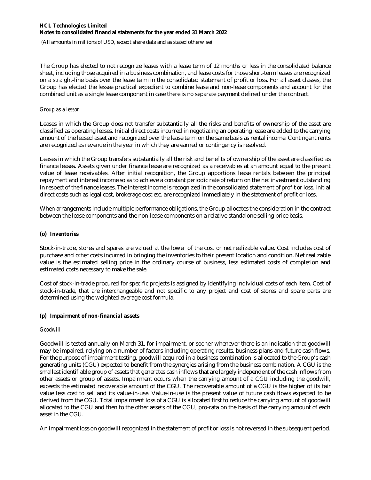(All amounts in millions of USD, except share data and as stated otherwise)

The Group has elected to not recognize leases with a lease term of 12 months or less in the consolidated balance sheet, including those acquired in a business combination, and lease costs for those short-term leases are recognized on a straight-line basis over the lease term in the consolidated statement of profit or loss. For all asset classes, the Group has elected the lessee practical expedient to combine lease and non-lease components and account for the combined unit as a single lease component in case there is no separate payment defined under the contract.

#### *Group as a lessor*

Leases in which the Group does not transfer substantially all the risks and benefits of ownership of the asset are classified as operating leases. Initial direct costs incurred in negotiating an operating lease are added to the carrying amount of the leased asset and recognized over the lease term on the same basis as rental income. Contingent rents are recognized as revenue in the year in which they are earned or contingency is resolved.

Leases in which the Group transfers substantially all the risk and benefits of ownership of the asset are classified as finance leases. Assets given under finance lease are recognized as a receivables at an amount equal to the present value of lease receivables. After initial recognition, the Group apportions lease rentals between the principal repayment and interest income so as to achieve a constant periodic rate of return on the net investment outstanding in respect of the finance leases. The interest income is recognized in the consolidated statement of profit or loss. Initial direct costs such as legal cost, brokerage cost etc. are recognized immediately in the statement of profit or loss.

When arrangements include multiple performance obligations, the Group allocates the consideration in the contract between the lease components and the non-lease components on a relative standalone selling price basis.

### **(o)** *Inventories*

Stock-in-trade, stores and spares are valued at the lower of the cost or net realizable value. Cost includes cost of purchase and other costs incurred in bringing the inventories to their present location and condition. Net realizable value is the estimated selling price in the ordinary course of business, less estimated costs of completion and estimated costs necessary to make the sale.

Cost of stock-in-trade procured for specific projects is assigned by identifying individual costs of each item. Cost of stock-in-trade, that are interchangeable and not specific to any project and cost of stores and spare parts are determined using the weighted average cost formula.

### *(p) Impairment of non-financial assets*

### *Goodwill*

Goodwill is tested annually on March 31, for impairment, or sooner whenever there is an indication that goodwill may be impaired, relying on a number of factors including operating results, business plans and future cash flows. For the purpose of impairment testing, goodwill acquired in a business combination is allocated to the Group's cash generating units (CGU) expected to benefit from the synergies arising from the business combination. A CGU is the smallest identifiable group of assets that generates cash inflows that are largely independent of the cash inflows from other assets or group of assets. Impairment occurs when the carrying amount of a CGU including the goodwill, exceeds the estimated recoverable amount of the CGU. The recoverable amount of a CGU is the higher of its fair value less cost to sell and its value-in-use. Value-in-use is the present value of future cash flows expected to be derived from the CGU. Total impairment loss of a CGU is allocated first to reduce the carrying amount of goodwill allocated to the CGU and then to the other assets of the CGU, pro-rata on the basis of the carrying amount of each asset in the CGU.

An impairment loss on goodwill recognized in the statement of profit or loss is not reversed in the subsequent period.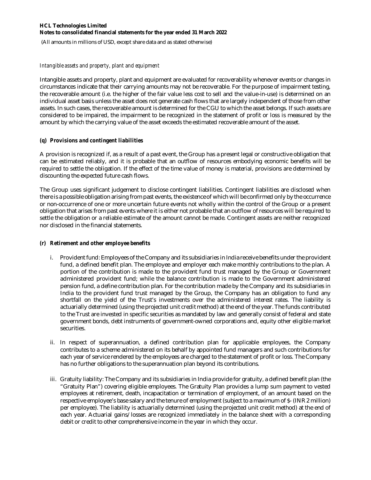(All amounts in millions of USD, except share data and as stated otherwise)

#### *Intangible assets and property, plant and equipment*

Intangible assets and property, plant and equipment are evaluated for recoverability whenever events or changes in circumstances indicate that their carrying amounts may not be recoverable. For the purpose of impairment testing, the recoverable amount (i.e. the higher of the fair value less cost to sell and the value-in-use) is determined on an individual asset basis unless the asset does not generate cash flows that are largely independent of those from other assets. In such cases, the recoverable amount is determined for the CGU to which the asset belongs. If such assets are considered to be impaired, the impairment to be recognized in the statement of profit or loss is measured by the amount by which the carrying value of the asset exceeds the estimated recoverable amount of the asset.

### *(q) Provisions and contingent liabilities*

A provision is recognized if, as a result of a past event, the Group has a present legal or constructive obligation that can be estimated reliably, and it is probable that an outflow of resources embodying economic benefits will be required to settle the obligation. If the effect of the time value of money is material, provisions are determined by discounting the expected future cash flows.

The Group uses significant judgement to disclose contingent liabilities. Contingent liabilities are disclosed when there is a possible obligation arising from past events, the existence of which will be confirmed only by the occurrence or non-occurrence of one or more uncertain future events not wholly within the control of the Group or a present obligation that arises from past events where it is either not probable that an outflow of resources will be required to settle the obligation or a reliable estimate of the amount cannot be made. Contingent assets are neither recognized nor disclosed in the financial statements.

### *(r) Retirement and other employee benefits*

- i. Provident fund: Employees of the Company and its subsidiaries in India receive benefits under the provident fund, a defined benefit plan. The employee and employer each make monthly contributions to the plan. A portion of the contribution is made to the provident fund trust managed by the Group or Government administered provident fund; while the balance contribution is made to the Government administered pension fund, a define contribution plan. For the contribution made by the Company and its subsidiaries in India to the provident fund trust managed by the Group, the Company has an obligation to fund any shortfall on the yield of the Trust's investments over the administered interest rates. The liability is actuarially determined (using the projected unit credit method) at the end of the year. The funds contributed to the Trust are invested in specific securities as mandated by law and generally consist of federal and state government bonds, debt instruments of government-owned corporations and, equity other eligible market securities.
- ii. In respect of superannuation, a defined contribution plan for applicable employees, the Company contributes to a scheme administered on its behalf by appointed fund managers and such contributions for each year of service rendered by the employees are charged to the statement of profit or loss. The Company has no further obligations to the superannuation plan beyond its contributions.
- iii. Gratuity liability: The Company and its subsidiaries in India provide for gratuity, a defined benefit plan (the "Gratuity Plan") covering eligible employees. The Gratuity Plan provides a lump sum payment to vested employees at retirement, death, incapacitation or termination of employment, of an amount based on the respective employee's base salary and the tenure of employment (subject to a maximum of \$- (INR 2 million) per employee). The liability is actuarially determined (using the projected unit credit method) at the end of each year. Actuarial gains/losses are recognized immediately in the balance sheet with a corresponding debit or credit to other comprehensive income in the year in which they occur.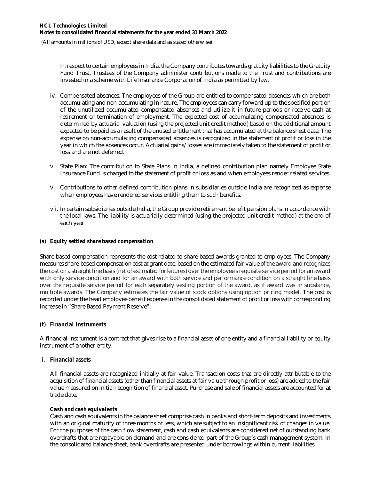(All amounts in millions of USD, except share data and as stated otherwise)

In respect to certain employees in India, the Company contributes towards gratuity liabilities to the Gratuity Fund Trust. Trustees of the Company administer contributions made to the Trust and contributions are invested in a scheme with Life Insurance Corporation of India as permitted by law.

- iv. Compensated absences: The employees of the Group are entitled to compensated absences which are both accumulating and non-accumulating in nature. The employees can carry forward up to the specified portion of the unutilized accumulated compensated absences and utilize it in future periods or receive cash at retirement or termination of employment. The expected cost of accumulating compensated absences is determined by actuarial valuation (using the projected unit credit method) based on the additional amount expected to be paid as a result of the unused entitlement that has accumulated at the balance sheet date. The expense on non-accumulating compensated absences is recognized in the statement of profit or loss in the year in which the absences occur. Actuarial gains/losses are immediately taken to the statement of profit or loss and are not deferred.
- v. State Plan: The contribution to State Plans in India, a defined contribution plan namely Employee State Insurance Fund is charged to the statement of profit or loss as and when employees render related services.
- vi. Contributions to other defined contribution plans in subsidiaries outside India are recognized as expense when employees have rendered services entitling them to such benefits.
- vii. In certain subsidiaries outside India, the Group provide retirement benefit pension plans in accordance with the local laws. The liability is actuarially determined (using the projected unit credit method) at the end of each year.

### *(s) Equity settled share based compensation*

Share-based compensation represents the cost related to share-based awards granted to employees. The Company measures share-based compensation cost at grant date, based on the estimated fair value of the award and recognizes the cost on a straight line basis (net of estimated forfeitures) over the employee's requisite service period for an award with only service condition and for an award with both service and performance condition on a straight line basis over the requisite service period for each separately vesting portion of the award, as if award was in substance, multiple awards. The Company estimates the fair value of stock options using option pricing model. The cost is recorded under the head employee benefit expense in the consolidated statement of profit or loss with corresponding increase in "Share Based Payment Reserve".

#### *(t) Financial Instruments*

A financial instrument is a contract that gives rise to a financial asset of one entity and a financial liability or equity instrument of another entity.

#### i. **Financial assets**

All financial assets are recognized initially at fair value. Transaction costs that are directly attributable to the acquisition of financial assets (other than financial assets at fair value through profit or loss) are added to the fair value measured on initial recognition of financial asset. Purchase and sale of financial assets are accounted for at trade date.

#### *Cash and cash equivalents*

Cash and cash equivalents in the balance sheet comprise cash in banks and short-term deposits and investments with an original maturity of three months or less, which are subject to an insignificant risk of changes in value. For the purposes of the cash flow statement, cash and cash equivalents are considered net of outstanding bank overdrafts that are repayable on demand and are considered part of the Group's cash management system. In the consolidated balance sheet, bank overdrafts are presented under borrowings within current liabilities.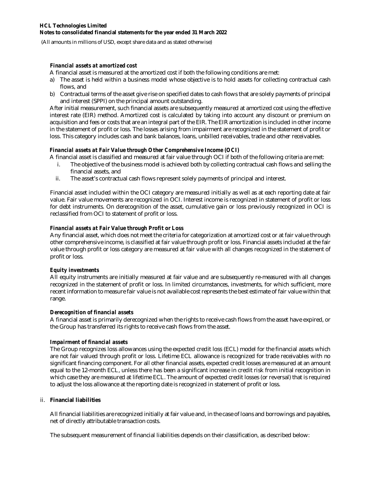(All amounts in millions of USD, except share data and as stated otherwise)

#### *Financial assets at amortized cost*

A financial asset is measured at the amortized cost if both the following conditions are met:

- a) The asset is held within a business model whose objective is to hold assets for collecting contractual cash flows, and
- b) Contractual terms of the asset give rise on specified dates to cash flows that are solely payments of principal and interest (SPPI) on the principal amount outstanding.

After initial measurement, such financial assets are subsequently measured at amortized cost using the effective interest rate (EIR) method. Amortized cost is calculated by taking into account any discount or premium on acquisition and fees or costs that are an integral part of the EIR. The EIR amortization is included in other income in the statement of profit or loss. The losses arising from impairment are recognized in the statement of profit or loss. This category includes cash and bank balances, loans, unbilled receivables, trade and other receivables.

### *Financial assets at Fair Value through Other Comprehensive Income (OCI)*

- A financial asset is classified and measured at fair value through OCI if both of the following criteria are met:
	- i. The objective of the business model is achieved both by collecting contractual cash flows and selling the financial assets, and
	- ii. The asset's contractual cash flows represent solely payments of principal and interest.

Financial asset included within the OCI category are measured initially as well as at each reporting date at fair value. Fair value movements are recognized in OCI. Interest income is recognized in statement of profit or loss for debt instruments. On derecognition of the asset, cumulative gain or loss previously recognized in OCI is reclassified from OCI to statement of profit or loss.

### *Financial assets at Fair Value through Profit or Loss*

Any financial asset, which does not meet the criteria for categorization at amortized cost or at fair value through other comprehensive income, is classified at fair value through profit or loss. Financial assets included at the fair value through profit or loss category are measured at fair value with all changes recognized in the statement of profit or loss.

### *Equity investments*

All equity instruments are initially measured at fair value and are subsequently re-measured with all changes recognized in the statement of profit or loss. In limited circumstances, investments, for which sufficient, more recent information to measure fair value is not available cost represents the best estimate of fair value within that range.

### *Derecognition of financial assets*

A financial asset is primarily derecognized when the rights to receive cash flows from the asset have expired, or the Group has transferred its rights to receive cash flows from the asset.

### *Impairment of financial assets*

The Group recognizes loss allowances using the expected credit loss (ECL) model for the financial assets which are not fair valued through profit or loss. Lifetime ECL allowance is recognized for trade receivables with no significant financing component. For all other financial assets, expected credit losses are measured at an amount equal to the 12-month ECL, unless there has been a significant increase in credit risk from initial recognition in which case they are measured at lifetime ECL. The amount of expected credit losses (or reversal) that is required to adjust the loss allowance at the reporting date is recognized in statement of profit or loss.

### ii. **Financial liabilities**

All financial liabilities are recognized initially at fair value and, in the case of loans and borrowings and payables, net of directly attributable transaction costs.

The subsequent measurement of financial liabilities depends on their classification, as described below: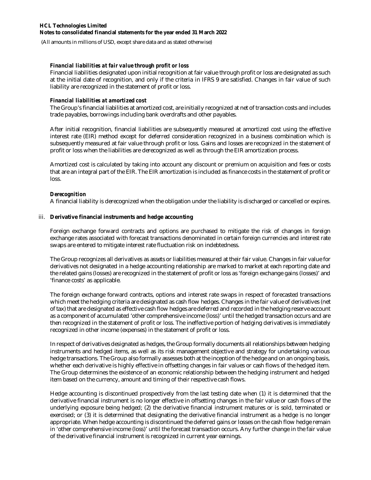(All amounts in millions of USD, except share data and as stated otherwise)

#### *Financial liabilities at fair value through profit or loss*

Financial liabilities designated upon initial recognition at fair value through profit or loss are designated as such at the initial date of recognition, and only if the criteria in IFRS 9 are satisfied. Changes in fair value of such liability are recognized in the statement of profit or loss.

#### *Financial liabilities at amortized cost*

The Group's financial liabilities at amortized cost, are initially recognized at net of transaction costs and includes trade payables, borrowings including bank overdrafts and other payables.

After initial recognition, financial liabilities are subsequently measured at amortized cost using the effective interest rate (EIR) method except for deferred consideration recognized in a business combination which is subsequently measured at fair value through profit or loss. Gains and losses are recognized in the statement of profit or loss when the liabilities are derecognized as well as through the EIR amortization process.

Amortized cost is calculated by taking into account any discount or premium on acquisition and fees or costs that are an integral part of the EIR. The EIR amortization is included as finance costs in the statement of profit or loss.

#### *Derecognition*

A financial liability is derecognized when the obligation under the liability is discharged or cancelled or expires.

#### iii. **Derivative financial instruments and hedge accounting**

Foreign exchange forward contracts and options are purchased to mitigate the risk of changes in foreign exchange rates associated with forecast transactions denominated in certain foreign currencies and interest rate swaps are entered to mitigate interest rate fluctuation risk on indebtedness.

The Group recognizes all derivatives as assets or liabilities measured at their fair value. Changes in fair value for derivatives not designated in a hedge accounting relationship are marked to market at each reporting date and the related gains (losses) are recognized in the statement of profit or loss as 'foreign exchange gains (losses)' and 'finance costs' as applicable.

The foreign exchange forward contracts, options and interest rate swaps in respect of forecasted transactions which meet the hedging criteria are designated as cash flow hedges. Changes in the fair value of derivatives (net of tax) that are designated as effective cash flow hedges are deferred and recorded in the hedging reserve account as a component of accumulated 'other comprehensive income (loss)' until the hedged transaction occurs and are then recognized in the statement of profit or loss. The ineffective portion of hedging derivatives is immediately recognized in other income (expenses) in the statement of profit or loss.

In respect of derivatives designated as hedges, the Group formally documents all relationships between hedging instruments and hedged items, as well as its risk management objective and strategy for undertaking various hedge transactions. The Group also formally assesses both at the inception of the hedge and on an ongoing basis, whether each derivative is highly effective in offsetting changes in fair values or cash flows of the hedged item. The Group determines the existence of an economic relationship between the hedging instrument and hedged item based on the currency, amount and timing of their respective cash flows.

Hedge accounting is discontinued prospectively from the last testing date when (1) it is determined that the derivative financial instrument is no longer effective in offsetting changes in the fair value or cash flows of the underlying exposure being hedged; (2) the derivative financial instrument matures or is sold, terminated or exercised; or (3) it is determined that designating the derivative financial instrument as a hedge is no longer appropriate. When hedge accounting is discontinued the deferred gains or losses on the cash flow hedge remain in 'other comprehensive income (loss)' until the forecast transaction occurs. Any further change in the fair value of the derivative financial instrument is recognized in current year earnings.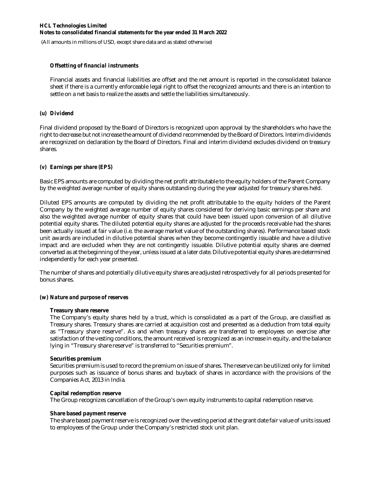(All amounts in millions of USD, except share data and as stated otherwise)

#### *Offsetting of financial instruments*

Financial assets and financial liabilities are offset and the net amount is reported in the consolidated balance sheet if there is a currently enforceable legal right to offset the recognized amounts and there is an intention to settle on a net basis to realize the assets and settle the liabilities simultaneously.

### *(u) Dividend*

Final dividend proposed by the Board of Directors is recognized upon approval by the shareholders who have the right to decrease but not increase the amount of dividend recommended by the Board of Directors. Interim dividends are recognized on declaration by the Board of Directors. Final and interim dividend excludes dividend on treasury shares.

### *(v) Earnings per share (EPS)*

Basic EPS amounts are computed by dividing the net profit attributable to the equity holders of the Parent Company by the weighted average number of equity shares outstanding during the year adjusted for treasury shares held.

Diluted EPS amounts are computed by dividing the net profit attributable to the equity holders of the Parent Company by the weighted average number of equity shares considered for deriving basic earnings per share and also the weighted average number of equity shares that could have been issued upon conversion of all dilutive potential equity shares. The diluted potential equity shares are adjusted for the proceeds receivable had the shares been actually issued at fair value (i.e. the average market value of the outstanding shares). Performance based stock unit awards are included in dilutive potential shares when they become contingently issuable and have a dilutive impact and are excluded when they are not contingently issuable. Dilutive potential equity shares are deemed converted as at the beginning of the year, unless issued at a later date. Dilutive potential equity shares are determined independently for each year presented.

The number of shares and potentially dilutive equity shares are adjusted retrospectively for all periods presented for bonus shares.

#### *(w) Nature and purpose of reserves*

#### **Treasury share reserve**

The Company's equity shares held by a trust, which is consolidated as a part of the Group, are classified as Treasury shares. Treasury shares are carried at acquisition cost and presented as a deduction from total equity as "Treasury share reserve". As and when treasury shares are transferred to employees on exercise after satisfaction of the vesting conditions, the amount received is recognized as an increase in equity, and the balance lying in "Treasury share reserve" is transferred to "Securities premium".

#### **Securities premium**

Securities premium is used to record the premium on issue of shares. The reserve can be utilized only for limited purposes such as issuance of bonus shares and buyback of shares in accordance with the provisions of the Companies Act, 2013 in India.

#### **Capital redemption reserve**

The Group recognizes cancellation of the Group's own equity instruments to capital redemption reserve.

### **Share based payment reserve**

The share based payment reserve is recognized over the vesting period at the grant date fair value of units issued to employees of the Group under the Company's restricted stock unit plan.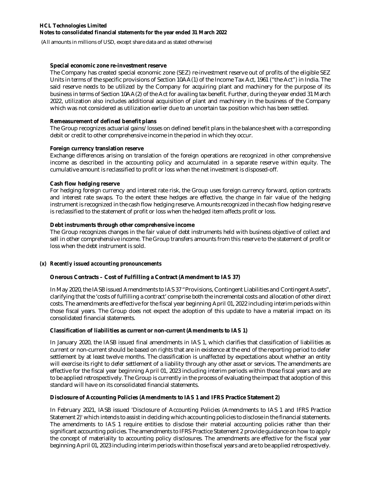(All amounts in millions of USD, except share data and as stated otherwise)

#### **Special economic zone re-investment reserve**

The Company has created special economic zone (SEZ) re-investment reserve out of profits of the eligible SEZ Units in terms of the specific provisions of Section 10AA(1) of the Income Tax Act, 1961 ("the Act") in India. The said reserve needs to be utilized by the Company for acquiring plant and machinery for the purpose of its business in terms of Section 10AA(2) of the Act for availing tax benefit. Further, during the year ended 31 March 2022, utilization also includes additional acquisition of plant and machinery in the business of the Company which was not considered as utilization earlier due to an uncertain tax position which has been settled.

#### **Remeasurement of defined benefit plans**

The Group recognizes actuarial gains/losses on defined benefit plans in the balance sheet with a corresponding debit or credit to other comprehensive income in the period in which they occur.

### **Foreign currency translation reserve**

Exchange differences arising on translation of the foreign operations are recognized in other comprehensive income as described in the accounting policy and accumulated in a separate reserve within equity. The cumulative amount is reclassified to profit or loss when the net investment is disposed-off.

#### **Cash flow hedging reserve**

For hedging foreign currency and interest rate risk, the Group uses foreign currency forward, option contracts and interest rate swaps. To the extent these hedges are effective, the change in fair value of the hedging instrument is recognized in the cash flow hedging reserve. Amounts recognized in the cash flow hedging reserve is reclassified to the statement of profit or loss when the hedged item affects profit or loss.

### **Debt instruments through other comprehensive income**

The Group recognizes changes in the fair value of debt instruments held with business objective of collect and sell in other comprehensive income. The Group transfers amounts from this reserve to the statement of profit or loss when the debt instrument is sold.

### *(x) Recently issued accounting pronouncements*

### **Onerous Contracts – Cost of Fulfilling a Contract (Amendment to IAS 37)**

In May 2020, the IASB issued Amendments to IAS 37 "Provisions, Contingent Liabilities and Contingent Assets", clarifying that the 'costs of fulfilling a contract' comprise both the incremental costs and allocation of other direct costs. The amendments are effective for the fiscal year beginning April 01, 2022 including interim periods within those fiscal years. The Group does not expect the adoption of this update to have a material impact on its consolidated financial statements.

#### **Classification of liabilities as current or non-current (Amendments to IAS 1)**

In January 2020, the IASB issued final amendments in IAS 1, which clarifies that classification of liabilities as current or non-current should be based on rights that are in existence at the end of the reporting period to defer settlement by at least twelve months. The classification is unaffected by expectations about whether an entity will exercise its right to defer settlement of a liability through any other asset or services. The amendments are effective for the fiscal year beginning April 01, 2023 including interim periods within those fiscal years and are to be applied retrospectively. The Group is currently in the process of evaluating the impact that adoption of this standard will have on its consolidated financial statements.

### **Disclosure of Accounting Policies (Amendments to IAS 1 and IFRS Practice Statement 2)**

In February 2021, IASB issued 'Disclosure of Accounting Policies (Amendments to IAS 1 and IFRS Practice Statement 2)' which intends to assist in deciding which accounting policies to disclose in the financial statements. The amendments to IAS 1 require entities to disclose their material accounting policies rather than their significant accounting policies. The amendments to IFRS Practice Statement 2 provide guidance on how to apply the concept of materiality to accounting policy disclosures. The amendments are effective for the fiscal year beginning April 01, 2023 including interim periods within those fiscal years and are to be applied retrospectively.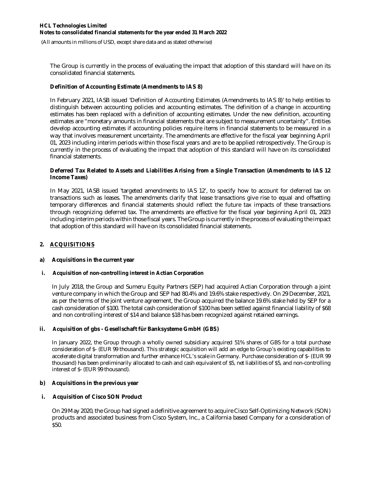(All amounts in millions of USD, except share data and as stated otherwise)

The Group is currently in the process of evaluating the impact that adoption of this standard will have on its consolidated financial statements.

#### **Definition of Accounting Estimate (Amendments to IAS 8)**

In February 2021, IASB issued 'Definition of Accounting Estimates (Amendments to IAS 8)' to help entities to distinguish between accounting policies and accounting estimates. The definition of a change in accounting estimates has been replaced with a definition of accounting estimates. Under the new definition, accounting estimates are "monetary amounts in financial statements that are subject to measurement uncertainty". Entities develop accounting estimates if accounting policies require items in financial statements to be measured in a way that involves measurement uncertainty. The amendments are effective for the fiscal year beginning April 01, 2023 including interim periods within those fiscal years and are to be applied retrospectively. The Group is currently in the process of evaluating the impact that adoption of this standard will have on its consolidated financial statements.

#### **Deferred Tax Related to Assets and Liabilities Arising from a Single Transaction (Amendments to IAS 12 Income Taxes)**

In May 2021, IASB issued 'targeted amendments to IAS 12', to specify how to account for deferred tax on transactions such as leases. The amendments clarify that lease transactions give rise to equal and offsetting temporary differences and financial statements should reflect the future tax impacts of these transactions through recognizing deferred tax. The amendments are effective for the fiscal year beginning April 01, 2023 including interim periods within those fiscal years. The Group is currently in the process of evaluating the impact that adoption of this standard will have on its consolidated financial statements.

### **2. ACQUISITIONS**

#### **a) Acquisitions in the current year**

#### **i. Acquisition of non-controlling interest in Actian Corporation**

In July 2018, the Group and Sumeru Equity Partners (SEP) had acquired Actian Corporation through a joint venture company in which the Group and SEP had 80.4% and 19.6% stake respectively. On 29 December, 2021, as per the terms of the joint venture agreement, the Group acquired the balance 19.6% stake held by SEP for a cash consideration of \$100. The total cash consideration of \$100 has been settled against financial liability of \$68 and non controlling interest of \$14 and balance \$18 has been recognized against retained earnings.

### **ii. Acquisition of gbs - Gesellschaft für Banksysteme GmbH (GBS)**

In January 2022, the Group through a wholly owned subsidiary acquired 51% shares of GBS for a total purchase consideration of \$- (EUR 99 thousand). This strategic acquisition will add an edge to Group's existing capabilities to accelerate digital transformation and further enhance HCL's scale in Germany. Purchase consideration of \$- (EUR 99 thousand) has been preliminarily allocated to cash and cash equivalent of \$5, net liabilities of \$5, and non-controlling interest of \$- (EUR 99 thousand).

### **b) Acquisitions in the previous year**

### **i. Acquisition of Cisco SON Product**

On 29 May 2020, the Group had signed a definitive agreement to acquire Cisco Self-Optimizing Network (SON) products and associated business from Cisco System, Inc., a California based Company for a consideration of \$50.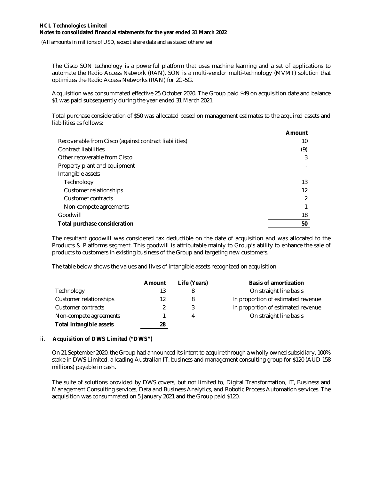(All amounts in millions of USD, except share data and as stated otherwise)

The Cisco SON technology is a powerful platform that uses machine learning and a set of applications to automate the Radio Access Network (RAN). SON is a multi-vendor multi-technology (MVMT) solution that optimizes the Radio Access Networks (RAN) for 2G-5G.

Acquisition was consummated effective 25 October 2020. The Group paid \$49 on acquisition date and balance \$1 was paid subsequently during the year ended 31 March 2021.

Total purchase consideration of \$50 was allocated based on management estimates to the acquired assets and liabilities as follows:

|                                                       | Amount |
|-------------------------------------------------------|--------|
| Recoverable from Cisco (against contract liabilities) | 10     |
| <b>Contract liabilities</b>                           | (9)    |
| Other recoverable from Cisco                          |        |
| Property plant and equipment                          |        |
| Intangible assets                                     |        |
| Technology                                            | 13     |
| Customer relationships                                | 12     |
| Customer contracts                                    |        |
| Non-compete agreements                                |        |
| Goodwill                                              | 18     |
| Total purchase consideration                          | 50     |

The resultant goodwill was considered tax deductible on the date of acquisition and was allocated to the Products & Platforms segment. This goodwill is attributable mainly to Group's ability to enhance the sale of products to customers in existing business of the Group and targeting new customers.

The table below shows the values and lives of intangible assets recognized on acquisition:

|                                | Amount | Life (Years) | <b>Basis of amortization</b>       |
|--------------------------------|--------|--------------|------------------------------------|
| Technology                     |        |              | On straight line basis             |
| Customer relationships         | 12     |              | In proportion of estimated revenue |
| Customer contracts             |        |              | In proportion of estimated revenue |
| Non-compete agreements         |        | Δ            | On straight line basis             |
| <b>Total intangible assets</b> | 28     |              |                                    |

### ii. **Acquisition of DWS Limited ("DWS")**

On 21 September 2020, the Group had announced its intent to acquire through a wholly owned subsidiary, 100% stake in DWS Limited, a leading Australian IT, business and management consulting group for \$120 (AUD 158 millions) payable in cash.

The suite of solutions provided by DWS covers, but not limited to, Digital Transformation, IT, Business and Management Consulting services, Data and Business Analytics, and Robotic Process Automation services. The acquisition was consummated on 5 January 2021 and the Group paid \$120.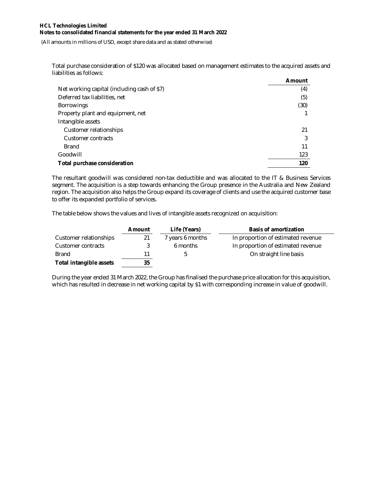(All amounts in millions of USD, except share data and as stated otherwise)

Total purchase consideration of \$120 was allocated based on management estimates to the acquired assets and liabilities as follows:

|                                             | Amount |
|---------------------------------------------|--------|
| Net working capital (including cash of \$7) | (4)    |
| Deferred tax liabilities, net               | (5)    |
| <b>Borrowings</b>                           | (30)   |
| Property plant and equipment, net           |        |
| Intangible assets                           |        |
| Customer relationships                      | 21     |
| Customer contracts                          |        |
| <b>Brand</b>                                | 11     |
| Goodwill                                    | 123    |
| Total purchase consideration                | 120    |

The resultant goodwill was considered non-tax deductible and was allocated to the IT & Business Services segment. The acquisition is a step towards enhancing the Group presence in the Australia and New Zealand region. The acquisition also helps the Group expand its coverage of clients and use the acquired customer base to offer its expanded portfolio of services.

The table below shows the values and lives of intangible assets recognized on acquisition:

|                                | Amount | Life (Years)     | <b>Basis of amortization</b>       |
|--------------------------------|--------|------------------|------------------------------------|
| Customer relationships         | 21     | 7 years 6 months | In proportion of estimated revenue |
| Customer contracts             |        | 6 months         | In proportion of estimated revenue |
| <b>Brand</b>                   | 11     |                  | On straight line basis             |
| <b>Total intangible assets</b> | 35     |                  |                                    |

During the year ended 31 March 2022, the Group has finalised the purchase price allocation for this acquisition, which has resulted in decrease in net working capital by \$1 with corresponding increase in value of goodwill.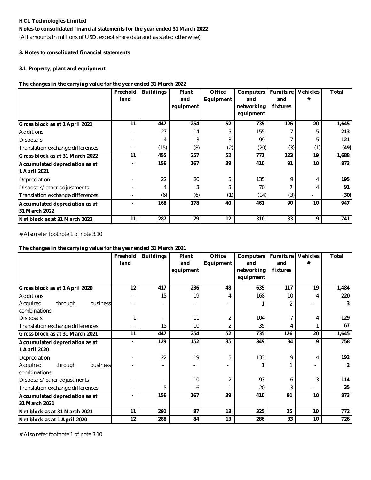### **Notes to consolidated financial statements for the year ended 31 March 2022**

(All amounts in millions of USD, except share data and as stated otherwise)

#### **3. Notes to consolidated financial statements**

#### **3.1 Property, plant and equipment**

### **The changes in the carrying value for the year ended 31 March 2022**

|                                                 | Freehold<br>land | <b>Buildings</b> | <b>Plant</b><br>and<br>equipment | <b>Office</b><br>Equipment | <b>Computers</b><br>and<br>networking<br>equipment | <b>Furniture</b><br>and<br><b>fixtures</b> | <b>Vehicles</b><br># | Total |
|-------------------------------------------------|------------------|------------------|----------------------------------|----------------------------|----------------------------------------------------|--------------------------------------------|----------------------|-------|
| Gross block as at 1 April 2021                  | 11               | 447              | 254                              | 52                         | 735                                                | 126                                        | 20                   | 1,645 |
| <b>Additions</b>                                |                  | 27               | 14                               | 5                          | 155                                                |                                            | 5                    | 213   |
| <b>Disposals</b>                                |                  |                  | 3                                |                            | 99                                                 |                                            | 5                    | 121   |
| Translation exchange differences                |                  | (15)             | (8)                              | (2)                        | (20)                                               | (3)                                        | (1)                  | (49)  |
| Gross block as at 31 March 2022                 | 11               | 455              | 257                              | 52                         | 771                                                | 123                                        | 19                   | 1,688 |
| Accumulated depreciation as at<br>1 April 2021  |                  | 156              | 167                              | 39                         | 410                                                | 91                                         | 10                   | 873   |
| Depreciation                                    |                  | 22               | 20                               | 5                          | 135                                                | 9                                          | 4                    | 195   |
| Disposals/other adjustments                     |                  |                  | 3                                |                            | 70                                                 |                                            |                      | 91    |
| Translation exchange differences                |                  | (6)              | (6)                              | (1)                        | (14)                                               | (3)                                        |                      | (30)  |
| Accumulated depreciation as at<br>31 March 2022 |                  | 168              | 178                              | 40                         | 461                                                | 90                                         | 10                   | 947   |
| <b>INet block as at 31 March 2022</b>           | 11               | 287              | 79                               | 12                         | 310                                                | 33                                         | 9                    | 741   |

# Also refer footnote 1 of note 3.10

#### **The changes in the carrying value for the year ended 31 March 2021**

|                                  | Freehold | <b>Buildings</b> | Plant     | <b>Office</b> | <b>Computers</b> | <b>Furniture</b> | <b>Vehicles</b> | <b>Total</b>   |
|----------------------------------|----------|------------------|-----------|---------------|------------------|------------------|-----------------|----------------|
|                                  | land     |                  | and       | Equipment     | and              | and              | #               |                |
|                                  |          |                  | equipment |               | networking       | fixtures         |                 |                |
|                                  |          |                  |           |               | equipment        |                  |                 |                |
| Gross block as at 1 April 2020   | 12       | 417              | 236       | 48            | 635              | 117              | 19              | 1,484          |
| <b>Additions</b>                 |          | 15               | 19        | 4             | 168              | 10               | 4               | 220            |
| Acquired<br>through<br>business  |          |                  |           |               |                  | 2                |                 | 3              |
| combinations                     |          |                  |           |               |                  |                  |                 |                |
| <b>Disposals</b>                 |          |                  | 11        | 2             | 104              |                  | 4               | 129            |
| Translation exchange differences |          | 15               | 10        | 2             | 35               | 4                |                 | 67             |
| Gross block as at 31 March 2021  | 11       | 447              | 254       | 52            | 735              | 126              | 20              | 1,645          |
| Accumulated depreciation as at   |          | 129              | 152       | 35            | 349              | 84               | 9               | 758            |
| 1 April 2020                     |          |                  |           |               |                  |                  |                 |                |
| Depreciation                     |          | 22               | 19        | 5             | 133              | 9                | 4               | 192            |
| Acquired<br>business<br>through  |          |                  |           |               |                  |                  |                 | $\overline{2}$ |
| combinations                     |          |                  |           |               |                  |                  |                 |                |
| Disposals/other adjustments      |          | $\sim$           | 10        | 2             | 93               | 6                | 3               | 114            |
| Translation exchange differences |          | 5                | 6         |               | 20               | 3                |                 | 35             |
| Accumulated depreciation as at   |          | 156              | 167       | 39            | 410              | 91               | 10              | 873            |
| 31 March 2021                    |          |                  |           |               |                  |                  |                 |                |
| Net block as at 31 March 2021    | 11       | 291              | 87        | 13            | 325              | 35               | 10              | 772            |
| Net block as at 1 April 2020     | 12       | 288              | 84        | 13            | 286              | 33               | 10              | 726            |

# Also refer footnote 1 of note 3.10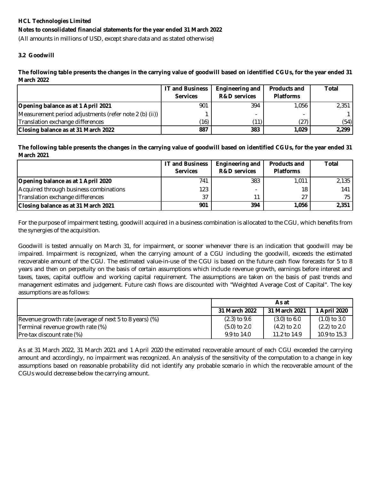(All amounts in millions of USD, except share data and as stated otherwise)

### **3.2 Goodwill**

The following table presents the changes in the carrying value of goodwill based on identified CGUs, for the year ended 31 **March 2022**

|                                                        | <b>IT and Business</b> | <b>Engineering and</b>  | <b>Products and</b> | Total |
|--------------------------------------------------------|------------------------|-------------------------|---------------------|-------|
|                                                        | <b>Services</b>        | <b>R&amp;D</b> services | <b>Platforms</b>    |       |
| Opening balance as at 1 April 2021                     | 901                    | 394                     | 1.056               | 2.351 |
| Measurement period adjustments (refer note 2 (b) (ii)) |                        |                         |                     |       |
| Translation exchange differences                       | (16)                   | $^{\prime}$ 11)         | (27)                | (54)  |
| Closing balance as at 31 March 2022                    | 887                    | 383                     | 1.029               | 2,299 |

The following table presents the changes in the carrying value of goodwill based on identified CGUs, for the year ended 31 **March 2021**

|                                        | <b>IT and Business</b><br><b>Services</b> | Engineering and<br><b>R&amp;D</b> services | <b>Products and</b><br><b>Platforms</b> | Total |
|----------------------------------------|-------------------------------------------|--------------------------------------------|-----------------------------------------|-------|
| Opening balance as at 1 April 2020     | 741                                       | 383                                        | 1.011                                   | 2.135 |
| Acquired through business combinations | 123                                       |                                            | 18                                      | 141   |
| Translation exchange differences       | 37                                        | 11                                         | 27                                      | 75    |
| Closing balance as at 31 March 2021    | 901                                       | 394                                        | 1.056                                   | 2,351 |

For the purpose of impairment testing, goodwill acquired in a business combination is allocated to the CGU, which benefits from the synergies of the acquisition.

Goodwill is tested annually on March 31, for impairment, or sooner whenever there is an indication that goodwill may be impaired. Impairment is recognized, when the carrying amount of a CGU including the goodwill, exceeds the estimated recoverable amount of the CGU. The estimated value-in-use of the CGU is based on the future cash flow forecasts for 5 to 8 years and then on perpetuity on the basis of certain assumptions which include revenue growth, earnings before interest and taxes, taxes, capital outflow and working capital requirement. The assumptions are taken on the basis of past trends and management estimates and judgement. Future cash flows are discounted with "Weighted Average Cost of Capital". The key assumptions are as follows:

|                                                        | As at          |                |                  |  |  |
|--------------------------------------------------------|----------------|----------------|------------------|--|--|
|                                                        | 31 March 2022  | 31 March 2021  | 1 April 2020     |  |  |
| Revenue growth rate (average of next 5 to 8 years) (%) | $(2.3)$ to 9.6 | $(3.0)$ to 6.0 | $(1.0)$ to 3.0   |  |  |
| Terminal revenue growth rate (%)                       | $(5.0)$ to 2.0 | $(4.2)$ to 2.0 | $(2.2)$ to $2.0$ |  |  |
| Pre-tax discount rate (%)                              | 9.9 to 14.0    | 11.2 to 14.9   | 10.9 to 15.3     |  |  |

As at 31 March 2022, 31 March 2021 and 1 April 2020 the estimated recoverable amount of each CGU exceeded the carrying amount and accordingly, no impairment was recognized. An analysis of the sensitivity of the computation to a change in key assumptions based on reasonable probability did not identify any probable scenario in which the recoverable amount of the CGUs would decrease below the carrying amount.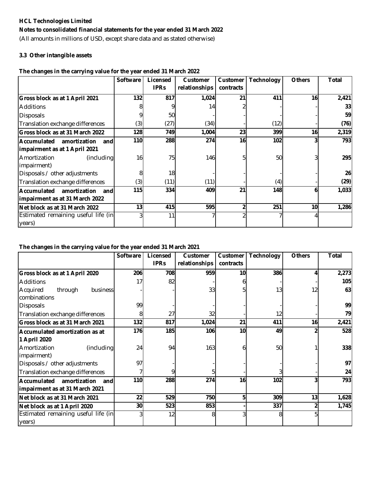### **Notes to consolidated financial statements for the year ended 31 March 2022**

(All amounts in millions of USD, except share data and as stated otherwise)

### **3.3 Other intangible assets**

### **The changes in the carrying value for the year ended 31 March 2022**

|                                                                             | <b>Software</b> | Licensed<br><b>IPRs</b> | <b>Customer</b><br>relationships | Customer<br>contracts | <b>Technology</b> | <b>Others</b> | Total |
|-----------------------------------------------------------------------------|-----------------|-------------------------|----------------------------------|-----------------------|-------------------|---------------|-------|
| Gross block as at 1 April 2021                                              | 132             | 817                     | 1,024                            | 21                    | 411               | 16            | 2,421 |
| <b>Additions</b>                                                            |                 |                         | 14                               |                       |                   |               | 33    |
| Disposals                                                                   |                 | 50                      |                                  |                       |                   |               | 59    |
| Translation exchange differences                                            | (3)             | (27)                    | (34)                             |                       | (12)              |               | (76)  |
| <b>Gross block as at 31 March 2022</b>                                      | 128             | 749                     | 1,004                            | 23                    | 399               | 16            | 2,319 |
| Accumulated<br>amortization<br>and<br>impairment as at 1 April 2021         | 110             | 288                     | 274                              | 16                    | 102               |               | 793   |
| (including<br>Amortization<br>impairment)                                   | 16              | 75                      | 146                              | 5                     | 50                |               | 295   |
| Disposals / other adjustments                                               |                 | 18                      |                                  |                       |                   |               | 26    |
| Translation exchange differences                                            | (3)             | (11)                    | (11)                             |                       | (4)               |               | (29)  |
| <b>Accumulated</b><br>amortization<br>and<br>impairment as at 31 March 2022 | 115             | 334                     | 409                              | 21                    | 148               | 6             | 1,033 |
| Net block as at 31 March 2022                                               | 13 <sub>1</sub> | 415                     | 595                              | 2                     | 251               | 10            | 1,286 |
| Estimated remaining useful life (in<br>years)                               |                 | 11                      |                                  |                       |                   |               |       |

### **The changes in the carrying value for the year ended 31 March 2021**

|                                     | <b>Software</b> | Licensed    | <b>Customer</b> | Customer  | <b>Technology</b> | <b>Others</b> | <b>Total</b> |
|-------------------------------------|-----------------|-------------|-----------------|-----------|-------------------|---------------|--------------|
|                                     |                 | <b>IPRs</b> | relationships   | contracts |                   |               |              |
| Gross block as at 1 April 2020      | 206             | 708         | 959             | 10        | 386               | 4             | 2,273        |
| <b>Additions</b>                    | 17              | 82          |                 |           |                   |               | 105          |
| Acquired<br>through<br>business     |                 |             | 33              |           | 13                | 12            | 63           |
| combinations                        |                 |             |                 |           |                   |               |              |
| <b>Disposals</b>                    | 99              |             |                 |           |                   |               | 99           |
| Translation exchange differences    | 8               | 27          | 32              |           | 12                |               | 79           |
| Gross block as at 31 March 2021     | 132             | 817         | 1,024           | 21        | 411               | 16            | 2,421        |
| Accumulated amortization as at      | 176             | 185         | 106             | 10        | 49                | 2             | 528          |
| 1 April 2020                        |                 |             |                 |           |                   |               |              |
| (including<br>Amortization          | 24              | 94          | 163             | h         | 50                |               | 338          |
| impairment)                         |                 |             |                 |           |                   |               |              |
| Disposals / other adjustments       | 97              |             |                 |           |                   |               | 97           |
| Translation exchange differences    |                 |             |                 |           |                   |               | 24           |
| Accumulated<br>amortization<br>and  | 110             | 288         | 274             | 16        | 102               |               | 793          |
| impairment as at 31 March 2021      |                 |             |                 |           |                   |               |              |
| Net block as at 31 March 2021       | 22              | 529         | 750             | 5         | 309               | 13            | 1,628        |
| Net block as at 1 April 2020        | 30              | 523         | 853             |           | 337               | 2             | 1,745        |
| Estimated remaining useful life (in |                 | 12          | 8               |           | 8                 | 5             |              |
| years)                              |                 |             |                 |           |                   |               |              |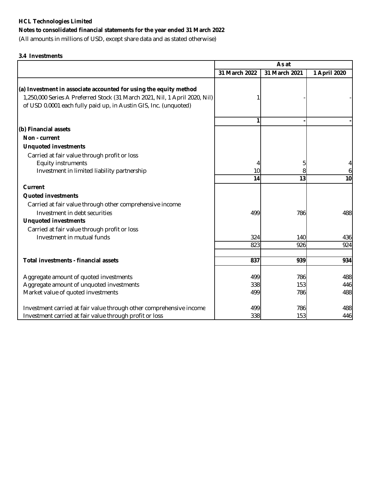### **Notes to consolidated financial statements for the year ended 31 March 2022**

(All amounts in millions of USD, except share data and as stated otherwise)

### **3.4 Investments**

|                                                                                                                                                | As at         |               |              |  |
|------------------------------------------------------------------------------------------------------------------------------------------------|---------------|---------------|--------------|--|
|                                                                                                                                                | 31 March 2022 | 31 March 2021 | 1 April 2020 |  |
|                                                                                                                                                |               |               |              |  |
| (a) Investment in associate accounted for using the equity method                                                                              |               |               |              |  |
| 1,250,000 Series A Preferred Stock (31 March 2021, Nil, 1 April 2020, Nil)<br>of USD 0.0001 each fully paid up, in Austin GIS, Inc. (unquoted) |               |               |              |  |
|                                                                                                                                                |               |               |              |  |
|                                                                                                                                                | 1             |               |              |  |
| (b) Financial assets                                                                                                                           |               |               |              |  |
| Non - current                                                                                                                                  |               |               |              |  |
| <b>Unquoted investments</b>                                                                                                                    |               |               |              |  |
| Carried at fair value through profit or loss                                                                                                   |               |               |              |  |
| Equity instruments                                                                                                                             |               | 5             | 4            |  |
| Investment in limited liability partnership                                                                                                    | 10            | 8             | 6            |  |
|                                                                                                                                                | 14            | 13            | 10           |  |
| <b>Current</b>                                                                                                                                 |               |               |              |  |
| <b>Quoted investments</b>                                                                                                                      |               |               |              |  |
| Carried at fair value through other comprehensive income                                                                                       |               |               |              |  |
| Investment in debt securities                                                                                                                  | 499           | 786           | 488          |  |
| <b>Unquoted investments</b>                                                                                                                    |               |               |              |  |
| Carried at fair value through profit or loss                                                                                                   |               |               |              |  |
| Investment in mutual funds                                                                                                                     | 324           | 140           | 436          |  |
|                                                                                                                                                | 823           | 926           | 924          |  |
|                                                                                                                                                |               |               |              |  |
| Total investments - financial assets                                                                                                           | 837           | 939           | 934          |  |
| Aggregate amount of quoted investments                                                                                                         | 499           | 786           | 488          |  |
| Aggregate amount of unquoted investments                                                                                                       | 338           | 153           | 446          |  |
| Market value of quoted investments                                                                                                             | 499           | 786           | 488          |  |
|                                                                                                                                                |               |               |              |  |
| Investment carried at fair value through other comprehensive income                                                                            | 499           | 786           | 488          |  |
| Investment carried at fair value through profit or loss                                                                                        | 338           | 153           | 446          |  |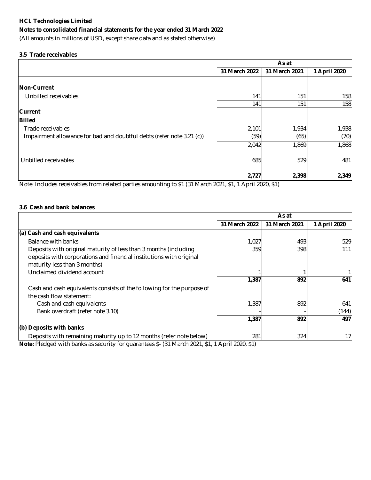### **Notes to consolidated financial statements for the year ended 31 March 2022**

(All amounts in millions of USD, except share data and as stated otherwise)

### **3.5 Trade receivables**

|                                                                       | As at         |               |              |  |
|-----------------------------------------------------------------------|---------------|---------------|--------------|--|
|                                                                       | 31 March 2022 | 31 March 2021 | 1 April 2020 |  |
|                                                                       |               |               |              |  |
| Non-Current                                                           |               |               |              |  |
| Unbilled receivables                                                  | 141           | 151           | 158          |  |
|                                                                       | 141           | 151           | 158          |  |
| <b>Current</b>                                                        |               |               |              |  |
| <b>Billed</b>                                                         |               |               |              |  |
| Trade receivables                                                     | 2,101         | 1,934         | 1,938        |  |
| Impairment allowance for bad and doubtful debts (refer note 3.21 (c)) | (59)          | (65)          | (70)         |  |
|                                                                       | 2,042         | 1,869         | 1,868        |  |
| Unbilled receivables                                                  | 685           | 529           | 481          |  |
|                                                                       | 2,727         | 2,398         | 2,349        |  |

Note: Includes receivables from related parties amounting to \$1 (31 March 2021, \$1, 1 April 2020, \$1)

### **3.6 Cash and bank balances**

|                                                                                                                                                                         | As at         |               |                 |  |
|-------------------------------------------------------------------------------------------------------------------------------------------------------------------------|---------------|---------------|-----------------|--|
|                                                                                                                                                                         | 31 March 2022 | 31 March 2021 | 1 April 2020    |  |
| (a) Cash and cash equivalents                                                                                                                                           |               |               |                 |  |
| Balance with banks                                                                                                                                                      | 1,027         | 493           | 529             |  |
| Deposits with original maturity of less than 3 months (including<br>deposits with corporations and financial institutions with original<br>maturity less than 3 months) | 359           | 398           | 1111            |  |
| Unclaimed dividend account                                                                                                                                              |               |               |                 |  |
|                                                                                                                                                                         | 1,387         | 892           | 641             |  |
| Cash and cash equivalents consists of the following for the purpose of<br>the cash flow statement:                                                                      |               |               |                 |  |
| Cash and cash equivalents                                                                                                                                               | 1,387         | 892           | 641             |  |
| Bank overdraft (refer note 3.10)                                                                                                                                        |               |               | (144)           |  |
|                                                                                                                                                                         | 1,387         | 892           | 497             |  |
| (b) Deposits with banks                                                                                                                                                 |               |               |                 |  |
| Deposits with remaining maturity up to 12 months (refer note below)                                                                                                     | 281           | 324           | 17 <sub>l</sub> |  |

**Note:** Pledged with banks as security for guarantees \$- (31 March 2021, \$1, 1 April 2020, \$1)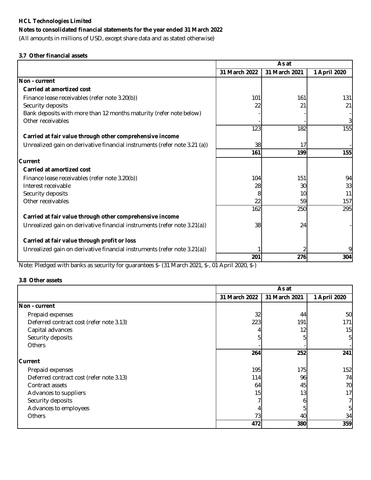### **Notes to consolidated financial statements for the year ended 31 March 2022**

(All amounts in millions of USD, except share data and as stated otherwise)

### **3.7 Other financial assets**

|                                                                           | As at         |               |              |  |
|---------------------------------------------------------------------------|---------------|---------------|--------------|--|
|                                                                           | 31 March 2022 | 31 March 2021 | 1 April 2020 |  |
| Non - current                                                             |               |               |              |  |
| <b>Carried at amortized cost</b>                                          |               |               |              |  |
| Finance lease receivables (refer note 3.20(b))                            | 101           | 161           | 131          |  |
| Security deposits                                                         | 22            | 21            | 21           |  |
| Bank deposits with more than 12 months maturity (refer note below)        |               |               |              |  |
| Other receivables                                                         |               |               | 3            |  |
|                                                                           | 123           | 182           | 155          |  |
| Carried at fair value through other comprehensive income                  |               |               |              |  |
| Unrealized gain on derivative financial instruments (refer note 3.21 (a)) | 38            | 17            |              |  |
|                                                                           | 161           | 199           | 155          |  |
| Current                                                                   |               |               |              |  |
| <b>Carried at amortized cost</b>                                          |               |               |              |  |
| Finance lease receivables (refer note 3.20(b))                            | 104           | 151           | 94           |  |
| Interest receivable                                                       | 28            | 30            | 33           |  |
| Security deposits                                                         |               | 10            | 11           |  |
| Other receivables                                                         | 22            | 59            | 157          |  |
|                                                                           | 162           | 250           | 295          |  |
| Carried at fair value through other comprehensive income                  |               |               |              |  |
| Unrealized gain on derivative financial instruments (refer note 3.21(a))  | 38            | 24            |              |  |
| Carried at fair value through profit or loss                              |               |               |              |  |
| Unrealized gain on derivative financial instruments (refer note 3.21(a))  |               |               | 91           |  |
|                                                                           | 201           | 276           | 304          |  |

Note: Pledged with banks as security for guarantees \$- (31 March 2021, \$-, 01 April 2020, \$-)

### **3.8 Other assets**

|                                          | As at         |               |              |  |
|------------------------------------------|---------------|---------------|--------------|--|
|                                          | 31 March 2022 | 31 March 2021 | 1 April 2020 |  |
| Non - current                            |               |               |              |  |
| Prepaid expenses                         | 32            | 44            | 50           |  |
| Deferred contract cost (refer note 3.13) | 223           | 191           | 171          |  |
| Capital advances                         |               | 12            | 15           |  |
| Security deposits                        |               |               | 5            |  |
| <b>Others</b>                            |               |               |              |  |
|                                          | 264           | 252           | 241          |  |
| <b>Current</b>                           |               |               |              |  |
| Prepaid expenses                         | 195           | 175           | 152          |  |
| Deferred contract cost (refer note 3.13) | 114           | 96            | 74           |  |
| Contract assets                          | 64            | 45            | 70           |  |
| Advances to suppliers                    | 15            | 13            | 17           |  |
| Security deposits                        |               | n             |              |  |
| Advances to employees                    |               |               | 5            |  |
| <b>Others</b>                            | 73            | 40            | 34           |  |
|                                          | 472           | 380           | 359          |  |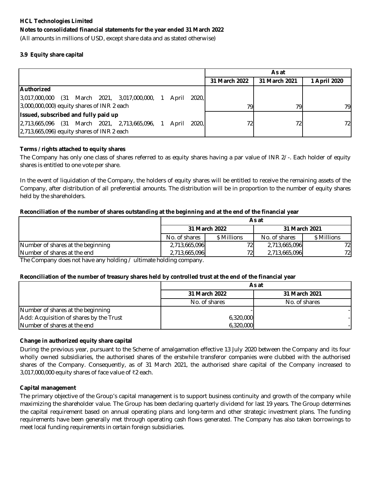(All amounts in millions of USD, except share data and as stated otherwise)

### **3.9 Equity share capital**

|                                                                   |                 | As at         |              |
|-------------------------------------------------------------------|-----------------|---------------|--------------|
|                                                                   | 31 March 2022   | 31 March 2021 | 1 April 2020 |
| <b>Authorized</b>                                                 |                 |               |              |
| 3,017,000,000 (31 March 2021, 3,017,000,000, 1<br>2020.l<br>April |                 |               |              |
| $3,000,000,000$ equity shares of INR 2 each                       | 791             | 79            | 79.          |
| Issued, subscribed and fully paid up                              |                 |               |              |
| 2,713,665,096 (31 March 2021, 2,713,665,096, 1<br>April 2020.     | 72 <sub>1</sub> | 72            | 72           |
| 2,713,665,096) equity shares of INR 2 each                        |                 |               |              |

### **Terms / rights attached to equity shares**

The Company has only one class of shares referred to as equity shares having a par value of INR 2/-. Each holder of equity shares is entitled to one vote per share.

In the event of liquidation of the Company, the holders of equity shares will be entitled to receive the remaining assets of the Company, after distribution of all preferential amounts. The distribution will be in proportion to the number of equity shares held by the shareholders.

### **Reconciliation of the number of shares outstanding at the beginning and at the end of the financial year**

|                                   | As at         |               |               |             |  |
|-----------------------------------|---------------|---------------|---------------|-------------|--|
|                                   |               | 31 March 2022 | 31 March 2021 |             |  |
|                                   | No. of shares | \$ Millions   | No. of shares | \$ Millions |  |
| Number of shares at the beginning | 2,713,665,096 | 72            | 2,713,665,096 | 72l         |  |
| Number of shares at the end       | 2,713,665,096 | 72            | 2,713,665,096 | 72          |  |

The Company does not have any holding / ultimate holding company.

### **Reconciliation of the number of treasury shares held by controlled trust at the end of the financial year**

|                                         | As at         |               |  |  |  |
|-----------------------------------------|---------------|---------------|--|--|--|
|                                         | 31 March 2022 | 31 March 2021 |  |  |  |
|                                         | No. of shares | No. of shares |  |  |  |
| Number of shares at the beginning       |               |               |  |  |  |
| Add: Acquisition of shares by the Trust | 6,320,000     |               |  |  |  |
| Number of shares at the end             | 6,320,000     |               |  |  |  |

### **Change in authorized equity share capital**

During the previous year, pursuant to the Scheme of amalgamation effective 13 July 2020 between the Company and its four wholly owned subsidiaries, the authorised shares of the erstwhile transferor companies were clubbed with the authorised shares of the Company. Consequently, as of 31 March 2021, the authorised share capital of the Company increased to 3,017,000,000 equity shares of face value of ₹2 each.

### **Capital management**

The primary objective of the Group's capital management is to support business continuity and growth of the company while maximizing the shareholder value. The Group has been declaring quarterly dividend for last 19 years. The Group determines the capital requirement based on annual operating plans and long-term and other strategic investment plans. The funding requirements have been generally met through operating cash flows generated. The Company has also taken borrowings to meet local funding requirements in certain foreign subsidiaries.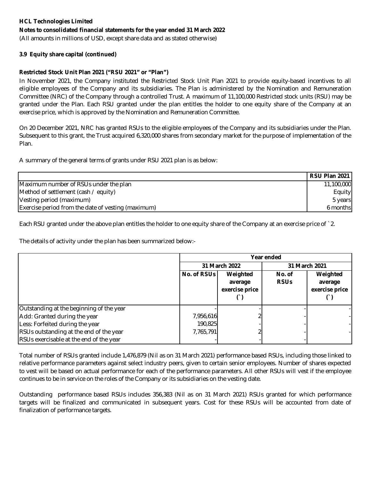### **Notes to consolidated financial statements for the year ended 31 March 2022**

(All amounts in millions of USD, except share data and as stated otherwise)

### **3.9 Equity share capital (continued)**

### **Restricted Stock Unit Plan 2021 ("RSU 2021" or "Plan")**

In November 2021, the Company instituted the Restricted Stock Unit Plan 2021 to provide equity-based incentives to all eligible employees of the Company and its subsidiaries. The Plan is administered by the Nomination and Remuneration Committee (NRC) of the Company through a controlled Trust. A maximum of 11,100,000 Restricted stock units (RSU) may be granted under the Plan. Each RSU granted under the plan entitles the holder to one equity share of the Company at an exercise price, which is approved by the Nomination and Remuneration Committee.

On 20 December 2021, NRC has granted RSUs to the eligible employees of the Company and its subsidiaries under the Plan. Subsequent to this grant, the Trust acquired 6,320,000 shares from secondary market for the purpose of implementation of the Plan.

A summary of the general terms of grants under RSU 2021 plan is as below:

|                                                    | <b>RSU Plan 2021</b> |
|----------------------------------------------------|----------------------|
| Maximum number of RSUs under the plan              | 11,100,000           |
| Method of settlement (cash / equity)               | Equity               |
| Vesting period (maximum)                           | 5 years              |
| Exercise period from the date of vesting (maximum) | 6 months             |

Each RSU granted under the above plan entitles the holder to one equity share of the Company at an exercise price of `2.

The details of activity under the plan has been summarized below:-

|                                          | Year ended    |                                       |                       |                                       |  |
|------------------------------------------|---------------|---------------------------------------|-----------------------|---------------------------------------|--|
|                                          | 31 March 2022 |                                       | 31 March 2021         |                                       |  |
|                                          | No. of RSUs   | Weighted<br>average<br>exercise price | No. of<br><b>RSUs</b> | Weighted<br>average<br>exercise price |  |
| Outstanding at the beginning of the year |               |                                       |                       |                                       |  |
| Add: Granted during the year             | 7,956,616     |                                       |                       |                                       |  |
| Less: Forfeited during the year          | 190,825       |                                       |                       |                                       |  |
| RSUs outstanding at the end of the year  | 7,765,791     |                                       |                       |                                       |  |
| RSUs exercisable at the end of the year  |               |                                       |                       |                                       |  |

Total number of RSUs granted include 1,476,879 (Nil as on 31 March 2021) performance based RSUs, including those linked to relative performance parameters against select industry peers, given to certain senior employees. Number of shares expected to vest will be based on actual performance for each of the performance parameters. All other RSUs will vest if the employee continues to be in service on the roles of the Company or its subsidiaries on the vesting date.

Outstanding performance based RSUs includes 356,383 (Nil as on 31 March 2021) RSUs granted for which performance targets will be finalized and communicated in subsequent years. Cost for these RSUs will be accounted from date of finalization of performance targets.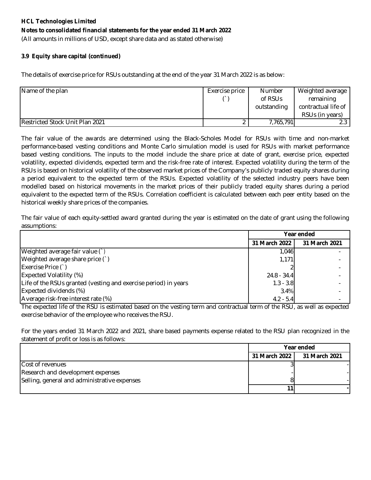(All amounts in millions of USD, except share data and as stated otherwise)

### **3.9 Equity share capital (continued)**

The details of exercise price for RSUs outstanding at the end of the year 31 March 2022 is as below:

| Name of the plan                | Exercise price | <b>Number</b> | Weighted average    |
|---------------------------------|----------------|---------------|---------------------|
|                                 |                | of RSUs       | remaining           |
|                                 |                | outstanding   | contractual life of |
|                                 |                |               | RSUs (in years)     |
| Restricted Stock Unit Plan 2021 |                | 7,765,791     |                     |

The fair value of the awards are determined using the Black-Scholes Model for RSUs with time and non-market performance-based vesting conditions and Monte Carlo simulation model is used for RSUs with market performance based vesting conditions. The inputs to the model include the share price at date of grant, exercise price, expected volatility, expected dividends, expected term and the risk-free rate of interest. Expected volatility during the term of the RSUs is based on historical volatility of the observed market prices of the Company's publicly traded equity shares during a period equivalent to the expected term of the RSUs. Expected volatility of the selected industry peers have been modelled based on historical movements in the market prices of their publicly traded equity shares during a period equivalent to the expected term of the RSUs. Correlation coefficient is calculated between each peer entity based on the historical weekly share prices of the companies.

The fair value of each equity-settled award granted during the year is estimated on the date of grant using the following assumptions:

|                                                                 | Year ended    |               |
|-----------------------------------------------------------------|---------------|---------------|
|                                                                 | 31 March 2022 | 31 March 2021 |
| Weighted average fair value (`)                                 | 1,046         |               |
| Weighted average share price (`)                                | 1,171         |               |
| Exercise Price (`)                                              |               |               |
| <b>Expected Volatility (%)</b>                                  | $24.8 - 34.4$ |               |
| Life of the RSUs granted (vesting and exercise period) in years | $1.3 - 3.8$   |               |
| Expected dividends (%)                                          | 3.4%          |               |
| Average risk-free interest rate (%)                             | $4.2 - 5.4$   |               |

The expected life of the RSU is estimated based on the vesting term and contractual term of the RSU, as well as expected exercise behavior of the employee who receives the RSU.

For the years ended 31 March 2022 and 2021, share based payments expense related to the RSU plan recognized in the statement of profit or loss is as follows:

|                                              | Year ended    |               |  |
|----------------------------------------------|---------------|---------------|--|
|                                              | 31 March 2022 | 31 March 2021 |  |
| Cost of revenues                             |               |               |  |
| Research and development expenses            |               |               |  |
| Selling, general and administrative expenses |               |               |  |
|                                              |               |               |  |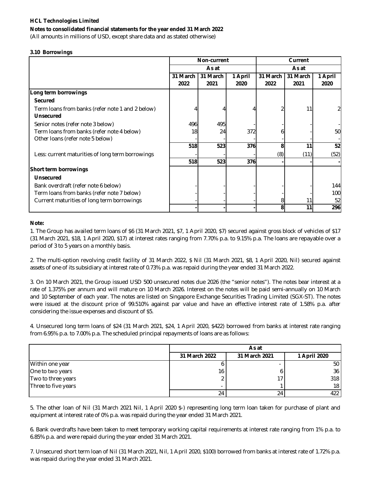### **Notes to consolidated financial statements for the year ended 31 March 2022**

(All amounts in millions of USD, except share data and as stated otherwise)

#### **3.10 Borrowings**

|                                                                      | <b>Non-current</b> |          | Current |          |          |         |
|----------------------------------------------------------------------|--------------------|----------|---------|----------|----------|---------|
|                                                                      |                    | As at    |         | As at    |          |         |
|                                                                      | 31 March           | 31 March | 1 April | 31 March | 31 March | 1 April |
|                                                                      | 2022               | 2021     | 2020    | 2022     | 2021     | 2020    |
| Long term borrowings                                                 |                    |          |         |          |          |         |
| <b>Secured</b>                                                       |                    |          |         |          |          |         |
| Term loans from banks (refer note 1 and 2 below)<br><b>Unsecured</b> |                    |          |         |          |          |         |
| Senior notes (refer note 3 below)                                    | 496                | 495      |         |          |          |         |
| Term loans from banks (refer note 4 below)                           | 18                 | 24       | 372     | n        |          | 50      |
| Other loans (refer note 5 below)                                     |                    |          |         |          |          |         |
|                                                                      | 518                | 523      | 376     | 8        | 11       | 52      |
| Less: current maturities of long term borrowings                     |                    |          |         | (8)      | (11)     | (52)    |
|                                                                      | 518                | 523      | 376     |          |          |         |
| Short term borrowings                                                |                    |          |         |          |          |         |
| Unsecured                                                            |                    |          |         |          |          |         |
| Bank overdraft (refer note 6 below)                                  |                    |          |         |          |          | 144     |
| Term loans from banks (refer note 7 below)                           |                    |          |         |          |          | 100     |
| Current maturities of long term borrowings                           |                    |          |         | 8        | 11       | 52      |
|                                                                      |                    |          |         | 8        | 11       | 296     |

#### **Note:**

1. The Group has availed term loans of \$6 (31 March 2021, \$7, 1 April 2020, \$7) secured against gross block of vehicles of \$17 (31 March 2021, \$18, 1 April 2020, \$17) at interest rates ranging from 7.70% p.a. to 9.15% p.a. The loans are repayable over a period of 3 to 5 years on a monthly basis.

2. The multi-option revolving credit facility of 31 March 2022, \$ Nil (31 March 2021, \$8, 1 April 2020, Nil) secured against assets of one of its subsidiary at interest rate of 0.73% p.a. was repaid during the year ended 31 March 2022.

3. On 10 March 2021, the Group issued USD 500 unsecured notes due 2026 (the "senior notes"). The notes bear interest at a rate of 1.375% per annum and will mature on 10 March 2026. Interest on the notes will be paid semi-annually on 10 March and 10 September of each year. The notes are listed on Singapore Exchange Securities Trading Limited (SGX-ST). The notes were issued at the discount price of 99.510% against par value and have an effective interest rate of 1.58% p.a. after considering the issue expenses and discount of \$5.

4. Unsecured long term loans of \$24 (31 March 2021, \$24, 1 April 2020, \$422) borrowed from banks at interest rate ranging from 6.95% p.a. to 7.00% p.a. The scheduled principal repayments of loans are as follows:

|                     | As at                    |               |                 |  |  |
|---------------------|--------------------------|---------------|-----------------|--|--|
|                     | 31 March 2022            | 31 March 2021 | 1 April 2020    |  |  |
| Within one year     |                          |               | 50 <sub>1</sub> |  |  |
| One to two years    | 16                       |               | 36 <sup>1</sup> |  |  |
| Two to three years  |                          |               | 318             |  |  |
| Three to five years | $\overline{\phantom{a}}$ |               | 18 <sup>1</sup> |  |  |
|                     | 24                       | 24            | 422             |  |  |

5. The other loan of Nil (31 March 2021 Nil, 1 April 2020 \$-) representing long term loan taken for purchase of plant and equipment at interest rate of 0% p.a. was repaid during the year ended 31 March 2021.

6. Bank overdrafts have been taken to meet temporary working capital requirements at interest rate ranging from 1% p.a. to 6.85% p.a. and were repaid during the year ended 31 March 2021.

7. Unsecured short term loan of Nil (31 March 2021, Nil, 1 April 2020, \$100) borrowed from banks at interest rate of 1.72% p.a. was repaid during the year ended 31 March 2021.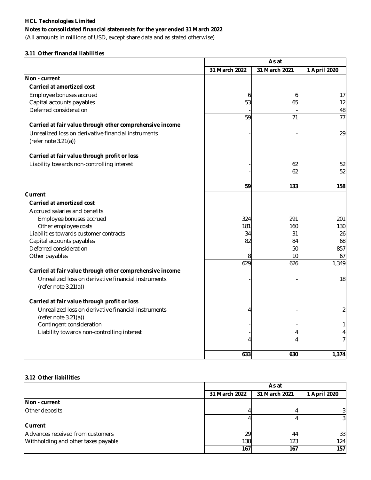### **Notes to consolidated financial statements for the year ended 31 March 2022**

(All amounts in millions of USD, except share data and as stated otherwise)

### **3.11 Other financial liabilities**

|                                                                                |               | As at         |                 |  |
|--------------------------------------------------------------------------------|---------------|---------------|-----------------|--|
|                                                                                | 31 March 2022 | 31 March 2021 | 1 April 2020    |  |
| Non - current                                                                  |               |               |                 |  |
| <b>Carried at amortized cost</b>                                               |               |               |                 |  |
| Employee bonuses accrued                                                       | 6             | 6             | 17              |  |
| Capital accounts payables                                                      | 53            | 65            | 12              |  |
| Deferred consideration                                                         |               |               | 48              |  |
|                                                                                | 59            | 71            | $\overline{77}$ |  |
| Carried at fair value through other comprehensive income                       |               |               |                 |  |
| Unrealized loss on derivative financial instruments<br>(refer note $3.21(a)$ ) |               |               | 29              |  |
| Carried at fair value through profit or loss                                   |               |               |                 |  |
| Liability towards non-controlling interest                                     |               | 62            | 52              |  |
|                                                                                |               | 62            | 52              |  |
|                                                                                | 59            | 133           | 158             |  |
| Current                                                                        |               |               |                 |  |
| <b>Carried at amortized cost</b>                                               |               |               |                 |  |
| Accrued salaries and benefits                                                  |               |               |                 |  |
| Employee bonuses accrued                                                       | 324           | 291           | 201             |  |
| Other employee costs                                                           | 181           | 160           | 130             |  |
| Liabilities towards customer contracts                                         | 34            | 31            | 26              |  |
| Capital accounts payables                                                      | 82            | 84            | 68              |  |
| Deferred consideration                                                         |               | 50            | 857             |  |
| Other payables                                                                 | 8             | 10            | 67              |  |
|                                                                                | 629           | 626           | 1,349           |  |
| Carried at fair value through other comprehensive income                       |               |               |                 |  |
| Unrealized loss on derivative financial instruments                            |               |               | 18              |  |
| (refer note 3.21(a))                                                           |               |               |                 |  |
| Carried at fair value through profit or loss                                   |               |               |                 |  |
| Unrealized loss on derivative financial instruments<br>(refer note 3.21(a))    |               |               | $\overline{2}$  |  |
| Contingent consideration                                                       |               |               |                 |  |
| Liability towards non-controlling interest                                     |               |               | 4               |  |
|                                                                                | 4             |               | $\overline{7}$  |  |
|                                                                                | 633           | 630           | 1,374           |  |

### **3.12 Other liabilities**

|                                     | As at         |               |                |  |
|-------------------------------------|---------------|---------------|----------------|--|
|                                     | 31 March 2022 | 31 March 2021 | 1 April 2020   |  |
| Non - current                       |               |               |                |  |
| Other deposits                      |               |               | $\overline{3}$ |  |
|                                     |               |               | 31             |  |
| <b>Current</b>                      |               |               |                |  |
| Advances received from customers    | 29            | 44            | 33             |  |
| Withholding and other taxes payable | 138           | 123           | 124            |  |
|                                     | 167           | 167           | 157            |  |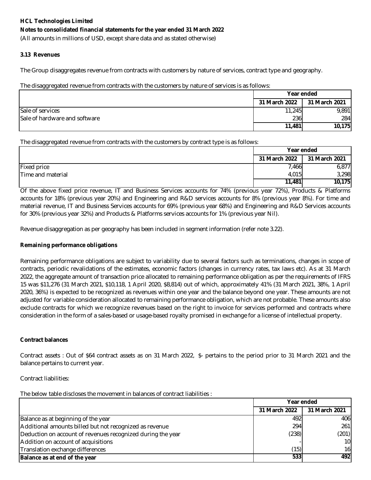### **Notes to consolidated financial statements for the year ended 31 March 2022**

(All amounts in millions of USD, except share data and as stated otherwise)

### **3.13 Revenues**

The Group disaggregates revenue from contracts with customers by nature of services, contract type and geography.

### The disaggregated revenue from contracts with the customers by nature of services is as follows:

|                               | Year ended    |               |
|-------------------------------|---------------|---------------|
|                               | 31 March 2022 | 31 March 2021 |
| Sale of services              | 11,245        | 9,891         |
| Sale of hardware and software | 236           | 284           |
|                               | 11,481        | 10,175        |

The disaggregated revenue from contracts with the customers by contract type is as follows:

|                   | Year ended    |               |  |
|-------------------|---------------|---------------|--|
|                   | 31 March 2022 | 31 March 2021 |  |
| Fixed price       | 7,466         | 6,877         |  |
| Time and material | 4,015         | 3,298         |  |
|                   | 11,481        | 10,175        |  |

Of the above fixed price revenue, IT and Business Services accounts for 74% (previous year 72%), Products & Platforms accounts for 18% (previous year 20%) and Engineering and R&D services accounts for 8% (previous year 8%). For time and material revenue, IT and Business Services accounts for 69% (previous year 68%) and Engineering and R&D Services accounts for 30% (previous year 32%) and Products & Platforms services accounts for 1% (previous year Nil).

Revenue disaggregation as per geography has been included in segment information (refer note 3.22).

### **Remaining performance obligations**

Remaining performance obligations are subject to variability due to several factors such as terminations, changes in scope of contracts, periodic revalidations of the estimates, economic factors (changes in currency rates, tax laws etc). As at 31 March 2022, the aggregate amount of transaction price allocated to remaining performance obligation as per the requirements of IFRS 15 was \$11,276 (31 March 2021, \$10,118, 1 April 2020, \$8,814) out of which, approximately 41% (31 March 2021, 38%, 1 April 2020, 36%) is expected to be recognized as revenues within one year and the balance beyond one year. These amounts are not adjusted for variable consideration allocated to remaining performance obligation, which are not probable. These amounts also exclude contracts for which we recognize revenues based on the right to invoice for services performed and contracts where consideration in the form of a sales-based or usage-based royalty promised in exchange for a license of intellectual property.

### **Contract balances**

Contract assets : Out of \$64 contract assets as on 31 March 2022, \$- pertains to the period prior to 31 March 2021 and the balance pertains to current year.

### Contract liabilities:

The below table discloses the movement in balances of contract liabilities :

|                                                             | Year ended    |               |
|-------------------------------------------------------------|---------------|---------------|
|                                                             | 31 March 2022 | 31 March 2021 |
| Balance as at beginning of the year                         | 492           | 406           |
| Additional amounts billed but not recognized as revenue     | 294           | 261           |
| Deduction on account of revenues recognized during the year | (238)         | (201)         |
| Addition on account of acquisitions                         |               | 10            |
| Translation exchange differences                            | (15)          | 16            |
| Balance as at end of the year                               | 533           | 4921          |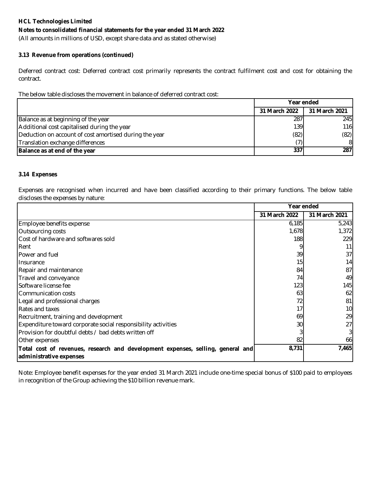### **Notes to consolidated financial statements for the year ended 31 March 2022**

(All amounts in millions of USD, except share data and as stated otherwise)

### **3.13 Revenue from operations (continued)**

Deferred contract cost: Deferred contract cost primarily represents the contract fulfilment cost and cost for obtaining the contract.

The below table discloses the movement in balance of deferred contract cost:

|                                                        | Year ended    |               |
|--------------------------------------------------------|---------------|---------------|
|                                                        | 31 March 2022 | 31 March 2021 |
| Balance as at beginning of the year                    | 287           | 245           |
| Additional cost capitalised during the year            | 139           | 116           |
| Deduction on account of cost amortised during the year | (82)          | (82)          |
| Translation exchange differences                       |               | 8             |
| Balance as at end of the year                          | 337           | 287           |

### **3.14 Expenses**

Expenses are recognised when incurred and have been classified according to their primary functions. The below table discloses the expenses by nature:

|                                                                                 | Year ended    |                 |
|---------------------------------------------------------------------------------|---------------|-----------------|
|                                                                                 | 31 March 2022 | 31 March 2021   |
| Employee benefits expense                                                       | 6,185         | 5,243           |
| Outsourcing costs                                                               | 1,678         | 1,372           |
| Cost of hardware and softwares sold                                             | 188           | 229             |
| Rent                                                                            |               | 11              |
| <b>Power and fuel</b>                                                           | 39            | 37 <sup>l</sup> |
| Insurance                                                                       | 15            | 14              |
| Repair and maintenance                                                          | 84            | 87              |
| Travel and conveyance                                                           | 74            | 49              |
| Software license fee                                                            | 123           | <b>145</b>      |
| Communication costs                                                             | 63            | 62              |
| Legal and professional charges                                                  | 72            | 81              |
| Rates and taxes                                                                 | 17            | 10              |
| Recruitment, training and development                                           | 69            | 29              |
| Expenditure toward corporate social responsibility activities                   | 30            | 27              |
| Provision for doubtful debts / bad debts written off                            |               | 3               |
| Other expenses                                                                  | 82            | 66              |
| Total cost of revenues, research and development expenses, selling, general and | 8,731         | 7,465           |
| administrative expenses                                                         |               |                 |

Note: Employee benefit expenses for the year ended 31 March 2021 include one-time special bonus of \$100 paid to employees in recognition of the Group achieving the \$10 billion revenue mark.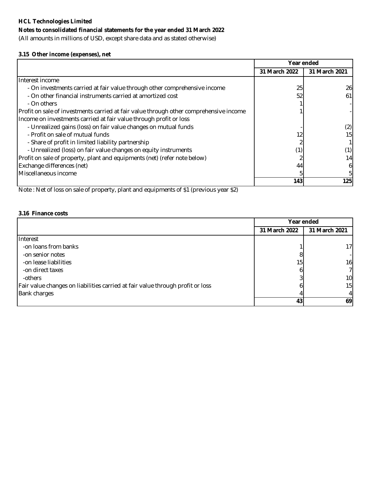### **Notes to consolidated financial statements for the year ended 31 March 2022**

(All amounts in millions of USD, except share data and as stated otherwise)

### **3.15 Other income (expenses), net**

|                                                                                        | Year ended    |               |
|----------------------------------------------------------------------------------------|---------------|---------------|
|                                                                                        | 31 March 2022 | 31 March 2021 |
| Interest income                                                                        |               |               |
| - On investments carried at fair value through other comprehensive income              | 25            | 26            |
| - On other financial instruments carried at amortized cost                             | 52            | 61            |
| - On others                                                                            |               |               |
| Profit on sale of investments carried at fair value through other comprehensive income |               |               |
| Income on investments carried at fair value through profit or loss                     |               |               |
| - Unrealized gains (loss) on fair value changes on mutual funds                        |               | (2)           |
| - Profit on sale of mutual funds                                                       |               | 15            |
| - Share of profit in limited liability partnership                                     |               |               |
| - Unrealized (loss) on fair value changes on equity instruments                        | (1)           |               |
| Profit on sale of property, plant and equipments (net) (refer note below)              |               | 14            |
| Exchange differences (net)                                                             | 44            |               |
| Miscellaneous income                                                                   |               |               |
|                                                                                        | 143           | 125           |

Note : Net of loss on sale of property, plant and equipments of \$1 (previous year \$2)

### **3.16 Finance costs**

|                                                                                | Year ended      |                |
|--------------------------------------------------------------------------------|-----------------|----------------|
|                                                                                | 31 March 2022   | 31 March 2021  |
| Interest                                                                       |                 |                |
| -on loans from banks                                                           |                 | 17             |
| -on senior notes                                                               |                 |                |
| -on lease liabilities                                                          | 15 <sub>1</sub> | 16             |
| -on direct taxes                                                               |                 | 7 <sup>1</sup> |
| -others                                                                        |                 | 10             |
| Fair value changes on liabilities carried at fair value through profit or loss |                 | 15             |
| <b>Bank charges</b>                                                            |                 | 4 <sup>1</sup> |
|                                                                                | 43              | 69             |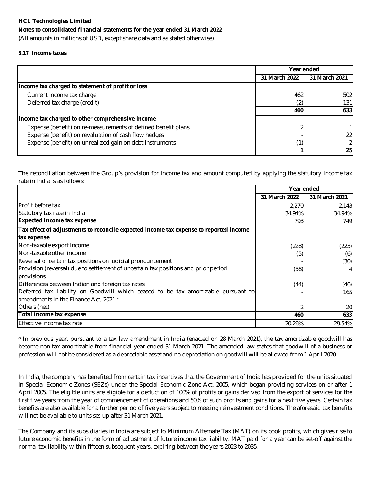(All amounts in millions of USD, except share data and as stated otherwise)

### **3.17 Income taxes**

|                                                               |               | Year ended    |
|---------------------------------------------------------------|---------------|---------------|
|                                                               | 31 March 2022 | 31 March 2021 |
| Income tax charged to statement of profit or loss             |               |               |
| Current income tax charge                                     | 462           | 502           |
| Deferred tax charge (credit)                                  |               | 131           |
|                                                               | 460           | 633           |
| Income tax charged to other comprehensive income              |               |               |
| Expense (benefit) on re-measurements of defined benefit plans |               |               |
| Expense (benefit) on revaluation of cash flow hedges          |               | 22            |
| Expense (benefit) on unrealized gain on debt instruments      |               |               |
|                                                               |               | 25            |

The reconciliation between the Group's provision for income tax and amount computed by applying the statutory income tax rate in India is as follows:

|                                                                                                                            | Year ended    |               |
|----------------------------------------------------------------------------------------------------------------------------|---------------|---------------|
|                                                                                                                            | 31 March 2022 | 31 March 2021 |
| <b>Profit before tax</b>                                                                                                   | 2,270         | 2,143         |
| Statutory tax rate in India                                                                                                | 34.94%        | 34.94%        |
| <b>Expected income tax expense</b>                                                                                         | 793           | 749           |
| Tax effect of adjustments to reconcile expected income tax expense to reported income                                      |               |               |
| tax expense                                                                                                                |               |               |
| Non-taxable export income                                                                                                  | (228)         | (223)         |
| Non-taxable other income                                                                                                   | (5)           | (6)           |
| Reversal of certain tax positions on judicial pronouncement                                                                |               | (30)          |
| Provision (reversal) due to settlement of uncertain tax positions and prior period<br>provisions                           | (58)          |               |
| Differences between Indian and foreign tax rates                                                                           | (44)          | (46)          |
| Deferred tax liability on Goodwill which ceased to be tax amortizable pursuant to<br>amendments in the Finance Act, 2021 * |               | 165           |
| Others (net)                                                                                                               |               | 20            |
| Total income tax expense                                                                                                   | 460           | 633           |
| Effective income tax rate                                                                                                  | 20.26%        | 29.54%        |

\* In previous year, pursuant to a tax law amendment in India (enacted on 28 March 2021), the tax amortizable goodwill has become non-tax amortizable from financial year ended 31 March 2021. The amended law states that goodwill of a business or profession will not be considered as a depreciable asset and no depreciation on goodwill will be allowed from 1 April 2020.

In India, the company has benefited from certain tax incentives that the Government of India has provided for the units situated in Special Economic Zones (SEZs) under the Special Economic Zone Act, 2005, which began providing services on or after 1 April 2005. The eligible units are eligible for a deduction of 100% of profits or gains derived from the export of services for the first five years from the year of commencement of operations and 50% of such profits and gains for a next five years. Certain tax benefits are also available for a further period of five years subject to meeting reinvestment conditions. The aforesaid tax benefits will not be available to units set-up after 31 March 2021.

The Company and its subsidiaries in India are subject to Minimum Alternate Tax (MAT) on its book profits, which gives rise to future economic benefits in the form of adjustment of future income tax liability. MAT paid for a year can be set-off against the normal tax liability within fifteen subsequent years, expiring between the years 2023 to 2035.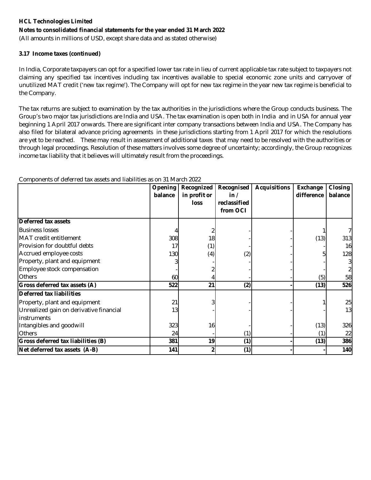**Notes to consolidated financial statements for the year ended 31 March 2022**

(All amounts in millions of USD, except share data and as stated otherwise)

### **3.17 Income taxes (continued)**

In India, Corporate taxpayers can opt for a specified lower tax rate in lieu of current applicable tax rate subject to taxpayers not claiming any specified tax incentives including tax incentives available to special economic zone units and carryover of unutilized MAT credit ('new tax regime'). The Company will opt for new tax regime in the year new tax regime is beneficial to the Company.

The tax returns are subject to examination by the tax authorities in the jurisdictions where the Group conducts business. The Group's two major tax jurisdictions are India and USA. The tax examination is open both in India and in USA for annual year beginning 1 April 2017 onwards. There are significant inter company transactions between India and USA. The Company has also filed for bilateral advance pricing agreements in these jurisdictions starting from 1 April 2017 for which the resolutions are yet to be reached. These may result in assessment of additional taxes that may need to be resolved with the authorities or through legal proceedings. Resolution of these matters involves some degree of uncertainty; accordingly, the Group recognizes income tax liability that it believes will ultimately result from the proceedings.

|                                         | Opening<br>balance | Recognized<br>in profit or<br>loss | Recognised<br>in /<br>reclassified<br>from OCI | <b>Acquisitions</b> | Exchange<br>difference | <b>Closing</b><br>balance |
|-----------------------------------------|--------------------|------------------------------------|------------------------------------------------|---------------------|------------------------|---------------------------|
| Deferred tax assets                     |                    |                                    |                                                |                     |                        |                           |
| <b>Business losses</b>                  |                    |                                    |                                                |                     |                        |                           |
| MAT credit entitlement                  | 308                | 18                                 |                                                |                     | (13)                   | 313                       |
| Provision for doubtful debts            |                    | (1)                                |                                                |                     |                        | 16                        |
| Accrued employee costs                  | 130                | (4)                                | (2)                                            |                     |                        | 128                       |
| Property, plant and equipment           |                    |                                    |                                                |                     |                        | 31                        |
| Employee stock compensation             |                    |                                    |                                                |                     |                        |                           |
| <b>Others</b>                           | 60                 |                                    |                                                |                     | (5)                    | 58                        |
| Gross deferred tax assets (A)           | 522                | 21                                 | (2)                                            |                     | (13)                   | 526                       |
| Deferred tax liabilities                |                    |                                    |                                                |                     |                        |                           |
| Property, plant and equipment           | 21                 |                                    |                                                |                     |                        | 25                        |
| Unrealized gain on derivative financial | 13                 |                                    |                                                |                     |                        | 13                        |
| linstruments                            |                    |                                    |                                                |                     |                        |                           |
| Intangibles and goodwill                | 323                | 16                                 |                                                |                     | (13)                   | 326                       |
| <b>Others</b>                           | 24                 |                                    | (1)                                            |                     | (1)                    | 22                        |
| Gross deferred tax liabilities (B)      | 381                | 19                                 | (1)                                            |                     | (13)                   | 386                       |
| Net deferred tax assets (A-B)           | 141                |                                    | (1)                                            |                     |                        | 140                       |

Components of deferred tax assets and liabilities as on 31 March 2022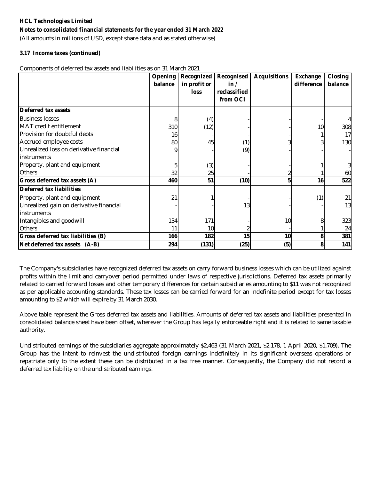### **Notes to consolidated financial statements for the year ended 31 March 2022**

(All amounts in millions of USD, except share data and as stated otherwise)

### **3.17 Income taxes (continued)**

Components of deferred tax assets and liabilities as on 31 March 2021

|                                         | <b>Opening</b> | Recognized   | Recognised   | <b>Acquisitions</b> | Exchange   | Closing |
|-----------------------------------------|----------------|--------------|--------------|---------------------|------------|---------|
|                                         | balance        | in profit or | in/          |                     | difference | balance |
|                                         |                | loss         | reclassified |                     |            |         |
|                                         |                |              | from OCI     |                     |            |         |
| <b>Deferred tax assets</b>              |                |              |              |                     |            |         |
| <b>Business losses</b>                  | 8              | (4)          |              |                     |            | 4       |
| MAT credit entitlement                  | 310            | (12)         |              |                     | 10         | 308     |
| Provision for doubtful debts            | 16             |              |              |                     |            | 17      |
| Accrued employee costs                  | 80             | 45           | (1)          |                     |            | 130     |
| Unrealized loss on derivative financial |                |              | (9)          |                     |            |         |
| <i>instruments</i>                      |                |              |              |                     |            |         |
| Property, plant and equipment           |                | (3)          |              |                     |            | 3       |
| Others                                  | 32             | 25           |              |                     |            | 60      |
| Gross deferred tax assets (A)           | 460            | 51           | (10)         | 5                   | 16         | 522     |
| Deferred tax liabilities                |                |              |              |                     |            |         |
| Property, plant and equipment           | 21             |              |              |                     | (1)        | 21      |
| Unrealized gain on derivative financial |                |              | 13           |                     |            | 13      |
| instruments                             |                |              |              |                     |            |         |
| Intangibles and goodwill                | 134            | 171          |              | 10                  |            | 323     |
| Others                                  | 11             | 10           |              |                     |            | 24      |
| Gross deferred tax liabilities (B)      | 166            | 182          | 15           | 10                  |            | 381     |
| Net deferred tax assets (A-B)           | 294            | (131)        | (25)         | (5)                 |            | 141     |

The Company's subsidiaries have recognized deferred tax assets on carry forward business losses which can be utilized against profits within the limit and carryover period permitted under laws of respective jurisdictions. Deferred tax assets primarily related to carried forward losses and other temporary differences for certain subsidiaries amounting to \$11 was not recognized as per applicable accounting standards. These tax losses can be carried forward for an indefinite period except for tax losses amounting to \$2 which will expire by 31 March 2030.

Above table represent the Gross deferred tax assets and liabilities. Amounts of deferred tax assets and liabilities presented in consolidated balance sheet have been offset, wherever the Group has legally enforceable right and it is related to same taxable authority.

Undistributed earnings of the subsidiaries aggregate approximately \$2,463 (31 March 2021, \$2,178, 1 April 2020, \$1,709). The Group has the intent to reinvest the undistributed foreign earnings indefinitely in its significant overseas operations or repatriate only to the extent these can be distributed in a tax free manner. Consequently, the Company did not record a deferred tax liability on the undistributed earnings.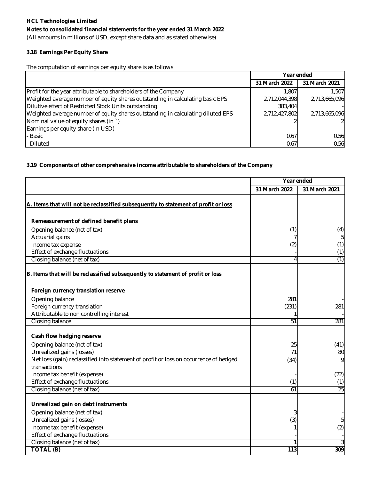(All amounts in millions of USD, except share data and as stated otherwise)

### **3.18 Earnings Per Equity Share**

The computation of earnings per equity share is as follows:

|                                                                                 | Year ended    |               |
|---------------------------------------------------------------------------------|---------------|---------------|
|                                                                                 | 31 March 2022 | 31 March 2021 |
| Profit for the year attributable to shareholders of the Company                 | 1,807         | 1.507         |
| Weighted average number of equity shares outstanding in calculating basic EPS   | 2,712,044,398 | 2,713,665,096 |
| Dilutive effect of Restricted Stock Units outstanding                           | 383,404       |               |
| Weighted average number of equity shares outstanding in calculating diluted EPS | 2,712,427,802 | 2,713,665,096 |
| Nominal value of equity shares (in `)                                           |               |               |
| Earnings per equity share (in USD)                                              |               |               |
| - Basic                                                                         | 0.67          | 0.56          |
| - Diluted                                                                       | 0.67          | 0.56          |

### **3.19 Components of other comprehensive income attributable to shareholders of the Company**

|                                                                                       | Year ended    |               |
|---------------------------------------------------------------------------------------|---------------|---------------|
|                                                                                       | 31 March 2022 | 31 March 2021 |
| A. Items that will not be reclassified subsequently to statement of profit or loss    |               |               |
| Remeasurement of defined benefit plans                                                |               |               |
| Opening balance (net of tax)                                                          | (1)           | (4)           |
| Actuarial gains                                                                       |               | 5             |
| Income tax expense                                                                    | (2)           | (1)           |
| Effect of exchange fluctuations                                                       |               | (1)           |
| Closing balance (net of tax)                                                          | 4             | (1)           |
| B. Items that will be reclassified subsequently to statement of profit or loss        |               |               |
| Foreign currency translation reserve                                                  |               |               |
| Opening balance                                                                       | 281           |               |
| Foreign currency translation                                                          | (231)         | 281           |
| Attributable to non controlling interest                                              |               |               |
| Closing balance                                                                       | 51            | 281           |
| Cash flow hedging reserve                                                             |               |               |
| Opening balance (net of tax)                                                          | 25            | (41)          |
| Unrealized gains (losses)                                                             | 71            | 80            |
| Net loss (gain) reclassified into statement of profit or loss on occurrence of hedged | (34)          | 9             |
| transactions                                                                          |               |               |
| Income tax benefit (expense)                                                          |               | (22)          |
| Effect of exchange fluctuations                                                       | (1)           | (1)           |
| Closing balance (net of tax)                                                          | 61            | 25            |
| Unrealized gain on debt instruments                                                   |               |               |
|                                                                                       |               |               |
| Opening balance (net of tax)<br>Unrealized gains (losses)                             |               | 5             |
| Income tax benefit (expense)                                                          | (3)           |               |
| Effect of exchange fluctuations                                                       |               | (2)           |
| Closing balance (net of tax)                                                          |               |               |
| <b>TOTAL (B)</b>                                                                      | 113           | 309           |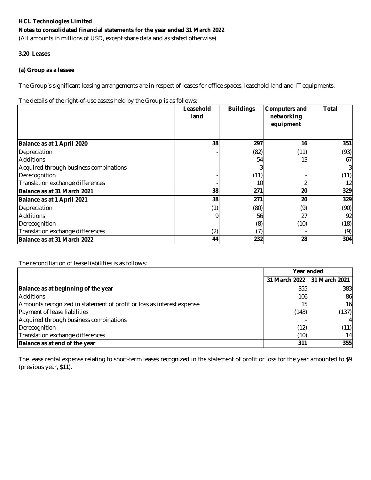(All amounts in millions of USD, except share data and as stated otherwise)

### **3.20 Leases**

### **(a) Group as a lessee**

The Group's significant leasing arrangements are in respect of leases for office spaces, leasehold land and IT equipments.

The details of the right-of-use assets held by the Group is as follows:

|                                        | Leasehold<br>land | <b>Buildings</b> | Computers and<br>networking<br>equipment | <b>Total</b> |
|----------------------------------------|-------------------|------------------|------------------------------------------|--------------|
| Balance as at 1 April 2020             | 38                | 297              | 16                                       | 351          |
| Depreciation                           |                   | (82)             | (11)                                     | (93)         |
| <b>Additions</b>                       |                   | 54               | 13                                       | 67I          |
| Acquired through business combinations |                   |                  |                                          | 31           |
| Derecognition                          |                   | (11)             |                                          | (11)         |
| Translation exchange differences       |                   | 10               |                                          | 12           |
| Balance as at 31 March 2021            | 38                | 271              | 20                                       | 329          |
| Balance as at 1 April 2021             | 38                | 271              | 20                                       | 329          |
| Depreciation                           | (1)               | (80)             | (9)                                      | (90)         |
| <b>Additions</b>                       |                   | 56               | 27                                       | 92           |
| Derecognition                          |                   | (8)              | (10)                                     | (18)         |
| Translation exchange differences       | (2)               | (7)              |                                          | (9)          |
| Balance as at 31 March 2022            | 44                | 232              | 28                                       | 304          |

The reconciliation of lease liabilities is as follows:

|                                                                       | Year ended      |                |
|-----------------------------------------------------------------------|-----------------|----------------|
|                                                                       | 31 March 2022   | 31 March 2021  |
| Balance as at beginning of the year                                   | 355             | 383            |
| <b>Additions</b>                                                      | 106             | 86             |
| Amounts recognized in statement of profit or loss as interest expense | 15 <sub>1</sub> | 16             |
| Payment of lease liabilities                                          | (143)           | (137)          |
| Acquired through business combinations                                |                 | $\overline{4}$ |
| Derecognition                                                         | (12)            | (11)           |
| Translation exchange differences                                      | (10)            | 14             |
| Balance as at end of the year                                         | 311             | 355            |

The lease rental expense relating to short-term leases recognized in the statement of profit or loss for the year amounted to \$9 (previous year, \$11).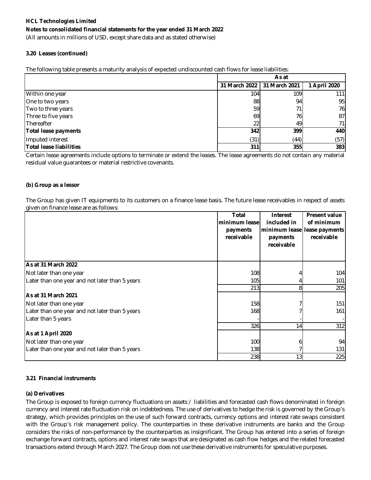(All amounts in millions of USD, except share data and as stated otherwise)

### **3.20 Leases (continued)**

The following table presents a maturity analysis of expected undiscounted cash flows for lease liabilities:

|                                | As at                       |      |              |  |
|--------------------------------|-----------------------------|------|--------------|--|
|                                | 31 March 2022 31 March 2021 |      | 1 April 2020 |  |
| Within one year                | 104 <sub>1</sub>            | 109  | 111I         |  |
| One to two years               | 88                          | 94   | 95           |  |
| Two to three years             | 59                          | 71   | 76           |  |
| Three to five years            | 69                          | 76   | 87           |  |
| Thereafter                     | 22                          | 49   | 71 I         |  |
| <b>Total lease payments</b>    | <b>342</b>                  | 399  | 440          |  |
| Imputed interest               | (31)                        | (44) | (57)         |  |
| <b>Total lease liabilities</b> | 311                         | 355  | 383          |  |

Certain lease agreements include options to terminate or extend the leases. The lease agreements do not contain any material residual value guarantees or material restrictive covenants.

### **(b) Group as a lessor**

The Group has given IT equipments to its customers on a finance lease basis. The future lease receivables in respect of assets given on finance lease are as follows:

|                                                | <b>Total</b><br>minimum lease<br>payments<br>receivable | <b>Interest</b><br>included in<br>payments<br>receivable | <b>Present value</b><br>of minimum<br>minimum lease lease payments<br>receivable |
|------------------------------------------------|---------------------------------------------------------|----------------------------------------------------------|----------------------------------------------------------------------------------|
| As at 31 March 2022                            |                                                         |                                                          |                                                                                  |
| Not later than one year                        | 108                                                     |                                                          | 104                                                                              |
| Later than one year and not later than 5 years | 105                                                     |                                                          | 101                                                                              |
|                                                | 213                                                     | 8                                                        | 205                                                                              |
| <b>As at 31 March 2021</b>                     |                                                         |                                                          |                                                                                  |
| Not later than one year                        | 158                                                     |                                                          | 151                                                                              |
| Later than one year and not later than 5 years | <b>168</b>                                              |                                                          | 161                                                                              |
| Later than 5 years                             |                                                         |                                                          |                                                                                  |
|                                                | 326                                                     | 14                                                       | 312                                                                              |
| As at 1 April 2020                             |                                                         |                                                          |                                                                                  |
| Not later than one year                        | 100                                                     |                                                          | 94                                                                               |
| Later than one year and not later than 5 years | 138                                                     |                                                          | 131                                                                              |
|                                                | 238                                                     | 13 <sub>l</sub>                                          | 225                                                                              |

### **3.21 Financial instruments**

### **(a) Derivatives**

The Group is exposed to foreign currency fluctuations on assets / liabilities and forecasted cash flows denominated in foreign currency and interest rate fluctuation risk on indebtedness. The use of derivatives to hedge the risk is governed by the Group's strategy, which provides principles on the use of such forward contracts, currency options and interest rate swaps consistent with the Group's risk management policy. The counterparties in these derivative instruments are banks and the Group considers the risks of non-performance by the counterparties as insignificant. The Group has entered into a series of foreign exchange forward contracts, options and interest rate swaps that are designated as cash flow hedges and the related forecasted transactions extend through March 2027. The Group does not use these derivative instruments for speculative purposes.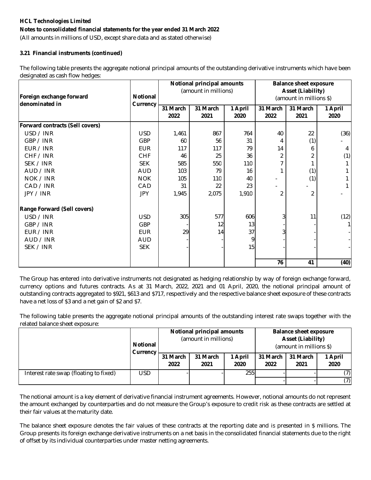### **Notes to consolidated financial statements for the year ended 31 March 2022**

(All amounts in millions of USD, except share data and as stated otherwise)

### **3.21 Financial instruments (continued)**

The following table presents the aggregate notional principal amounts of the outstanding derivative instruments which have been designated as cash flow hedges:

|                                        |            | Notional principal amounts |                      |         | <b>Balance sheet exposure</b> |                          |         |
|----------------------------------------|------------|----------------------------|----------------------|---------|-------------------------------|--------------------------|---------|
|                                        |            |                            | (amount in millions) |         |                               | <b>Asset (Liability)</b> |         |
| Foreign exchange forward               | Notional   |                            |                      |         |                               | (amount in millions \$)  |         |
| denominated in                         | Currency   | 31 March                   | 31 March             | 1 April | 31 March                      | 31 March                 | 1 April |
|                                        |            | 2022                       | 2021                 | 2020    | 2022                          | 2021                     | 2020    |
| <b>Forward contracts (Sell covers)</b> |            |                            |                      |         |                               |                          |         |
| USD / INR                              | <b>USD</b> | 1,461                      | 867                  | 764     | 40                            | 22                       | (36)    |
| GBP / INR                              | <b>GBP</b> | 60                         | 56                   | 31      | 4                             | (1)                      |         |
| EUR / INR                              | <b>EUR</b> | 117                        | 117                  | 79      | 14                            | 6                        | 4       |
| CHF / INR                              | <b>CHF</b> | 46                         | 25                   | 36      | 2                             |                          | (1)     |
| SEK / INR                              | <b>SEK</b> | 585                        | 550                  | 110     |                               |                          |         |
| AUD / INR                              | <b>AUD</b> | 103                        | 79                   | 16      |                               | (1)                      |         |
| NOK / INR                              | <b>NOK</b> | 105                        | 110                  | 40      | $\blacksquare$                | (1)                      |         |
| CAD / INR                              | CAD        | 31                         | 22                   | 23      |                               |                          |         |
| JPY / INR                              | <b>JPY</b> | 1,945                      | 2,075                | 1,910   | 2                             | $\overline{2}$           |         |
| Range Forward (Sell covers)            |            |                            |                      |         |                               |                          |         |
| USD / INR                              | <b>USD</b> | 305                        | 577                  | 606     | 3                             | 11                       | (12)    |
| GBP / INR                              | <b>GBP</b> |                            | 12                   | 13      |                               |                          | 1       |
| EUR / INR                              | <b>EUR</b> | 29                         | 14                   | 37      | 3                             |                          |         |
| AUD / INR                              | <b>AUD</b> |                            |                      | 9       |                               |                          |         |
| SEK / INR                              | <b>SEK</b> |                            |                      | 15      |                               |                          |         |
|                                        |            |                            |                      |         | 76                            | 41                       | (40)    |

The Group has entered into derivative instruments not designated as hedging relationship by way of foreign exchange forward, currency options and futures contracts. As at 31 March, 2022, 2021 and 01 April, 2020, the notional principal amount of outstanding contracts aggregated to \$921, \$613 and \$717, respectively and the respective balance sheet exposure of these contracts have a net loss of \$3 and a net gain of \$2 and \$7.

The following table presents the aggregate notional principal amounts of the outstanding interest rate swaps together with the related balance sheet exposure:

|                                        | <b>Notional</b><br>Currency |                  |                  | <b>Notional principal amounts</b><br>(amount in millions) |                  |                  | <b>Balance sheet exposure</b><br><b>Asset (Liability)</b><br>(amount in millions \$) |  |
|----------------------------------------|-----------------------------|------------------|------------------|-----------------------------------------------------------|------------------|------------------|--------------------------------------------------------------------------------------|--|
|                                        |                             | 31 March<br>2022 | 31 March<br>2021 | 1 April<br>2020                                           | 31 March<br>2022 | 31 March<br>2021 | 1 April<br>2020                                                                      |  |
| Interest rate swap (floating to fixed) | USD                         |                  |                  | 255                                                       |                  |                  | (7)                                                                                  |  |
|                                        |                             |                  |                  |                                                           |                  |                  | (7)                                                                                  |  |

The notional amount is a key element of derivative financial instrument agreements. However, notional amounts do not represent the amount exchanged by counterparties and do not measure the Group's exposure to credit risk as these contracts are settled at their fair values at the maturity date.

The balance sheet exposure denotes the fair values of these contracts at the reporting date and is presented in \$ millions. The Group presents its foreign exchange derivative instruments on a net basis in the consolidated financial statements due to the right of offset by its individual counterparties under master netting agreements.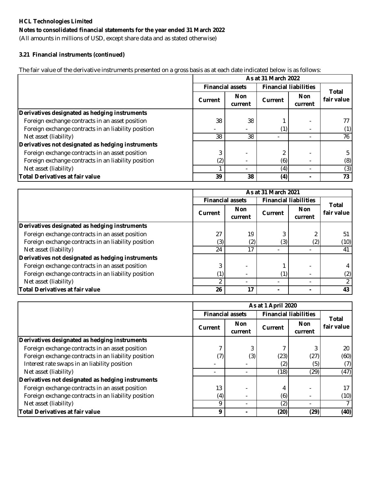### **Notes to consolidated financial statements for the year ended 31 March 2022**

(All amounts in millions of USD, except share data and as stated otherwise)

### **3.21 Financial instruments (continued)**

The fair value of the derivative instruments presented on a gross basis as at each date indicated below is as follows:

|                                                     | As at 31 March 2022     |                       |                              |                       |                     |  |
|-----------------------------------------------------|-------------------------|-----------------------|------------------------------|-----------------------|---------------------|--|
|                                                     | <b>Financial assets</b> |                       | <b>Financial liabilities</b> |                       |                     |  |
|                                                     | <b>Current</b>          | <b>Non</b><br>current | <b>Current</b>               | <b>Non</b><br>current | Total<br>fair value |  |
| Derivatives designated as hedging instruments       |                         |                       |                              |                       |                     |  |
| Foreign exchange contracts in an asset position     | 38                      | 38                    |                              |                       | 77                  |  |
| Foreign exchange contracts in an liability position |                         |                       |                              |                       | (1)                 |  |
| Net asset (liability)                               | 38                      | 38                    |                              |                       | 76                  |  |
| Derivatives not designated as hedging instruments   |                         |                       |                              |                       |                     |  |
| Foreign exchange contracts in an asset position     |                         |                       |                              |                       | 5                   |  |
| Foreign exchange contracts in an liability position | (2)                     |                       | (6)                          |                       | (8)                 |  |
| Net asset (liability)                               |                         |                       | (4)                          |                       | (3)                 |  |
| <b>Total Derivatives at fair value</b>              | 39                      | 38                    | (4)                          | ۰                     | 73                  |  |

|                                                     | As at 31 March 2021     |                       |                              |                       |                     |
|-----------------------------------------------------|-------------------------|-----------------------|------------------------------|-----------------------|---------------------|
|                                                     | <b>Financial assets</b> |                       | <b>Financial liabilities</b> |                       |                     |
|                                                     | Current                 | <b>Non</b><br>current | <b>Current</b>               | <b>Non</b><br>current | Total<br>fair value |
| Derivatives designated as hedging instruments       |                         |                       |                              |                       |                     |
| Foreign exchange contracts in an asset position     | 27                      | 19                    |                              |                       | 51                  |
| Foreign exchange contracts in an liability position | (3)                     | (2)                   | (3)                          | (2)                   | (10)                |
| Net asset (liability)                               | 24                      | 17                    |                              |                       | 41                  |
| Derivatives not designated as hedging instruments   |                         |                       |                              |                       |                     |
| Foreign exchange contracts in an asset position     |                         |                       |                              |                       |                     |
| Foreign exchange contracts in an liability position |                         |                       | (1)                          |                       | (2)                 |
| Net asset (liability)                               |                         |                       |                              |                       |                     |
| <b>Total Derivatives at fair value</b>              | 26                      | 17                    |                              |                       | 43                  |

|                                                     | As at 1 April 2020      |                       |                              |                       |                     |
|-----------------------------------------------------|-------------------------|-----------------------|------------------------------|-----------------------|---------------------|
|                                                     | <b>Financial assets</b> |                       | <b>Financial liabilities</b> |                       |                     |
|                                                     | Current                 | <b>Non</b><br>current | Current                      | <b>Non</b><br>current | Total<br>fair value |
| Derivatives designated as hedging instruments       |                         |                       |                              |                       |                     |
| Foreign exchange contracts in an asset position     |                         | 3                     |                              |                       | 20                  |
| Foreign exchange contracts in an liability position | 7)                      | (3)                   | (23)                         | (27)                  | (60)                |
| Interest rate swaps in an liability position        |                         |                       | (2)                          | (5)                   | (7)                 |
| Net asset (liability)                               |                         |                       | (18)                         | (29)                  | (47)                |
| Derivatives not designated as hedging instruments   |                         |                       |                              |                       |                     |
| Foreign exchange contracts in an asset position     | 13                      |                       | 4                            |                       | 17                  |
| Foreign exchange contracts in an liability position | $\left( 4\right)$       |                       | (6)                          |                       | (10)                |
| Net asset (liability)                               | o                       |                       | (2)                          |                       |                     |
| <b>Total Derivatives at fair value</b>              | $\mathbf o$             |                       | (20)                         | (29)                  | (40)                |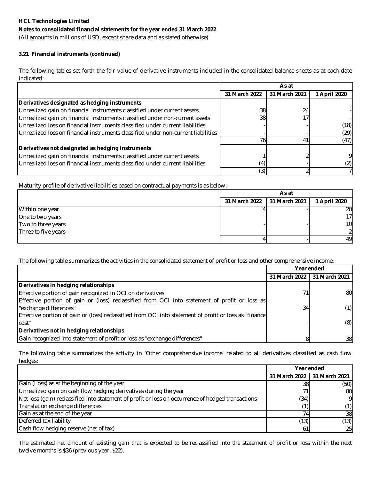(All amounts in millions of USD, except share data and as stated otherwise)

### **3.21 Financial instruments (continued)**

The following tables set forth the fair value of derivative instruments included in the consolidated balance sheets as at each date indicated:

|                                                                                   | As at         |               |              |  |
|-----------------------------------------------------------------------------------|---------------|---------------|--------------|--|
|                                                                                   | 31 March 2022 | 31 March 2021 | 1 April 2020 |  |
| Derivatives designated as hedging instruments                                     |               |               |              |  |
| Unrealized gain on financial instruments classified under current assets          | 38            | 24            |              |  |
| Unrealized gain on financial instruments classified under non-current assets      | 38            | 17            |              |  |
| Unrealized loss on financial instruments classified under current liabilities     |               |               | (18)         |  |
| Unrealized loss on financial instruments classified under non-current liabilities |               |               | (29)         |  |
|                                                                                   |               | 41            | (47)         |  |
| Derivatives not designated as hedging instruments                                 |               |               |              |  |
| Unrealized gain on financial instruments classified under current assets          |               |               | 9            |  |
| Unrealized loss on financial instruments classified under current liabilities     | (4)           |               | (2)          |  |
|                                                                                   | (3)           |               |              |  |

Maturity profile of derivative liabilities based on contractual payments is as below:

|                     | As at         |               |               |  |
|---------------------|---------------|---------------|---------------|--|
|                     | 31 March 2022 | 31 March 2021 | 1 April 2020  |  |
| Within one year     |               |               | 20            |  |
| One to two years    |               |               | 17            |  |
| Two to three years  |               |               | 10            |  |
| Three to five years |               |               | $\mathcal{P}$ |  |
|                     |               |               | 49            |  |

The following table summarizes the activities in the consolidated statement of profit or loss and other comprehensive income:

|                                                                                                        |               | Year ended    |
|--------------------------------------------------------------------------------------------------------|---------------|---------------|
|                                                                                                        | 31 March 2022 | 31 March 2021 |
| Derivatives in hedging relationships                                                                   |               |               |
| Effective portion of gain recognized in OCI on derivatives                                             | 71            | 80I           |
| Effective portion of gain or (loss) reclassified from OCI into statement of profit or loss as          |               |               |
| "exchange differences"                                                                                 | 34            | (1)           |
| Effective portion of gain or (loss) reclassified from OCI into statement of profit or loss as "finance |               |               |
| cost"                                                                                                  |               | (8)           |
| Derivatives not in hedging relationships                                                               |               |               |
| Gain recognized into statement of profit or loss as "exchange differences"                             |               | 38            |

The following table summarizes the activity in 'Other comprehensive income' related to all derivatives classified as cash flow hedges:

|                                                                                                    | Year ended |                               |
|----------------------------------------------------------------------------------------------------|------------|-------------------------------|
|                                                                                                    |            | 31 March 2022   31 March 2021 |
| Gain (Loss) as at the beginning of the year                                                        | 38         | (50)                          |
| Unrealized gain on cash flow hedging derivatives during the year                                   |            | 80                            |
| Net loss (gain) reclassified into statement of profit or loss on occurrence of hedged transactions | (34)       | 9                             |
| Translation exchange differences                                                                   | (1)        | (1)                           |
| Gain as at the end of the year                                                                     |            | 38                            |
| Deferred tax liability                                                                             | (13)       | (13)                          |
| Cash flow hedging reserve (net of tax)                                                             | 61         | 25                            |

The estimated net amount of existing gain that is expected to be reclassified into the statement of profit or loss within the next twelve months is \$36 (previous year, \$22).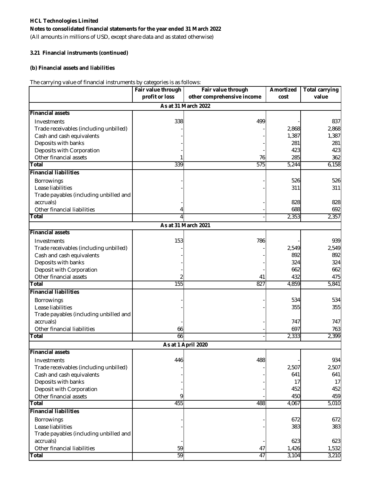(All amounts in millions of USD, except share data and as stated otherwise)

### **3.21 Financial instruments (continued)**

### **(b) Financial assets and liabilities**

The carrying value of financial instruments by categories is as follows:

|                                        | Fair value through | Fair value through         | Amortized | <b>Total carrying</b> |
|----------------------------------------|--------------------|----------------------------|-----------|-----------------------|
|                                        | profit or loss     | other comprehensive income | cost      | value                 |
|                                        |                    | As at 31 March 2022        |           |                       |
| <b>Financial assets</b>                |                    |                            |           |                       |
| Investments                            | 338                | 499                        |           | 837                   |
| Trade receivables (including unbilled) |                    |                            | 2,868     | 2,868                 |
| Cash and cash equivalents              |                    |                            | 1,387     | 1,387                 |
| Deposits with banks                    |                    |                            | 281       | 281                   |
| Deposits with Corporation              |                    |                            | 423       | 423                   |
| Other financial assets                 |                    | 76                         | 285       | 362                   |
| <b>Total</b>                           | 339                | 575                        | 5,244     | 6,158                 |
| <b>Financial liabilities</b>           |                    |                            |           |                       |
| Borrowings                             |                    |                            | 526       | 526                   |
| Lease liabilities                      |                    |                            | 311       | 311                   |
| Trade payables (including unbilled and |                    |                            |           |                       |
| accruals)                              |                    |                            | 828       | 828                   |
| Other financial liabilities            |                    |                            | 688       | 692                   |
| <b>Total</b>                           |                    |                            | 2,353     | 2,357                 |
|                                        |                    | As at 31 March 2021        |           |                       |
| <b>Financial assets</b>                |                    |                            |           |                       |
| Investments                            | 153                | 786                        |           | 939                   |
| Trade receivables (including unbilled) |                    |                            | 2,549     | 2,549                 |
| Cash and cash equivalents              |                    |                            | 892       | 892                   |
| Deposits with banks                    |                    |                            | 324       | 324                   |
| Deposit with Corporation               |                    |                            | 662       | 662                   |
| Other financial assets                 |                    | 41                         | 432       | 475                   |
| <b>Total</b>                           | 155                | 827                        | 4,859     | 5,841                 |
| <b>Financial liabilities</b>           |                    |                            |           |                       |
| <b>Borrowings</b>                      |                    |                            | 534       | 534                   |
| Lease liabilities                      |                    |                            | 355       | 355                   |
| Trade payables (including unbilled and |                    |                            |           |                       |
| accruals)                              |                    |                            | 747       | 747                   |
| Other financial liabilities            | 66                 |                            | 697       | 763                   |
| Total                                  | 66                 |                            | 2,333     | 2,399                 |
|                                        |                    | As at 1 April 2020         |           |                       |
| <b>Financial assets</b>                |                    |                            |           |                       |
| Investments                            | 446                | 488                        |           | 934                   |
| Trade receivables (including unbilled) |                    |                            | 2,507     | 2,507                 |
| Cash and cash equivalents              |                    |                            | 641       | 641                   |
| Deposits with banks                    |                    |                            | 17        | 17                    |
| Deposit with Corporation               |                    |                            | 452       | 452                   |
| Other financial assets                 | 9                  |                            | 450       | 459                   |
| <b>Total</b>                           | 455                | 488                        | 4,067     | 5,010                 |
| <b>Financial liabilities</b>           |                    |                            |           |                       |
| Borrowings                             |                    |                            | 672       | 672                   |
| Lease liabilities                      |                    |                            | 383       | 383                   |
| Trade payables (including unbilled and |                    |                            |           |                       |
| accruals)                              |                    |                            | 623       | 623                   |
| Other financial liabilities            | 59                 | 47                         | 1,426     | 1,532                 |
| <b>Total</b>                           | 59                 | 47                         | 3,104     | 3,210                 |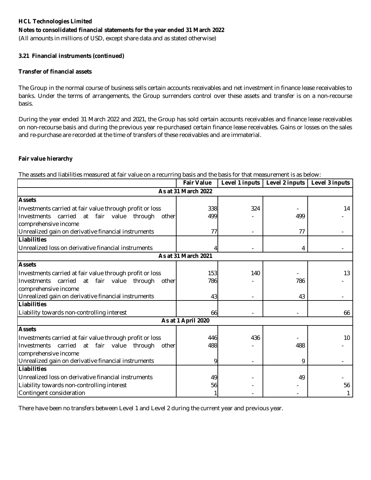(All amounts in millions of USD, except share data and as stated otherwise)

### **3.21 Financial instruments (continued)**

### **Transfer of financial assets**

The Group in the normal course of business sells certain accounts receivables and net investment in finance lease receivables to banks. Under the terms of arrangements, the Group surrenders control over these assets and transfer is on a non-recourse basis.

During the year ended 31 March 2022 and 2021, the Group has sold certain accounts receivables and finance lease receivables on non-recourse basis and during the previous year re-purchased certain finance lease receivables. Gains or losses on the sales and re-purchase are recorded at the time of transfers of these receivables and are immaterial.

### **Fair value hierarchy**

The assets and liabilities measured at fair value on a recurring basis and the basis for that measurement is as below:

|                                                          | <b>Fair Value</b>   |     | Level 1 inputs   Level 2 inputs   Level 3 inputs |                 |  |  |
|----------------------------------------------------------|---------------------|-----|--------------------------------------------------|-----------------|--|--|
| As at 31 March 2022                                      |                     |     |                                                  |                 |  |  |
| <b>Assets</b>                                            |                     |     |                                                  |                 |  |  |
| Investments carried at fair value through profit or loss | 338                 | 324 |                                                  | 14              |  |  |
| Investments carried at fair value<br>through<br>other    | 499                 |     | 499                                              |                 |  |  |
| comprehensive income                                     |                     |     |                                                  |                 |  |  |
| Unrealized gain on derivative financial instruments      | 77                  |     | 77                                               |                 |  |  |
| Liabilities                                              |                     |     |                                                  |                 |  |  |
| Unrealized loss on derivative financial instruments      |                     |     | 4                                                |                 |  |  |
|                                                          | As at 31 March 2021 |     |                                                  |                 |  |  |
| <b>Assets</b>                                            |                     |     |                                                  |                 |  |  |
| Investments carried at fair value through profit or loss | 153                 | 140 |                                                  | 13              |  |  |
| at fair value<br>Investments carried<br>through<br>other | 786                 |     | 786                                              |                 |  |  |
| comprehensive income                                     |                     |     |                                                  |                 |  |  |
| Unrealized gain on derivative financial instruments      | 43                  |     | 43                                               |                 |  |  |
| Liabilities                                              |                     |     |                                                  |                 |  |  |
| Liability towards non-controlling interest               | 66                  |     |                                                  | 66              |  |  |
|                                                          | As at 1 April 2020  |     |                                                  |                 |  |  |
| <b>Assets</b>                                            |                     |     |                                                  |                 |  |  |
| Investments carried at fair value through profit or loss | 446                 | 436 |                                                  | 10 <sup>°</sup> |  |  |
| Investments carried<br>at fair value<br>through<br>other | 488                 |     | 488                                              |                 |  |  |
| comprehensive income                                     |                     |     |                                                  |                 |  |  |
| Unrealized gain on derivative financial instruments      | 9                   |     | 9                                                |                 |  |  |
| Liabilities                                              |                     |     |                                                  |                 |  |  |
| Unrealized loss on derivative financial instruments      | 49                  |     | 49                                               |                 |  |  |
| Liability towards non-controlling interest               | 56                  |     |                                                  | 56              |  |  |
| Contingent consideration                                 |                     |     |                                                  |                 |  |  |

There have been no transfers between Level 1 and Level 2 during the current year and previous year.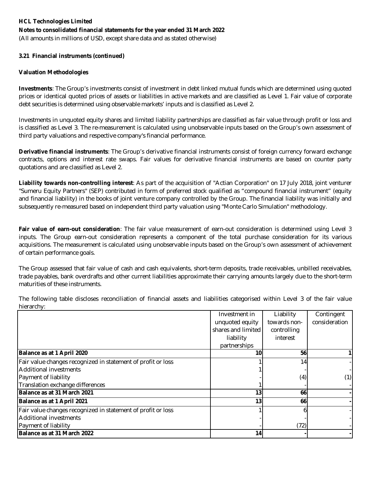(All amounts in millions of USD, except share data and as stated otherwise)

### **3.21 Financial instruments (continued)**

### **Valuation Methodologies**

**Investments**: The Group's investments consist of investment in debt linked mutual funds which are determined using quoted prices or identical quoted prices of assets or liabilities in active markets and are classified as Level 1. Fair value of corporate debt securities is determined using observable markets' inputs and is classified as Level 2.

Investments in unquoted equity shares and limited liability partnerships are classified as fair value through profit or loss and is classified as Level 3. The re-measurement is calculated using unobservable inputs based on the Group's own assessment of third party valuations and respective company's financial performance.

**Derivative financial instruments**: The Group's derivative financial instruments consist of foreign currency forward exchange contracts, options and interest rate swaps. Fair values for derivative financial instruments are based on counter party quotations and are classified as Level 2.

**Liability towards non-controlling interest**: As part of the acquisition of "Actian Corporation" on 17 July 2018, joint venturer "Sumeru Equity Partners" (SEP) contributed in form of preferred stock qualified as "compound financial instrument" (equity and financial liability) in the books of joint venture company controlled by the Group. The financial liability was initially and subsequently re-measured based on independent third party valuation using "Monte Carlo Simulation" methodology.

**Fair value of earn-out consideration**: The fair value measurement of earn-out consideration is determined using Level 3 inputs. The Group earn-out consideration represents a component of the total purchase consideration for its various acquisitions. The measurement is calculated using unobservable inputs based on the Group's own assessment of achievement of certain performance goals.

The Group assessed that fair value of cash and cash equivalents, short-term deposits, trade receivables, unbilled receivables, trade payables, bank overdrafts and other current liabilities approximate their carrying amounts largely due to the short-term maturities of these instruments.

|                                                              | Investment in      | Liability       | Contingent    |
|--------------------------------------------------------------|--------------------|-----------------|---------------|
|                                                              | unquoted equity    | towards non-    | consideration |
|                                                              | shares and limited | controlling     |               |
|                                                              | liability          | interest        |               |
|                                                              | partnerships       |                 |               |
| Balance as at 1 April 2020                                   | 10                 | 56              |               |
| Fair value changes recognized in statement of profit or loss |                    | 14 <sub>1</sub> |               |
| Additional investments                                       |                    |                 |               |
| Payment of liability                                         |                    | (4)             | (1)           |
| Translation exchange differences                             |                    |                 |               |
| Balance as at 31 March 2021                                  | 13                 | 66              |               |
| Balance as at 1 April 2021                                   | 13                 | <b>66</b>       |               |
| Fair value changes recognized in statement of profit or loss |                    |                 |               |
| Additional investments                                       |                    |                 |               |
| Payment of liability                                         |                    | (72)            |               |
| Balance as at 31 March 2022                                  | 14                 |                 |               |

The following table discloses reconciliation of financial assets and liabilities categorised within Level 3 of the fair value hierarchy: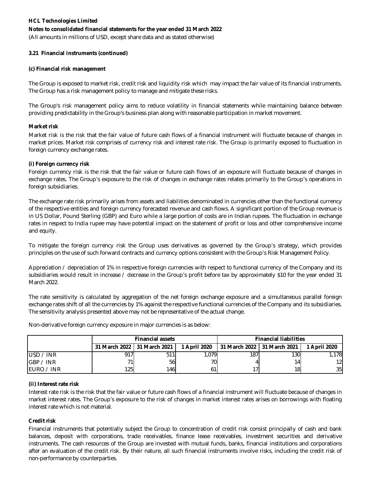(All amounts in millions of USD, except share data and as stated otherwise)

### **3.21 Financial instruments (continued)**

### **(c) Financial risk management**

The Group is exposed to market risk, credit risk and liquidity risk which may impact the fair value of its financial instruments. The Group has a risk management policy to manage and mitigate these risks.

The Group's risk management policy aims to reduce volatility in financial statements while maintaining balance between providing predictability in the Group's business plan along with reasonable participation in market movement.

### **Market risk**

Market risk is the risk that the fair value of future cash flows of a financial instrument will fluctuate because of changes in market prices. Market risk comprises of currency risk and interest rate risk. The Group is primarily exposed to fluctuation in foreign currency exchange rates.

### **(i) Foreign currency risk**

Foreign currency risk is the risk that the fair value or future cash flows of an exposure will fluctuate because of changes in exchange rates. The Group's exposure to the risk of changes in exchange rates relates primarily to the Group's operations in foreign subsidiaries.

The exchange rate risk primarily arises from assets and liabilities denominated in currencies other than the functional currency of the respective entities and foreign currency forecasted revenue and cash flows. A significant portion of the Group revenue is in US Dollar, Pound Sterling (GBP) and Euro while a large portion of costs are in Indian rupees. The fluctuation in exchange rates in respect to India rupee may have potential impact on the statement of profit or loss and other comprehensive income and equity.

To mitigate the foreign currency risk the Group uses derivatives as governed by the Group's strategy, which provides principles on the use of such forward contracts and currency options consistent with the Group's Risk Management Policy.

Appreciation / depreciation of 1% in respective foreign currencies with respect to functional currency of the Company and its subsidiaries would result in increase / decrease in the Group's profit before tax by approximately \$10 for the year ended 31 March 2022.

The rate sensitivity is calculated by aggregation of the net foreign exchange exposure and a simultaneous parallel foreign exchange rates shift of all the currencies by 1% against the respective functional currencies of the Company and its subsidiaries. The sensitivity analysis presented above may not be representative of the actual change.

|            | <b>Financial assets</b> |                               |              | <b>Financial liabilities</b>  |      |              |
|------------|-------------------------|-------------------------------|--------------|-------------------------------|------|--------------|
|            |                         | 31 March 2022   31 March 2021 | 1 April 2020 | 131 March 2022 131 March 2021 |      | 1 April 2020 |
| USD / INR  | 917                     | 511                           | .079         | 187                           | 130I | 1.178        |
| GBP / INR  | 71                      | 56                            | 70           |                               | 14.  | 12           |
| EURO / INR | 1251                    | 146 <sup>l</sup>              | 61           |                               | 18   | 35           |

Non-derivative foreign currency exposure in major currencies is as below:

### **(ii) Interest rate risk**

Interest rate risk is the risk that the fair value or future cash flows of a financial instrument will fluctuate because of changes in market interest rates. The Group's exposure to the risk of changes in market interest rates arises on borrowings with floating interest rate which is not material.

### **Credit risk**

Financial instruments that potentially subject the Group to concentration of credit risk consist principally of cash and bank balances, deposit with corporations, trade receivables, finance lease receivables, investment securities and derivative instruments. The cash resources of the Group are invested with mutual funds, banks, financial institutions and corporations after an evaluation of the credit risk. By their nature, all such financial instruments involve risks, including the credit risk of non-performance by counterparties.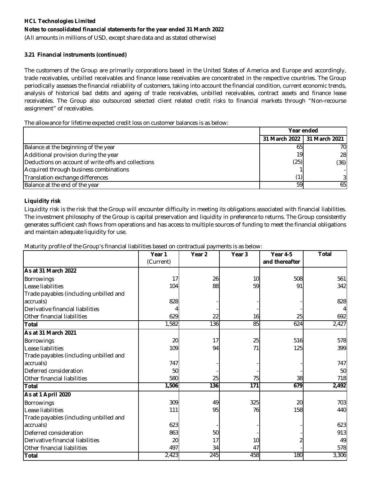### **Notes to consolidated financial statements for the year ended 31 March 2022**

(All amounts in millions of USD, except share data and as stated otherwise)

### **3.21 Financial instruments (continued)**

The customers of the Group are primarily corporations based in the United States of America and Europe and accordingly, trade receivables, unbilled receivables and finance lease receivables are concentrated in the respective countries. The Group periodically assesses the financial reliability of customers, taking into account the financial condition, current economic trends, analysis of historical bad debts and ageing of trade receivables, unbilled receivables, contract assets and finance lease receivables. The Group also outsourced selected client related credit risks to financial markets through "Non-recourse assignment" of receivables.

The allowance for lifetime expected credit loss on customer balances is as below:

|                                                     | Year ended                    |      |
|-----------------------------------------------------|-------------------------------|------|
|                                                     | 31 March 2022   31 March 2021 |      |
| Balance at the beginning of the year                | 65                            | 70I  |
| Additional provision during the year                | 19                            | 28   |
| Deductions on account of write offs and collections | (25)                          | (36) |
| Acquired through business combinations              |                               |      |
| Translation exchange differences                    | (1)                           | 31   |
| Balance at the end of the year                      | 59                            | 65I  |

### **Liquidity risk**

Liquidity risk is the risk that the Group will encounter difficulty in meeting its obligations associated with financial liabilities. The investment philosophy of the Group is capital preservation and liquidity in preference to returns. The Group consistently generates sufficient cash flows from operations and has access to multiple sources of funding to meet the financial obligations and maintain adequate liquidity for use.

Maturity profile of the Group's financial liabilities based on contractual payments is as below:

|                                        | Year 1    | Year <sub>2</sub> | Year <sub>3</sub> | Year 4-5       | <b>Total</b> |
|----------------------------------------|-----------|-------------------|-------------------|----------------|--------------|
|                                        | (Current) |                   |                   | and thereafter |              |
| <b>As at 31 March 2022</b>             |           |                   |                   |                |              |
| Borrowings                             | 17        | 26                | 10                | 508            | 561          |
| Lease liabilities                      | 104       | 88                | 59                | 91             | 342          |
| Trade payables (including unbilled and |           |                   |                   |                |              |
| accruals)                              | 828       |                   |                   |                | 828          |
| Derivative financial liabilities       |           |                   |                   |                |              |
| Other financial liabilities            | 629       | 22                | 16                | 25             | 692          |
| <b>Total</b>                           | 1,582     | 136               | 85                | 624            | 2,427        |
| As at 31 March 2021                    |           |                   |                   |                |              |
| Borrowings                             | 20        | 17                | 25                | 516            | 578          |
| Lease liabilities                      | 109       | 94                | 71                | 125            | 399          |
| Trade payables (including unbilled and |           |                   |                   |                |              |
| accruals)                              | 747       |                   |                   |                | 747          |
| Deferred consideration                 | 50        |                   |                   |                | 50           |
| Other financial liabilities            | 580       | 25                | 75                | 38             | 718          |
| <b>Total</b>                           | 1,506     | 136               | 171               | 679            | 2,492        |
| As at 1 April 2020                     |           |                   |                   |                |              |
| <b>Borrowings</b>                      | 309       | 49                | 325               | 20             | 703          |
| Lease liabilities                      | 111       | 95                | 76                | 158            | 440          |
| Trade payables (including unbilled and |           |                   |                   |                |              |
| accruals)                              | 623       |                   |                   |                | 623          |
| Deferred consideration                 | 863       | 50                |                   |                | 913          |
| Derivative financial liabilities       | 20        | 17                | 10                |                | 49           |
| Other financial liabilities            | 497       | 34                | 47                |                | 578          |
| <b>Total</b>                           | 2,423     | 245               | 458               | 180            | 3,306        |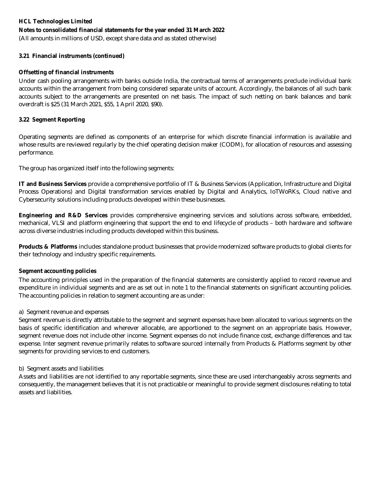### **Notes to consolidated financial statements for the year ended 31 March 2022**

(All amounts in millions of USD, except share data and as stated otherwise)

### **3.21 Financial instruments (continued)**

### **Offsetting of financial instruments**

Under cash pooling arrangements with banks outside India, the contractual terms of arrangements preclude individual bank accounts within the arrangement from being considered separate units of account. Accordingly, the balances of all such bank accounts subject to the arrangements are presented on net basis. The impact of such netting on bank balances and bank overdraft is \$25 (31 March 2021, \$55, 1 April 2020, \$90).

### **3.22 Segment Reporting**

Operating segments are defined as components of an enterprise for which discrete financial information is available and whose results are reviewed regularly by the chief operating decision maker (CODM), for allocation of resources and assessing performance.

The group has organized itself into the following segments:

**IT and Business Services** provide a comprehensive portfolio of IT & Business Services (Application, Infrastructure and Digital Process Operations) and Digital transformation services enabled by Digital and Analytics, IoTWoRKs, Cloud native and Cybersecurity solutions including products developed within these businesses.

**Engineering and R&D Services** provides comprehensive engineering services and solutions across software, embedded, mechanical, VLSI and platform engineering that support the end to end lifecycle of products – both hardware and software across diverse industries including products developed within this business.

**Products & Platforms** includes standalone product businesses that provide modernized software products to global clients for their technology and industry specific requirements.

### **Segment accounting policies**

The accounting principles used in the preparation of the financial statements are consistently applied to record revenue and expenditure in individual segments and are as set out in note 1 to the financial statements on significant accounting policies. The accounting policies in relation to segment accounting are as under:

### a) Segment revenue and expenses

Segment revenue is directly attributable to the segment and segment expenses have been allocated to various segments on the basis of specific identification and wherever allocable, are apportioned to the segment on an appropriate basis. However, segment revenue does not include other income. Segment expenses do not include finance cost, exchange differences and tax expense. Inter segment revenue primarily relates to software sourced internally from Products & Platforms segment by other segments for providing services to end customers.

### b) Segment assets and liabilities

Assets and liabilities are not identified to any reportable segments, since these are used interchangeably across segments and consequently, the management believes that it is not practicable or meaningful to provide segment disclosures relating to total assets and liabilities.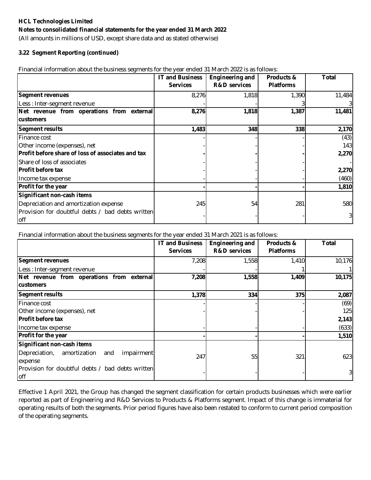(All amounts in millions of USD, except share data and as stated otherwise)

### **3.22 Segment Reporting (continued)**

Financial information about the business segments for the year ended 31 March 2022 is as follows:

|                                                   | <b>IT and Business</b> | <b>Engineering and</b>  | Products &       | <b>Total</b>   |
|---------------------------------------------------|------------------------|-------------------------|------------------|----------------|
|                                                   | <b>Services</b>        | <b>R&amp;D</b> services | <b>Platforms</b> |                |
| <b>Segment revenues</b>                           | 8,276                  | 1,818                   | 1,390            | 11,484         |
| Less : Inter-segment revenue                      |                        |                         |                  | 31             |
| Net revenue from operations from external         | 8,276                  | 1,818                   | 1,387            | 11,481         |
| <b>customers</b>                                  |                        |                         |                  |                |
| <b>Segment results</b>                            | 1,483                  | 348                     | 338              | 2,170          |
| Finance cost                                      |                        |                         |                  | (43)           |
| Other income (expenses), net                      |                        |                         |                  | 143            |
| Profit before share of loss of associates and tax |                        |                         |                  | 2,270          |
| Share of loss of associates                       |                        |                         |                  |                |
| <b>Profit before tax</b>                          |                        |                         |                  | 2,270          |
| Income tax expense                                |                        |                         |                  | (460)          |
| Profit for the year                               |                        |                         |                  | 1,810          |
| Significant non-cash items                        |                        |                         |                  |                |
| Depreciation and amortization expense             | 245                    | 54                      | 281              | 580            |
| Provision for doubtful debts / bad debts written  |                        |                         |                  | $\overline{3}$ |
| off                                               |                        |                         |                  |                |

Financial information about the business segments for the year ended 31 March 2021 is as follows:

|                                                         | <b>IT and Business</b><br><b>Services</b> | <b>Engineering and</b><br><b>R&amp;D</b> services | Products &<br><b>Platforms</b> | Total  |
|---------------------------------------------------------|-------------------------------------------|---------------------------------------------------|--------------------------------|--------|
| <b>Segment revenues</b>                                 | 7,208                                     | 1,558                                             | 1,410                          | 10,176 |
| Less : Inter-segment revenue                            |                                           |                                                   |                                |        |
| Net revenue from operations from external               | 7,208                                     | 1,558                                             | 1,409                          | 10,175 |
| <b>customers</b>                                        |                                           |                                                   |                                |        |
| <b>Segment results</b>                                  | 1,378                                     | 334                                               | 375                            | 2,087  |
| Finance cost                                            |                                           |                                                   |                                | (69)   |
| Other income (expenses), net                            |                                           |                                                   |                                | 125    |
| <b>Profit before tax</b>                                |                                           |                                                   |                                | 2,143  |
| Income tax expense                                      |                                           |                                                   |                                | (633)  |
| Profit for the year                                     |                                           |                                                   |                                | 1,510  |
| Significant non-cash items                              |                                           |                                                   |                                |        |
| amortization<br>Depreciation,<br>impairment<br>and      | 247                                       | 55                                                | 321                            | 623    |
| expense                                                 |                                           |                                                   |                                |        |
| Provision for doubtful debts / bad debts written<br>off |                                           |                                                   |                                |        |

Effective 1 April 2021, the Group has changed the segment classification for certain products businesses which were earlier reported as part of Engineering and R&D Services to Products & Platforms segment. Impact of this change is immaterial for operating results of both the segments. Prior period figures have also been restated to conform to current period composition of the operating segments.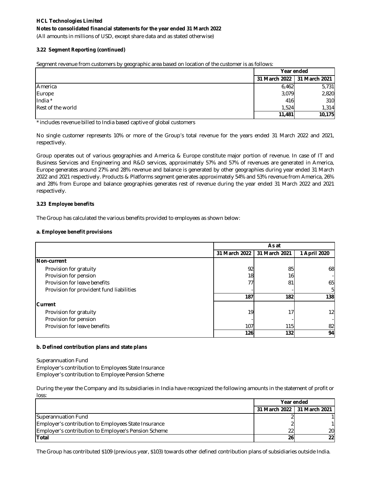(All amounts in millions of USD, except share data and as stated otherwise)

#### **3.22 Segment Reporting (continued)**

Segment revenue from customers by geographic area based on location of the customer is as follows:

|                   | Year ended                    |        |  |
|-------------------|-------------------------------|--------|--|
|                   | 31 March 2022   31 March 2021 |        |  |
| America           | 6,462                         | 5,731  |  |
| Europe            | 3,079                         | 2,820  |  |
| India *           | 416                           | 310    |  |
| Rest of the world | 1,524                         | 1,314  |  |
|                   | 11,481                        | 10,175 |  |

\* includes revenue billed to India based captive of global customers

No single customer represents 10% or more of the Group's total revenue for the years ended 31 March 2022 and 2021, respectively.

Group operates out of various geographies and America & Europe constitute major portion of revenue. In case of IT and Business Services and Engineering and R&D services, approximately 57% and 57% of revenues are generated in America, Europe generates around 27% and 28% revenue and balance is generated by other geographies during year ended 31 March 2022 and 2021 respectively. Products & Platforms segment generates approximately 54% and 53% revenue from America, 26% and 28% from Europe and balance geographies generates rest of revenue during the year ended 31 March 2022 and 2021 respectively.

#### **3.23 Employee benefits**

The Group has calculated the various benefits provided to employees as shown below:

#### **a. Employee benefit provisions**

|                                          |                 | As at         |                 |
|------------------------------------------|-----------------|---------------|-----------------|
|                                          | 31 March 2022   | 31 March 2021 | 1 April 2020    |
| Non-current                              |                 |               |                 |
| Provision for gratuity                   | 92 <sub>l</sub> | 85            | 68              |
| Provision for pension                    | 18              | 16            |                 |
| Provision for leave benefits             | 77              | 81            | 65              |
| Provision for provident fund liabilities |                 |               | 51              |
|                                          | 187             | 182           | 138             |
| <b>Current</b>                           |                 |               |                 |
| Provision for gratuity                   | 19              | 17            | 12 <sub>l</sub> |
| Provision for pension                    |                 |               |                 |
| Provision for leave benefits             | 107             | 115           | 82              |
|                                          | <b>126</b>      | 132           | 94              |

#### **b. Defined contribution plans and state plans**

Superannuation Fund Employer's contribution to Employees State Insurance Employer's contribution to Employee Pension Scheme

During the year the Company and its subsidiaries in India have recognized the following amounts in the statement of profit or loss:

|                                                             | Year ended |                               |
|-------------------------------------------------------------|------------|-------------------------------|
|                                                             |            | 31 March 2022   31 March 2021 |
| Superannuation Fund                                         |            |                               |
| Employer's contribution to Employees State Insurance        |            |                               |
| <b>Employer's contribution to Employee's Pension Scheme</b> | 22         | 20                            |
| <b>Total</b>                                                | <b>26</b>  | 22                            |

The Group has contributed \$109 (previous year, \$103) towards other defined contribution plans of subsidiaries outside India.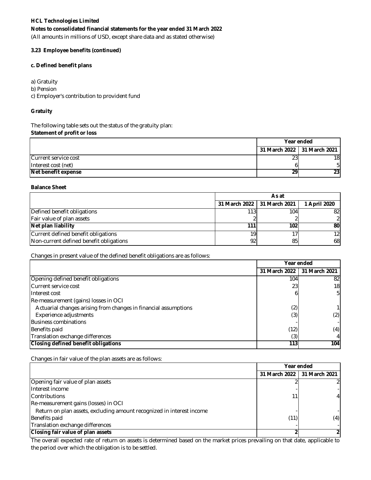### **Notes to consolidated financial statements for the year ended 31 March 2022**

(All amounts in millions of USD, except share data and as stated otherwise)

#### **3.23 Employee benefits (continued)**

#### **c. Defined benefit plans**

a) Gratuity

b) Pension

c) Employer's contribution to provident fund

#### **Gratuity**

**Statement of profit or loss** The following table sets out the status of the gratuity plan:

|                            | Year ended                    |                 |
|----------------------------|-------------------------------|-----------------|
|                            | 31 March 2022   31 March 2021 |                 |
| Current service cost       | 23                            | 18              |
| Interest cost (net)        |                               |                 |
| <b>Net benefit expense</b> | 29                            | 23 <sub>l</sub> |

#### **Balance Sheet**

|                                         | As at                         |                  |                 |
|-----------------------------------------|-------------------------------|------------------|-----------------|
|                                         | 31 March 2022   31 March 2021 |                  | April 2020      |
| Defined benefit obligations             | 113 <sub>1</sub>              | 104 <sub>1</sub> | 821             |
| Fair value of plan assets               |                               |                  |                 |
| Net plan liability                      | 111                           | 102              | 80              |
| Current defined benefit obligations     | 19                            |                  | 12 <sub>l</sub> |
| Non-current defined benefit obligations | 92                            | 85               | 68              |

Changes in present value of the defined benefit obligations are as follows:

|                                                                 | Year ended    |               |
|-----------------------------------------------------------------|---------------|---------------|
|                                                                 | 31 March 2022 | 31 March 2021 |
| Opening defined benefit obligations                             | 104           | 82            |
| Current service cost                                            | 23            | 18            |
| Interest cost                                                   |               | 51            |
| Re-measurement (gains) losses in OCI                            |               |               |
| Actuarial changes arising from changes in financial assumptions | (2)           |               |
| Experience adjustments                                          | (3)           | (2)           |
| <b>Business combinations</b>                                    |               |               |
| Benefits paid                                                   | (12)          | (4)           |
| Translation exchange differences                                | (3)           |               |
| Closing defined benefit obligations                             | 113           | 104           |

Changes in fair value of the plan assets are as follows:

|                                                                       | Year ended    |                |
|-----------------------------------------------------------------------|---------------|----------------|
|                                                                       | 31 March 2022 | 131 March 2021 |
| Opening fair value of plan assets                                     |               |                |
| Interest income                                                       |               |                |
| Contributions                                                         |               |                |
| Re-measurement gains (losses) in OCI                                  |               |                |
| Return on plan assets, excluding amount recognized in interest income |               |                |
| Benefits paid                                                         | (11)          | (4)            |
| Translation exchange differences                                      |               |                |
| <b>Closing fair value of plan assets</b>                              |               |                |

The overall expected rate of return on assets is determined based on the market prices prevailing on that date, applicable to the period over which the obligation is to be settled.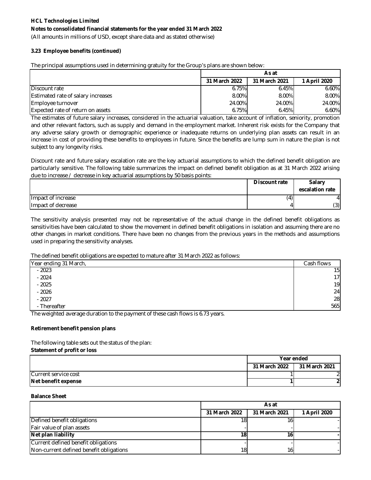(All amounts in millions of USD, except share data and as stated otherwise)

### **3.23 Employee benefits (continued)**

The principal assumptions used in determining gratuity for the Group's plans are shown below:

|                                    | As at         |               |              |
|------------------------------------|---------------|---------------|--------------|
|                                    | 31 March 2022 | 31 March 2021 | 1 April 2020 |
| Discount rate                      | 6.75%         | 6.45%         | 6.60%        |
| Estimated rate of salary increases | 8.00%         | $8.00\%$      | 8.00%        |
| Employee turnover                  | 24.00%        | 24.00%        | 24.00%       |
| Expected rate of return on assets  | 6.75%         | 6.45%         | 6.60%        |

The estimates of future salary increases, considered in the actuarial valuation, take account of inflation, seniority, promotion and other relevant factors, such as supply and demand in the employment market. Inherent risk exists for the Company that any adverse salary growth or demographic experience or inadequate returns on underlying plan assets can result in an increase in cost of providing these benefits to employees in future. Since the benefits are lump sum in nature the plan is not subject to any longevity risks.

Discount rate and future salary escalation rate are the key actuarial assumptions to which the defined benefit obligation are particularly sensitive. The following table summarizes the impact on defined benefit obligation as at 31 March 2022 arising due to increase / decrease in key actuarial assumptions by 50 basis points:

|                    | <b>Discount rate</b> | <b>Salary</b><br>escalation rate |
|--------------------|----------------------|----------------------------------|
| Impact of increase | (4)                  | 4                                |
| Impact of decrease |                      | (3)                              |

The sensitivity analysis presented may not be representative of the actual change in the defined benefit obligations as sensitivities have been calculated to show the movement in defined benefit obligations in isolation and assuming there are no other changes in market conditions. There have been no changes from the previous years in the methods and assumptions used in preparing the sensitivity analyses.

### The defined benefit obligations are expected to mature after 31 March 2022 as follows:

| Cash flows      |
|-----------------|
| 15              |
| 17 <sub>1</sub> |
| 19              |
| 24              |
| 28              |
| 565             |
|                 |

The weighted average duration to the payment of these cash flows is 6.73 years.

### **Retirement benefit pension plans**

**Statement of profit or loss** The following table sets out the status of the plan:

|                      | Year ended    |               |
|----------------------|---------------|---------------|
|                      | 31 March 2022 | 31 March 2021 |
| Current service cost |               |               |
| Net benefit expense  |               |               |

#### **Balance Sheet**

|                                         | As at         |                 |              |
|-----------------------------------------|---------------|-----------------|--------------|
|                                         | 31 March 2022 | 31 March 2021   | 1 April 2020 |
| Defined benefit obligations             | 18.           |                 |              |
| Fair value of plan assets               |               |                 |              |
| Net plan liability                      | 18.           |                 |              |
| Current defined benefit obligations     |               |                 |              |
| Non-current defined benefit obligations | 18            | 16 <sub>1</sub> |              |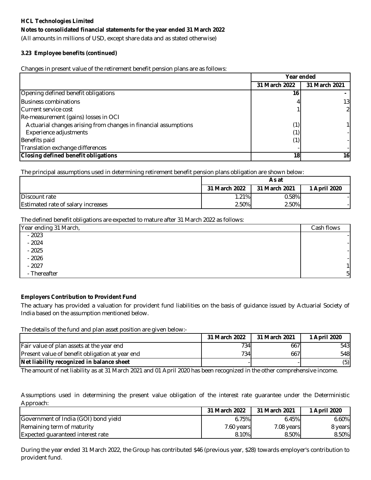### **Notes to consolidated financial statements for the year ended 31 March 2022**

(All amounts in millions of USD, except share data and as stated otherwise)

### **3.23 Employee benefits (continued)**

Changes in present value of the retirement benefit pension plans are as follows:

|                                                                 | Year ended    |               |
|-----------------------------------------------------------------|---------------|---------------|
|                                                                 | 31 March 2022 | 31 March 2021 |
| Opening defined benefit obligations                             | 16            |               |
| <b>Business combinations</b>                                    |               | 13I           |
| Current service cost                                            |               |               |
| Re-measurement (gains) losses in OCI                            |               |               |
| Actuarial changes arising from changes in financial assumptions | (1)           |               |
| Experience adjustments                                          |               |               |
| Benefits paid                                                   | (1)           |               |
| Translation exchange differences                                |               |               |
| <b>Closing defined benefit obligations</b>                      | 18            | 16            |

The principal assumptions used in determining retirement benefit pension plans obligation are shown below:

|                                    | As at         |               |              |
|------------------------------------|---------------|---------------|--------------|
|                                    | 31 March 2022 | 31 March 2021 | 1 April 2020 |
| Discount rate                      | 1.21%         | 0.58%         |              |
| Estimated rate of salary increases | 2.50%         | 2.50%         |              |

The defined benefit obligations are expected to mature after 31 March 2022 as follows:

| Year ending 31 March, | Cash flows     |
|-----------------------|----------------|
| $-2023$               |                |
| $-2024$               |                |
| $-2025$               |                |
| $-2026$               |                |
| $-2027$               |                |
| - Thereafter          | 5 <sub>l</sub> |

### **Employers Contribution to Provident Fund**

The actuary has provided a valuation for provident fund liabilities on the basis of guidance issued by Actuarial Society of India based on the assumption mentioned below.

The details of the fund and plan asset position are given below:-

|                                                 | 31 March 2022    | 31 March 2021 | 1 April 2020 |
|-------------------------------------------------|------------------|---------------|--------------|
| Fair value of plan assets at the year end       | 734              | 667           | 543          |
| Present value of benefit obligation at year end | 734 <sub>1</sub> | 667           | 548          |
| Net liability recognized in balance sheet       |                  |               | (5)          |

The amount of net liability as at 31 March 2021 and 01 April 2020 has been recognized in the other comprehensive income.

Assumptions used in determining the present value obligation of the interest rate guarantee under the Deterministic Approach:

|                                      | 31 March 2022 | 31 March 2021 | 1 April 2020 |
|--------------------------------------|---------------|---------------|--------------|
| Government of India (GOI) bond yield | 6.75%         | 6.45%         | 6.60%        |
| Remaining term of maturity           | 7.60 years    | 7.08 years    | 8 years      |
| Expected guaranteed interest rate    | 8.10%         | 8.50%         | 8.50%        |

During the year ended 31 March 2022, the Group has contributed \$46 (previous year, \$28) towards employer's contribution to provident fund.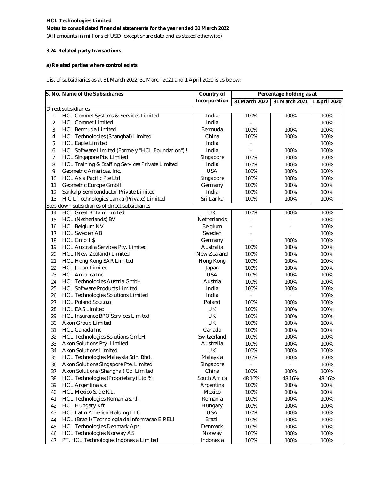(All amounts in millions of USD, except share data and as stated otherwise)

### **3.24 Related party transactions**

### **a) Related parties where control exists**

List of subsidiaries as at 31 March 2022, 31 March 2021 and 1 April 2020 is as below:

|                | S. No. Name of the Subsidiaries                                       | <b>Country of</b>     | Percentage holding as at |                              |              |
|----------------|-----------------------------------------------------------------------|-----------------------|--------------------------|------------------------------|--------------|
|                |                                                                       | Incorporation         | 31 March 2022            | 31 March 2021   1 April 2020 |              |
|                | Direct subsidiaries                                                   |                       |                          |                              |              |
| 1              | <b>HCL Comnet Systems &amp; Services Limited</b>                      | India                 | 100%                     | 100%                         | 100%         |
| $\overline{2}$ | <b>HCL Comnet Limited</b>                                             | India                 |                          |                              | 100%         |
| 3              | <b>HCL Bermuda Limited</b>                                            | Bermuda               | 100%                     | 100%                         | 100%         |
| 4              | HCL Technologies (Shanghai) Limited                                   | China                 | 100%                     | 100%                         | 100%         |
| 5              | <b>HCL Eagle Limited</b>                                              | India                 |                          |                              | 100%         |
| 6              | HCL Software Limited (Formely "HCL Foundation") !                     | India                 |                          | 100%                         | 100%         |
| $\overline{7}$ | <b>HCL Singapore Pte. Limited</b>                                     | Singapore             | 100%                     | 100%                         | 100%         |
| 8              | HCL Training & Staffing Services Private Limited                      | India                 | 100%                     | 100%                         | 100%         |
| 9              | Geometric Americas, Inc.                                              | <b>USA</b>            | 100%                     | 100%                         | 100%         |
| 10             | <b>HCL Asia Pacific Pte Ltd.</b>                                      | Singapore             | 100%                     | 100%                         | 100%         |
| 11             | Geometric Europe GmbH                                                 | Germany               | 100%                     | 100%                         | 100%         |
| 12             | Sankalp Semiconductor Private Limited                                 | India                 | 100%                     | 100%                         | 100%         |
| 13             | H C L Technologies Lanka (Private) Limited                            | Sri Lanka             | 100%                     | 100%                         | 100%         |
|                | Step down subsidiaries of direct subsidiaries                         |                       |                          |                              |              |
| 14             | <b>HCL Great Britain Limited</b>                                      | UK                    | 100%                     | 100%                         | 100%         |
| 15             | <b>HCL (Netherlands) BV</b>                                           | Netherlands           |                          |                              | 100%         |
| 16             | <b>HCL Belgium NV</b>                                                 | Belgium               | ÷,                       |                              | 100%         |
| 17             | <b>HCL Sweden AB</b>                                                  | Sweden                |                          |                              | 100%         |
| 18             | <b>HCL GmbH \$</b>                                                    | Germany               |                          | 100%                         | 100%         |
| 19             | <b>HCL Australia Services Pty. Limited</b>                            | Australia             | 100%                     | 100%                         | 100%         |
| 20             | HCL (New Zealand) Limited                                             | New Zealand           | 100%                     | 100%                         | 100%         |
| 21             | <b>HCL Hong Kong SAR Limited</b>                                      | Hong Kong             | 100%                     | 100%                         | 100%         |
| 22             | <b>HCL Japan Limited</b>                                              | Japan                 | 100%                     | 100%                         | 100%         |
| 23             | <b>HCL America Inc.</b>                                               | <b>USA</b>            | 100%                     | 100%                         | 100%         |
| 24             | HCL Technologies Austria GmbH                                         | Austria               | 100%                     | 100%                         | 100%         |
| 25             | <b>HCL Software Products Limited</b>                                  | India                 | 100%                     | 100%                         | 100%         |
| 26             | <b>HCL Technologies Solutions Limited</b>                             | India                 |                          |                              | 100%         |
| 27             | HCL Poland Sp.z.o.o                                                   | Poland                | 100%                     | 100%                         | 100%         |
| 28             | <b>HCL EAS Limited</b>                                                | UK                    | 100%                     | 100%                         | 100%         |
|                | <b>HCL Insurance BPO Services Limited</b>                             | UK                    |                          |                              | 100%         |
| 29<br>30       | Axon Group Limited                                                    | UK                    | 100%                     | 100%                         |              |
|                |                                                                       |                       | 100%                     | 100%                         | 100%<br>100% |
| 31             | HCL Canada Inc.                                                       | Canada<br>Switzerland | 100%                     | 100%                         |              |
| 32             | <b>HCL Technologies Solutions GmbH</b><br>Axon Solutions Pty. Limited |                       | 100%                     | 100%                         | 100%         |
| 33             |                                                                       | Australia             | 100%                     | 100%                         | 100%         |
| 34             | <b>Axon Solutions Limited</b>                                         | UK                    | 100%                     | 100%                         | 100%         |
| 35             | HCL Technologies Malaysia Sdn. Bhd.                                   | Malaysia              | 100%                     | 100%                         | 100%         |
| 36             | Axon Solutions Singapore Pte. Limited                                 | Singapore             | $\overline{\phantom{a}}$ | $\overline{a}$               | 100%         |
| 37             | Axon Solutions (Shanghai) Co. Limited                                 | China                 | 100%                     | 100%                         | 100%         |
| 38             | HCL Technologies (Proprietary) Ltd %                                  | South Africa          | 48.16%                   | 48.16%                       | 48.16%       |
| 39             | HCL Argentina s.a.                                                    | Argentina             | 100%                     | 100%                         | 100%         |
| 40             | HCL Mexico S. de R.L.                                                 | Mexico                | 100%                     | 100%                         | 100%         |
| 41             | HCL Technologies Romania s.r.l.                                       | Romania               | 100%                     | 100%                         | 100%         |
| 42             | <b>HCL Hungary Kft</b>                                                | Hungary               | 100%                     | 100%                         | 100%         |
| 43             | <b>HCL Latin America Holding LLC</b>                                  | <b>USA</b>            | 100%                     | 100%                         | 100%         |
| 44             | HCL (Brazil) Technologia da informacao EIRELI                         | Brazil                | 100%                     | 100%                         | 100%         |
| 45             | <b>HCL Technologies Denmark Aps</b>                                   | Denmark               | 100%                     | 100%                         | 100%         |
| 46             | <b>HCL Technologies Norway AS</b>                                     | Norway                | 100%                     | 100%                         | 100%         |
| 47             | PT. HCL Technologies Indonesia Limited                                | Indonesia             | 100%                     | 100%                         | 100%         |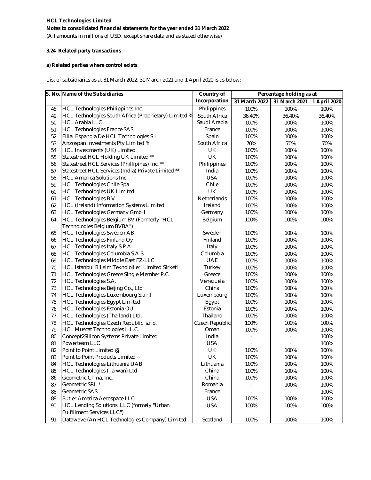(All amounts in millions of USD, except share data and as stated otherwise)

### **3.24 Related party transactions**

### **a) Related parties where control exists**

List of subsidiaries as at 31 March 2022, 31 March 2021 and 1 April 2020 is as below:

|    | S. No. Name of the Subsidiaries                       | <b>Country of</b> |               | Percentage holding as at |              |
|----|-------------------------------------------------------|-------------------|---------------|--------------------------|--------------|
|    |                                                       | Incorporation     | 31 March 2022 | 31 March 2021            | 1 April 2020 |
| 48 | HCL Technologies Philippines Inc.                     | Philippines       | 100%          | 100%                     | 100%         |
| 49 | HCL Technologies South Africa (Proprietary) Limited % | South Africa      | 36.40%        | 36.40%                   | 36.40%       |
| 50 | <b>HCL Arabia LLC</b>                                 | Saudi Arabia      | 100%          | 100%                     | 100%         |
| 51 | <b>HCL Technologies France SAS</b>                    | France            | 100%          | 100%                     | 100%         |
| 52 | Filial Espanola De HCL Technologies S.L               | Spain             | 100%          | 100%                     | 100%         |
| 53 | Anzospan Investments Pty Limited %                    | South Africa      | 70%           | 70%                      | 70%          |
| 54 | HCL Investments (UK) Limited                          | UK                | 100%          | 100%                     | 100%         |
| 55 | Statestreet HCL Holding UK Limited **                 | <b>UK</b>         | 100%          | 100%                     | 100%         |
| 56 | Statestreet HCL Services (Phillipines) Inc. **        | Philippines       | 100%          | 100%                     | 100%         |
| 57 | Statestreet HCL Services (India) Private Limited **   | India             | 100%          | 100%                     | 100%         |
| 58 | <b>HCL America Solutions Inc.</b>                     | <b>USA</b>        | 100%          | 100%                     | 100%         |
| 59 | <b>HCL Technologies Chile Spa</b>                     | Chile             | 100%          | 100%                     | 100%         |
| 60 | <b>HCL Technologies UK Limited</b>                    | UK                | 100%          | 100%                     | 100%         |
| 61 | HCL Technologies B.V.                                 | Netherlands       | 100%          | 100%                     | 100%         |
| 62 | HCL (Ireland) Information Systems Limited             | Ireland           | 100%          | 100%                     | 100%         |
| 63 | <b>HCL Technologies Germany GmbH</b>                  | Germany           | 100%          | 100%                     | 100%         |
| 64 | HCL Technologies Belgium BV (Formerly "HCL            | Belgium           | 100%          | 100%                     | 100%         |
|    | Technologies Belgium BVBA")                           |                   |               |                          |              |
| 65 | <b>HCL Technologies Sweden AB</b>                     | Sweden            | 100%          | 100%                     | 100%         |
| 66 | <b>HCL Technologies Finland Oy</b>                    | Finland           | 100%          | 100%                     | 100%         |
| 67 | <b>HCL Technologies Italy S.P.A</b>                   | Italy             | 100%          | 100%                     | 100%         |
| 68 | HCL Technologies Columbia S.A.S                       | Columbia          | 100%          | 100%                     | 100%         |
| 69 | HCL Technologies Middle East FZ-LLC                   | <b>UAE</b>        | 100%          | 100%                     | 100%         |
| 70 | HCL Istanbul Bilisim Teknolojileri Limited Sirketi    | Turkey            | 100%          | 100%                     | 100%         |
| 71 | HCL Technologies Greece Single Member P.C             | Greece            | 100%          | 100%                     | 100%         |
| 72 | <b>HCL Technologies S.A.</b>                          | Venezuela         | 100%          | 100%                     | 100%         |
| 73 | HCL Technologies Beijing Co., Ltd                     | China             | 100%          | 100%                     | 100%         |
| 74 | HCL Technologies Luxembourg S.a r.l                   | Luxembourg        | 100%          | 100%                     | 100%         |
| 75 | <b>HCL Technologies Egypt Limited</b>                 | Egypt             | 100%          | 100%                     | 100%         |
| 76 | HCL Technologies Estonia OÜ                           | Estonia           | 100%          | 100%                     | 100%         |
| 77 | HCL Technologies (Thailand) Ltd.                      | Thailand          | 100%          | 100%                     | 100%         |
| 78 | HCL Technologies Czech Republic s.r.o.                | Czech Republic    | 100%          | 100%                     | 100%         |
| 79 | HCL Muscat Technologies L.L.C.                        | Oman              | 100%          | 100%                     | 100%         |
| 80 | Concept2Silicon Systems Private Limited               | India             |               |                          | 100%         |
| 81 | Powerteam LLC                                         | <b>USA</b>        |               |                          | 100%         |
| 82 | Point to Point Limited @                              | UK                | 100%          | 100%                     | 100%         |
| 83 | Point to Point Products Limited ~                     | UK                | 100%          | 100%                     | 100%         |
| 84 | HCL Technologies Lithuania UAB                        | Lithuania         | 100%          | 100%                     | 100%         |
| 85 | HCL Technologies (Taiwan) Ltd.                        | China             | 100%          | 100%                     | 100%         |
| 86 | Geometric China, Inc.                                 | China             | 100%          | 100%                     | 100%         |
| 87 | Geometric SRL *                                       | Romania           |               | 100%                     | 100%         |
| 88 | Geometric SAS                                         | France            |               |                          | 100%         |
| 89 | <b>Butler America Aerospace LLC</b>                   | <b>USA</b>        | 100%          | 100%                     | 100%         |
| 90 | HCL Lending Solutions, LLC (formely "Urban            | <b>USA</b>        | 100%          | 100%                     | 100%         |
|    | <b>Fulfillment Services LLC")</b>                     |                   |               |                          |              |
| 91 | Datawave (An HCL Technologies Company) Limited        | Scotland          | 100%          | 100%                     | 100%         |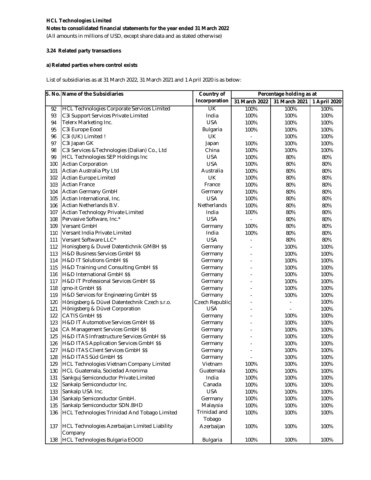(All amounts in millions of USD, except share data and as stated otherwise)

#### **3.24 Related party transactions**

### **a) Related parties where control exists**

List of subsidiaries as at 31 March 2022, 31 March 2021 and 1 April 2020 is as below:

|     | S. No. Name of the Subsidiaries                    | Country of               | Percentage holding as at |               |              |
|-----|----------------------------------------------------|--------------------------|--------------------------|---------------|--------------|
|     |                                                    | Incorporation            | 31 March 2022            | 31 March 2021 | 1 April 2020 |
| 92  | <b>HCL Technologies Corporate Services Limited</b> | $\overline{\mathsf{CK}}$ | 100%                     | 100%          | 100%         |
| 93  | C3i Support Services Private Limited               | India                    | 100%                     | 100%          | 100%         |
| 94  | Telerx Marketing Inc.                              | <b>USA</b>               | 100%                     | 100%          | 100%         |
| 95  | C3i Europe Eood                                    | Bulgaria                 | 100%                     | 100%          | 100%         |
| 96  | C3i (UK) Limited !                                 | <b>UK</b>                |                          | 100%          | 100%         |
| 97  | C3i Japan GK                                       | Japan                    | 100%                     | 100%          | 100%         |
| 98  | C3i Services & Technologies (Dalian) Co., Ltd      | China                    | 100%                     | 100%          | 100%         |
| 99  | <b>HCL Technologies SEP Holdings Inc</b>           | <b>USA</b>               | 100%                     | 80%           | 80%          |
| 100 | <b>Actian Corporation</b>                          | <b>USA</b>               | 100%                     | 80%           | 80%          |
| 101 | Actian Australia Pty Ltd                           | Australia                | 100%                     | 80%           | 80%          |
| 102 | <b>Actian Europe Limited</b>                       | UK                       | 100%                     | 80%           | 80%          |
| 103 | <b>Actian France</b>                               | France                   | 100%                     | 80%           | 80%          |
| 104 | Actian Germany GmbH                                | Germany                  | 100%                     | 80%           | 80%          |
| 105 | Actian International, Inc.                         | <b>USA</b>               | 100%                     | 80%           | 80%          |
| 106 | Actian Netherlands B.V.                            | Netherlands              | 100%                     | 80%           | 80%          |
| 107 | Actian Technology Private Limited                  | India                    | 100%                     | 80%           | 80%          |
| 108 | Pervasive Software, Inc.*                          | <b>USA</b>               |                          | 80%           | 80%          |
| 109 | Versant GmbH                                       | Germany                  | 100%                     | 80%           | 80%          |
| 110 | Versant India Private Limited                      | India                    | 100%                     | 80%           | 80%          |
| 111 | Versant Software LLC*                              | <b>USA</b>               |                          | 80%           | 80%          |
| 112 | Honisgberg & Duvel Datentichnik GMBH \$\$          | Germany                  |                          | 100%          | 100%         |
| 113 | <b>H&amp;D Business Services GmbH \$\$</b>         | Germany                  |                          | 100%          | 100%         |
| 114 | H&D IT Solutions GmbH \$\$                         | Germany                  |                          | 100%          | 100%         |
| 115 | H&D Training und Consulting GmbH \$\$              | Germany                  |                          | 100%          | 100%         |
| 116 | H&D International GmbH \$\$                        | Germany                  |                          | 100%          | 100%         |
| 117 | H&D IT Professional Services GmbH \$\$             | Germany                  |                          | 100%          | 100%         |
| 118 | qmo-it GmbH \$\$                                   | Germany                  |                          | 100%          | 100%         |
| 119 | H&D Services for Engineering GmbH \$\$             | Germany                  |                          | 100%          | 100%         |
| 120 | Hönigsberg & Düvel Datentechnik Czech s.r.o.       | Czech Republic           |                          |               | 100%         |
| 121 | Hönigsberg & Düvel Corporation                     | <b>USA</b>               |                          |               | 100%         |
| 122 | CATIS GmbH \$\$                                    | Germany                  |                          | 100%          | 100%         |
| 123 | H&D IT Automotive Services GmbH \$\$               | Germany                  |                          | 100%          | 100%         |
| 124 | CA Management Services GmbH \$\$                   | Germany                  |                          | 100%          | 100%         |
| 125 | H&D ITAS Infrastructure Services GmbH \$\$         | Germany                  |                          | 100%          | 100%         |
| 126 | H&D ITAS Application Services GmbH \$\$            | Germany                  |                          | 100%          | 100%         |
| 127 | H&D ITAS Client Services GmbH \$\$                 | Germany                  |                          | 100%          | 100%         |
| 128 | H&D ITAS Süd GmbH \$\$                             | Germany                  |                          | 100%          | 100%         |
| 129 | HCL Technologies Vietnam Company Limited           | Vietnam                  | 100%                     | 100%          | 100%         |
| 130 | HCL Guatemala, Sociedad Anonima                    | Guatemala                | 100%                     | 100%          | 100%         |
| 131 | Sankguj Semiconductor Private Limited              | India                    | 100%                     | 100%          | 100%         |
| 132 | Sankalp Semiconductor Inc.                         | Canada                   | 100%                     | 100%          | 100%         |
| 133 | Sankalp USA Inc.                                   | <b>USA</b>               | 100%                     | 100%          | 100%         |
| 134 | Sankalp Semiconductor GmbH.                        | Germany                  | 100%                     | 100%          | 100%         |
| 135 | Sankalp Semiconductor SDN.BHD                      | Malaysia                 | 100%                     | 100%          | 100%         |
| 136 | HCL Technologies Trinidad And Tobago Limited       | Trinidad and<br>Tobago   | 100%                     | 100%          | 100%         |
| 137 | HCL Technologies Azerbaijan Limited Liability      | Azerbaijan               | 100%                     | 100%          | 100%         |
|     | Company                                            |                          |                          |               |              |
| 138 | <b>HCL Technologies Bulgaria EOOD</b>              | Bulgaria                 | 100%                     | 100%          | 100%         |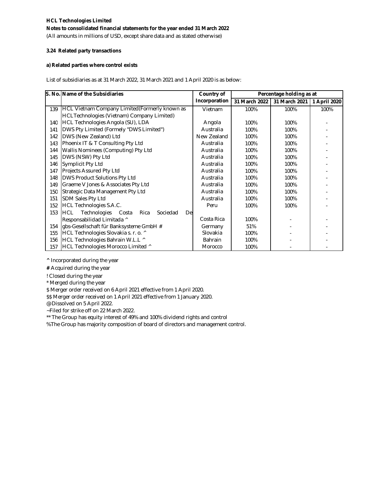(All amounts in millions of USD, except share data and as stated otherwise)

#### **3.24 Related party transactions**

#### **a) Related parties where control exists**

List of subsidiaries as at 31 March 2022, 31 March 2021 and 1 April 2020 is as below:

|     | S. No. Name of the Subsidiaries                      | Country of    |               | Percentage holding as at |              |
|-----|------------------------------------------------------|---------------|---------------|--------------------------|--------------|
|     |                                                      | Incorporation | 31 March 2022 | 31 March 2021            | 1 April 2020 |
| 139 | HCL Vietnam Company Limited (Formerly known as       | Vietnam       | 100%          | 100%                     | 100%         |
|     | HCLTechnologies (Vietnam) Company Limited)           |               |               |                          |              |
| 140 | HCL Technologies Angola (SU), LDA                    | Angola        | 100%          | 100%                     |              |
| 141 | DWS Pty Limited (Formely "DWS Limited")              | Australia     | 100%          | 100%                     |              |
| 142 | DWS (New Zealand) Ltd                                | New Zealand   | 100%          | 100%                     |              |
| 143 | Phoenix IT & T Consulting Pty Ltd                    | Australia     | 100%          | 100%                     |              |
| 144 | Wallis Nominees (Computing) Pty Ltd                  | Australia     | 100%          | 100%                     |              |
| 145 | DWS (NSW) Pty Ltd                                    | Australia     | 100%          | 100%                     |              |
| 146 | Symplicit Pty Ltd                                    | Australia     | 100%          | 100%                     |              |
| 147 | Projects Assured Pty Ltd                             | Australia     | 100%          | 100%                     |              |
| 148 | DWS Product Solutions Pty Ltd                        | Australia     | 100%          | 100%                     |              |
| 149 | Graeme V Jones & Associates Pty Ltd                  | Australia     | 100%          | 100%                     |              |
| 150 | Strategic Data Management Pty Ltd                    | Australia     | 100%          | 100%                     |              |
| 151 | SDM Sales Pty Ltd                                    | Australia     | 100%          | 100%                     |              |
| 152 | <b>HCL Technologies S.A.C.</b>                       | Peru          | 100%          | 100%                     |              |
| 153 | Technologies Costa<br>HCL<br>Rica<br>Sociedad<br>Del |               |               |                          |              |
|     | Responsabilidad Limitada ^                           | Costa Rica    | 100%          |                          |              |
| 154 | gbs-Gesellschaft für Banksysteme GmbH #              | Germany       | 51%           |                          |              |
| 155 | HCL Technologies Slovakia s. r. o. ^                 | Slovakia      | 100%          |                          |              |
| 156 | HCL Technologies Bahrain W.L.L ^                     | Bahrain       | 100%          |                          |              |
| 157 | HCL Technologies Morocco Limited ^                   | Morocco       | 100%          |                          |              |

**^** Incorporated during the year

**#** Acquired during the year

! Closed during the year

\* Merged during the year

\$ Merger order received on 6 April 2021 effective from 1 April 2020.

\$\$ Merger order received on 1 April 2021 effective from 1 January 2020.

@ Dissolved on 5 April 2022.

~Filed for strike off on 22 March 2022.

\*\* The Group has equity interest of 49% and 100% dividend rights and control

%The Group has majority composition of board of directors and management control.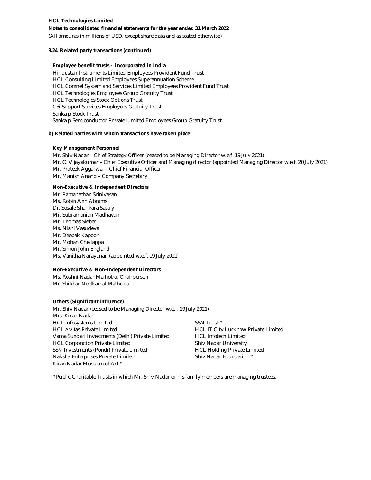**Notes to consolidated financial statements for the year ended 31 March 2022**

(All amounts in millions of USD, except share data and as stated otherwise)

#### **3.24 Related party transactions (continued)**

#### **Employee benefit trusts - incorporated in India**

Hindustan Instruments Limited Employees Provident Fund Trust HCL Consulting Limited Employees Superannuation Scheme HCL Comnet System and Services Limited Employees Provident Fund Trust HCL Technologies Employees Group Gratuity Trust HCL Technologies Stock Options Trust C3i Support Services Employees Gratuity Trust Sankalp Stock Trust Sankalp Semiconductor Private Limited Employees Group Gratuity Trust

#### **b) Related parties with whom transactions have taken place**

#### **Key Management Personnel**

Mr. Shiv Nadar – Chief Strategy Officer (ceased to be Managing Director w.e.f. 19 July 2021) Mr. Prateek Aggarwal – Chief Financial Officer Mr. Manish Anand – Company Secretary Mr. C. Vijayakumar – Chief Executive Officer and Managing director (appointed Managing Director w.e.f. 20 July 2021)

#### **Non-Executive & Independent Directors**

Mr. Ramanathan Srinivasan Ms. Robin Ann Abrams Dr. Sosale Shankara Sastry Mr. Subramanian Madhavan Mr. Thomas Sieber Ms. Nishi Vasudeva Mr. Deepak Kapoor Mr. Mohan Chellappa Mr. Simon John England Ms. Vanitha Narayanan (appointed w.e.f. 19 July 2021)

#### **Non-Executive & Non-Independent Directors**

Ms. Roshni Nadar Malhotra, Chairperson Mr. Shikhar Neelkamal Malhotra

#### **Others (Significant influence)**

Mr. Shiv Nadar (ceased to be Managing Director w.e.f. 19 July 2021) Mrs. Kiran Nadar HCL Infosystems Limited SSN Trust \* HCL Avitas Private Limited **HCL Avitas Private Limited HCL IT City Lucknow Private Limited** Vama Sundari Investments (Delhi) Private Limited HCL Infotech Limited HCL Corporation Private Limited Shiv Nadar University SSN Investments (Pondi) Private Limited HCL Holding Private Limited Naksha Enterprises Private Limited Shiv Nadar Foundation \* Kiran Nadar Musuem of Art \*

\* Public Charitable Trusts in which Mr. Shiv Nadar or his family members are managing trustees.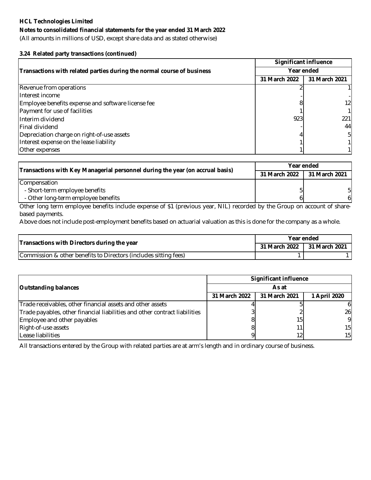### **Notes to consolidated financial statements for the year ended 31 March 2022**

(All amounts in millions of USD, except share data and as stated otherwise)

### **3.24 Related party transactions (continued)**

|                                                                        | <b>Significant influence</b> |               |  |
|------------------------------------------------------------------------|------------------------------|---------------|--|
| Transactions with related parties during the normal course of business | Year ended                   |               |  |
|                                                                        | 31 March 2022                | 31 March 2021 |  |
| Revenue from operations                                                |                              |               |  |
| Interest income                                                        |                              |               |  |
| Employee benefits expense and software license fee                     |                              | 121           |  |
| Payment for use of facilities                                          |                              |               |  |
| Interim dividend                                                       | 923                          | 221           |  |
| <b>Final dividend</b>                                                  |                              | 44            |  |
| Depreciation charge on right-of-use assets                             |                              | 51            |  |
| Interest expense on the lease liability                                |                              |               |  |
| Other expenses                                                         |                              |               |  |

| Transactions with Key Managerial personnel during the year (on accrual basis) | Year ended    |               |
|-------------------------------------------------------------------------------|---------------|---------------|
|                                                                               | 31 March 2022 | 31 March 2021 |
| Compensation                                                                  |               |               |
| - Short-term employee benefits                                                |               |               |
| - Other long-term employee benefits                                           |               | 61            |

Other long term employee benefits include expense of \$1 (previous year, NIL) recorded by the Group on account of sharebased payments.

Above does not include post-employment benefits based on actuarial valuation as this is done for the company as a whole.

| Transactions with Directors during the year                      | Year ended    |                      |  |
|------------------------------------------------------------------|---------------|----------------------|--|
|                                                                  | 31 March 2022 | <b>31 March 2021</b> |  |
| Commission & other benefits to Directors (includes sitting fees) |               |                      |  |

|                                                                            | <b>Significant influence</b> |               |                 |  |
|----------------------------------------------------------------------------|------------------------------|---------------|-----------------|--|
| <b>Outstanding balances</b>                                                | As at                        |               |                 |  |
|                                                                            | 31 March 2022                | 31 March 2021 | 1 April 2020    |  |
| Trade receivables, other financial assets and other assets                 |                              |               |                 |  |
| Trade payables, other financial liabilities and other contract liabilities |                              |               | 26              |  |
| Employee and other payables                                                |                              | 151           | 9               |  |
| Right-of-use assets                                                        |                              |               | 15 <sup>1</sup> |  |
| Lease liabilities                                                          |                              |               | 15              |  |

All transactions entered by the Group with related parties are at arm's length and in ordinary course of business.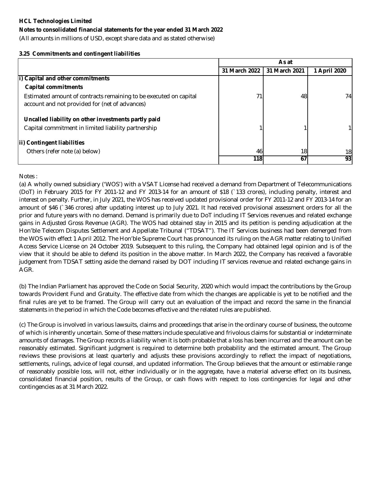### **Notes to consolidated financial statements for the year ended 31 March 2022**

(All amounts in millions of USD, except share data and as stated otherwise)

### **3.25 Commitments and contingent liabilities**

|                                                                                                                     |               | As at         |              |  |
|---------------------------------------------------------------------------------------------------------------------|---------------|---------------|--------------|--|
|                                                                                                                     | 31 March 2022 | 31 March 2021 | 1 April 2020 |  |
| i) Capital and other commitments                                                                                    |               |               |              |  |
| <b>Capital commitments</b>                                                                                          |               |               |              |  |
| Estimated amount of contracts remaining to be executed on capital<br>account and not provided for (net of advances) |               | 48            | 74           |  |
| Uncalled liability on other investments partly paid                                                                 |               |               |              |  |
| Capital commitment in limited liability partnership                                                                 |               |               |              |  |
| ii) Contingent liabilities                                                                                          |               |               |              |  |
| Others (refer note (a) below)                                                                                       | 46            | 18            | 18           |  |
|                                                                                                                     | 118l          | 67            | 931          |  |

Notes :

(a) A wholly owned subsidiary ('WOS') with a VSAT License had received a demand from Department of Telecommunications (DoT) in February 2015 for FY 2011-12 and FY 2013-14 for an amount of \$18 (`133 crores), including penalty, interest and interest on penalty. Further, in July 2021, the WOS has received updated provisional order for FY 2011-12 and FY 2013-14 for an amount of \$46 (`346 crores) after updating interest up to July 2021. It had received provisional assessment orders for all the prior and future years with no demand. Demand is primarily due to DoT including IT Services revenues and related exchange gains in Adjusted Gross Revenue (AGR). The WOS had obtained stay in 2015 and its petition is pending adjudication at the Hon'ble Telecom Disputes Settlement and Appellate Tribunal ("TDSAT"). The IT Services business had been demerged from the WOS with effect 1 April 2012. The Hon'ble Supreme Court has pronounced its ruling on the AGR matter relating to Unified Access Service License on 24 October 2019. Subsequent to this ruling, the Company had obtained legal opinion and is of the view that it should be able to defend its position in the above matter. In March 2022, the Company has received a favorable judgement from TDSAT setting aside the demand raised by DOT including IT services revenue and related exchange gains in AGR.

(b) The Indian Parliament has approved the Code on Social Security, 2020 which would impact the contributions by the Group towards Provident Fund and Gratuity. The effective date from which the changes are applicable is yet to be notified and the final rules are yet to be framed. The Group will carry out an evaluation of the impact and record the same in the financial statements in the period in which the Code becomes effective and the related rules are published.

(c) The Group is involved in various lawsuits, claims and proceedings that arise in the ordinary course of business, the outcome of which is inherently uncertain. Some of these matters include speculative and frivolous claims for substantial or indeterminate amounts of damages. The Group records a liability when it is both probable that a loss has been incurred and the amount can be reasonably estimated. Significant judgment is required to determine both probability and the estimated amount. The Group reviews these provisions at least quarterly and adjusts these provisions accordingly to reflect the impact of negotiations, settlements, rulings, advice of legal counsel, and updated information. The Group believes that the amount or estimable range of reasonably possible loss, will not, either individually or in the aggregate, have a material adverse effect on its business, consolidated financial position, results of the Group, or cash flows with respect to loss contingencies for legal and other contingencies as at 31 March 2022.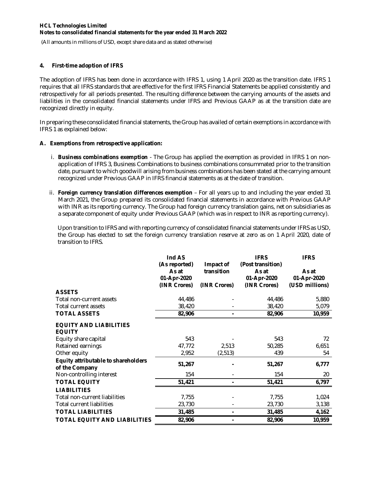(All amounts in millions of USD, except share data and as stated otherwise)

### **4. First-time adoption of IFRS**

The adoption of IFRS has been done in accordance with IFRS 1, using 1 April 2020 as the transition date. IFRS 1 requires that all IFRS standards that are effective for the first IFRS Financial Statements be applied consistently and retrospectively for all periods presented. The resulting difference between the carrying amounts of the assets and liabilities in the consolidated financial statements under IFRS and Previous GAAP as at the transition date are recognized directly in equity.

In preparing these consolidated financial statements, the Group has availed of certain exemptions in accordance with IFRS 1 as explained below:

#### **A. Exemptions from retrospective application:**

- i. **Business combinations exemption**  The Group has applied the exemption as provided in IFRS 1 on nonapplication of IFRS 3, Business Combinations to business combinations consummated prior to the transition date, pursuant to which goodwill arising from business combinations has been stated at the carrying amount recognized under Previous GAAP in IFRS financial statements as at the date of transition.
- ii. **Foreign currency translation differences exemption**  For all years up to and including the year ended 31 March 2021, the Group prepared its consolidated financial statements in accordance with Previous GAAP with INR as its reporting currency. The Group had foreign currency translation gains, net on subsidiaries as a separate component of equity under Previous GAAP (which was in respect to INR as reporting currency).

Upon transition to IFRS and with reporting currency of consolidated financial statements under IFRS as USD, the Group has elected to set the foreign currency translation reserve at zero as on 1 April 2020, date of transition to IFRS.

|                                                              | Ind AS                                |                         | <b>IFRS</b><br>(Post transition) | <b>IFRS</b>          |
|--------------------------------------------------------------|---------------------------------------|-------------------------|----------------------------------|----------------------|
|                                                              | (As reported)<br>As at<br>01-Apr-2020 | Impact of<br>transition | As at<br>01-Apr-2020             | As at<br>01-Apr-2020 |
|                                                              | (INR Crores)                          | (INR Crores)            | (INR Crores)                     | (USD millions)       |
| <b>ASSETS</b>                                                |                                       |                         |                                  |                      |
| Total non-current assets                                     | 44,486                                |                         | 44,486                           | 5,880                |
| Total current assets                                         | 38,420                                |                         | 38,420                           | 5,079                |
| <b>TOTAL ASSETS</b>                                          | 82,906                                |                         | 82,906                           | 10,959               |
| <b>EQUITY AND LIABILITIES</b><br><b>EQUITY</b>               |                                       |                         |                                  |                      |
| Equity share capital                                         | 543                                   |                         | 543                              | 72                   |
| Retained earnings                                            | 47,772                                | 2,513                   | 50,285                           | 6,651                |
| Other equity                                                 | 2,952                                 | (2,513)                 | 439                              | 54                   |
| <b>Equity attributable to shareholders</b><br>of the Company | 51,267                                |                         | 51,267                           | 6,777                |
| Non-controlling interest                                     | 154                                   |                         | 154                              | 20                   |
| <b>TOTAL EQUITY</b>                                          | 51,421                                |                         | 51,421                           | 6,797                |
| <b>LIABILITIES</b>                                           |                                       |                         |                                  |                      |
| Total non-current liabilities                                | 7,755                                 |                         | 7,755                            | 1,024                |
| <b>Total current liabilities</b>                             | 23,730                                |                         | 23,730                           | 3,138                |
| <b>TOTAL LIABILITIES</b>                                     | 31,485                                |                         | 31,485                           | 4,162                |
| <b>TOTAL EQUITY AND LIABILITIES</b>                          | 82,906                                |                         | 82,906                           | 10,959               |